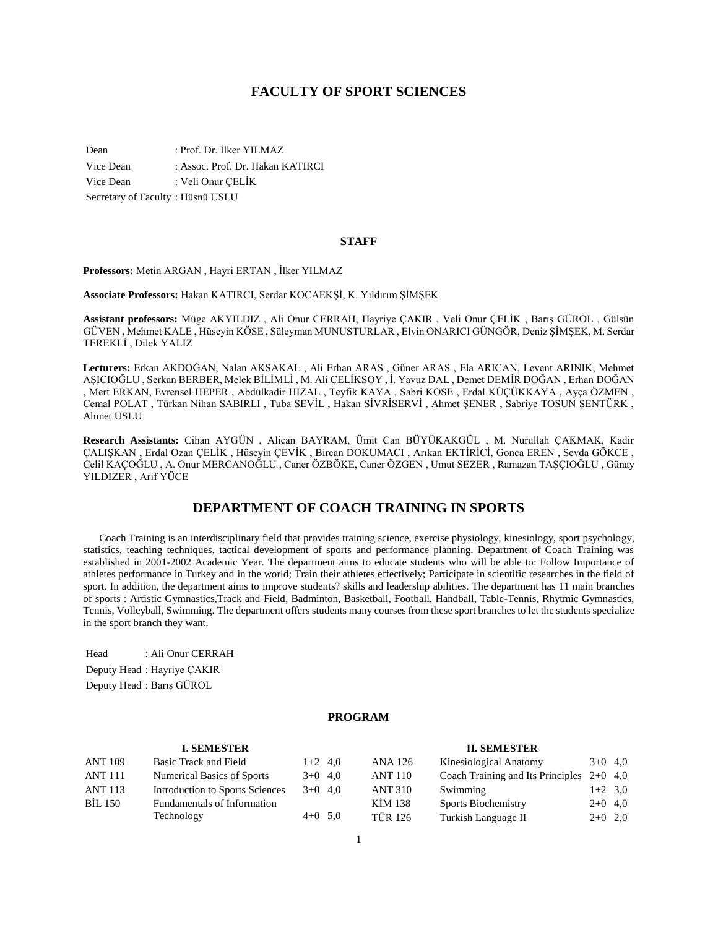# **FACULTY OF SPORT SCIENCES**

Dean : Prof. Dr. İlker YILMAZ Vice Dean : Assoc. Prof. Dr. Hakan KATIRCI Vice Dean : Veli Onur ÇELİK Secretary of Faculty : Hüsnü USLU

#### **STAFF**

**Professors:** Metin ARGAN , Hayri ERTAN , İlker YILMAZ

**Associate Professors:** Hakan KATIRCI, Serdar KOCAEKŞİ, K. Yıldırım ŞİMŞEK

**Assistant professors:** Müge AKYILDIZ , Ali Onur CERRAH, Hayriye ÇAKIR , Veli Onur ÇELİK , Barış GÜROL , Gülsün GÜVEN , Mehmet KALE , Hüseyin KÖSE , Süleyman MUNUSTURLAR , Elvin ONARICI GÜNGÖR, Deniz ŞİMŞEK, M. Serdar TEREKLİ , Dilek YALIZ

**Lecturers:** Erkan AKDOĞAN, Nalan AKSAKAL , Ali Erhan ARAS , Güner ARAS , Ela ARICAN, Levent ARINIK, Mehmet AŞICIOĞLU , Serkan BERBER, Melek BİLİMLİ , M. Ali ÇELİKSOY , İ. Yavuz DAL , Demet DEMİR DOĞAN , Erhan DOĞAN , Mert ERKAN, Evrensel HEPER , Abdülkadir HIZAL , Teyfik KAYA , Sabri KÖSE , Erdal KÜÇÜKKAYA , Ayça ÖZMEN , Cemal POLAT , Türkan Nihan SABIRLI , Tuba SEVİL , Hakan SİVRİSERVİ , Ahmet ŞENER , Sabriye TOSUN ŞENTÜRK , Ahmet USLU

**Research Assistants:** Cihan AYGÜN , Alican BAYRAM, Ümit Can BÜYÜKAKGÜL , M. Nurullah ÇAKMAK, Kadir ÇALIŞKAN , Erdal Ozan ÇELİK , Hüseyin ÇEVİK , Bircan DOKUMACI , Arıkan EKTİRİCİ, Gonca EREN , Sevda GÖKCE , Celil KAÇOĞLU , A. Onur MERCANOĞLU , Caner ÖZBÖKE, Caner ÖZGEN , Umut SEZER , Ramazan TAŞÇIOĞLU , Günay YILDIZER , Arif YÜCE

# **DEPARTMENT OF COACH TRAINING IN SPORTS**

 Coach Training is an interdisciplinary field that provides training science, exercise physiology, kinesiology, sport psychology, statistics, teaching techniques, tactical development of sports and performance planning. Department of Coach Training was established in 2001-2002 Academic Year. The department aims to educate students who will be able to: Follow Importance of athletes performance in Turkey and in the world; Train their athletes effectively; Participate in scientific researches in the field of sport. In addition, the department aims to improve students? skills and leadership abilities. The department has 11 main branches of sports : Artistic Gymnastics,Track and Field, Badminton, Basketball, Football, Handball, Table-Tennis, Rhytmic Gymnastics, Tennis, Volleyball, Swimming. The department offers students many courses from these sport branches to let the students specialize in the sport branch they want.

Head : Ali Onur CERRAH Deputy Head : Hayriye ÇAKIR Deputy Head : Barış GÜROL

## **PROGRAM**

#### **I. SEMESTER** ANT 109 Basic Track and Field 1+2 4,0 ANT 111 Numerical Basics of Sports  $3+0$  4,0 ANT 113 Introduction to Sports Sciences 3+0 4,0 BİL 150 Fundamentals of Information Technology  $4+0$  5,0 **II. SEMESTER** ANA 126 Kinesiological Anatomy 3+0 4,0 ANT 110 Coach Training and Its Principles 2+0 4,0 ANT 310 Swimming 1+2 3,0 KİM 138 Sports Biochemistry 2+0 4,0 TÜR 126 Turkish Language II 2+0 2,0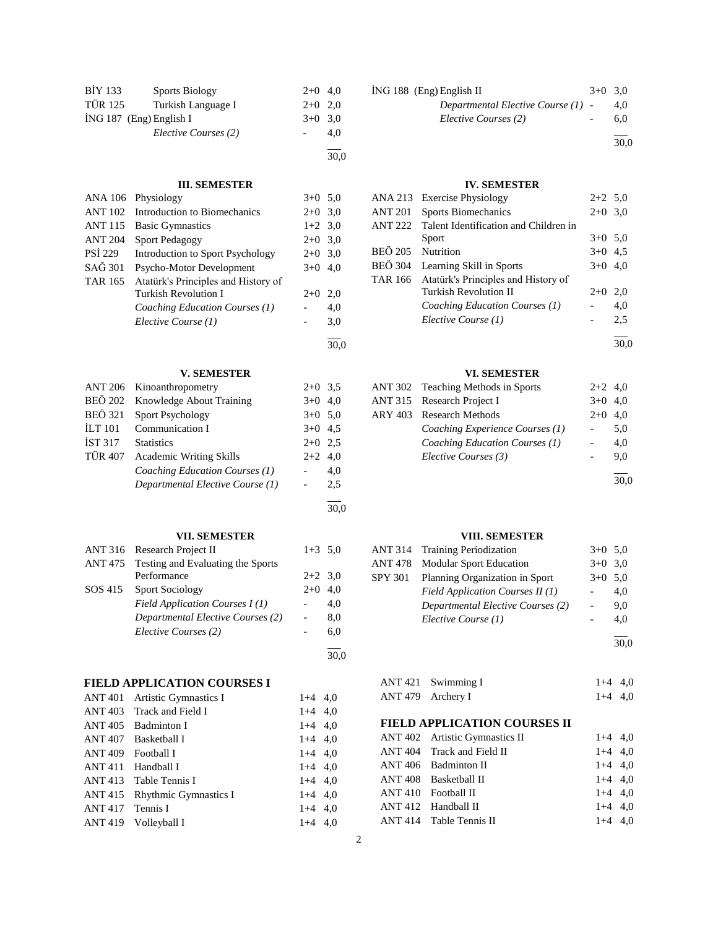| <b>BİY 133</b> | <b>Sports Biology</b>     | $2+0$ 4,0 |     |
|----------------|---------------------------|-----------|-----|
| <b>TÜR 125</b> | Turkish Language I        | $2+0$ 2,0 |     |
|                | $ING 187$ (Eng) English I | $3+0$ 3.0 |     |
|                | Elective Courses (2)      |           | 4.0 |
|                |                           |           |     |

# **III. SEMESTER**

|                | ANA 106 Physiology                   | $3+0$ 5.0 |     |
|----------------|--------------------------------------|-----------|-----|
|                | ANT 102 Introduction to Biomechanics | $2+0$     | 3,0 |
| <b>ANT 115</b> | <b>Basic Gymnastics</b>              | $1+2$ 3.0 |     |
| <b>ANT 204</b> | <b>Sport Pedagogy</b>                | $2+0$ 3.0 |     |
| PSI 229        | Introduction to Sport Psychology     | $2+0$     | 3,0 |
| SAĞ 301        | Psycho-Motor Development             | $3+0$     | 4,0 |
| <b>TAR 165</b> | Atatürk's Principles and History of  |           |     |
|                | <b>Turkish Revolution I</b>          | $2+0$     | 2.0 |
|                | Coaching Education Courses (1)       |           | 4.0 |
|                | Elective Course (1)                  |           | 3,0 |
|                |                                      |           |     |

# **V. SEMESTER**

|                | ANT 206 Kinoanthropometry        | $2+0$ 3.5 |     |
|----------------|----------------------------------|-----------|-----|
| <b>BEÖ 202</b> | Knowledge About Training         | $3+0$ 4,0 |     |
| <b>BEÖ</b> 321 | <b>Sport Psychology</b>          | $3+0$ 5.0 |     |
| ILT 101        | Communication I                  | $3+0$ 4.5 |     |
| <b>IST 317</b> | <b>Statistics</b>                | $2+0$ 2.5 |     |
| <b>TÜR 407</b> | <b>Academic Writing Skills</b>   | $2+2$ 4,0 |     |
|                | Coaching Education Courses (1)   |           | 4,0 |
|                | Departmental Elective Course (1) |           | 2.5 |
|                |                                  |           |     |

# **VII. SEMESTER**

| ANT 316 Research Project II               | $1+3$ 5,0 |     |
|-------------------------------------------|-----------|-----|
| ANT 475 Testing and Evaluating the Sports |           |     |
| Performance                               | $2+2$ 3.0 |     |
| SOS 415 Sport Sociology                   | $2+0$     | 4.0 |
| Field Application Courses $I(1)$          |           | 4.0 |
| Departmental Elective Courses (2)         |           | 8,0 |
| Elective Courses (2)                      |           | 6.0 |
|                                           |           |     |

30,0

30,0

30,0

30,0

# **FIELD APPLICATION COURSES I**

| <b>ANT 401</b> | Artistic Gymnastics I        | $1+4$ 4,0 |  |
|----------------|------------------------------|-----------|--|
| ANT 403        | Track and Field I            | $1+4$ 4,0 |  |
| <b>ANT 405</b> | <b>Badminton I</b>           | $1+4$ 4.0 |  |
| <b>ANT 407</b> | <b>Basketball I</b>          | $1+4$ 4.0 |  |
| ANT 409        | Football I                   | $1+4$ 4,0 |  |
| <b>ANT 411</b> | Handball I                   | $1+4$ 4.0 |  |
| <b>ANT 413</b> | Table Tennis I               | $1+4$ 4,0 |  |
| <b>ANT 415</b> | <b>Rhythmic Gymnastics I</b> | $1+4$ 4.0 |  |
| <b>ANT 417</b> | Tennis I                     | $1+4$ 4.0 |  |
| <b>ANT 419</b> | Volleyball I                 | $1+4$ 4.0 |  |

| $ING 188$ (Eng) English II           | $3+0$ 3.0 |     |
|--------------------------------------|-----------|-----|
| Departmental Elective Course $(1)$ - |           | 4.0 |
| Elective Courses (2)                 |           | 6.0 |
|                                      |           |     |

 $\frac{1}{30,0}$ 

## **IV. SEMESTER**

| <b>ANA 213</b> | <b>Exercise Physiology</b>            | $2+2$ 5.0 |     |
|----------------|---------------------------------------|-----------|-----|
| <b>ANT 201</b> | <b>Sports Biomechanics</b>            | $2+0$ 3.0 |     |
| <b>ANT 222</b> | Talent Identification and Children in |           |     |
|                | Sport                                 | $3+0$ 5,0 |     |
| <b>BEÖ 205</b> | Nutrition                             | $3+0$ 4.5 |     |
| <b>BEÖ</b> 304 | Learning Skill in Sports              | $3+0$ 4,0 |     |
| TAR 166        | Atatürk's Principles and History of   |           |     |
|                | Turkish Revolution II                 | $2+0$     | 2,0 |
|                | Coaching Education Courses (1)        |           | 4,0 |
|                | Elective Course (1)                   |           | 2.5 |
|                |                                       |           |     |

30,0

## **VI. SEMESTER**

| ANT 302 Teaching Methods in Sports | $2+2$ 4.0 |      |
|------------------------------------|-----------|------|
| <b>ANT 315 Research Project I</b>  | $3+0$     | 4.0  |
| ARY 403 Research Methods           | $2+0$     | 4.0  |
| Coaching Experience Courses (1)    |           | 5.0  |
| Coaching Education Courses (1)     |           | 4.0  |
| Elective Courses (3)               |           | 9.0  |
|                                    |           |      |
|                                    |           | 30.0 |

# **VIII. SEMESTER**

| <b>ANT 314 Training Periodization</b>  | $3+0$ 5.0 |     |
|----------------------------------------|-----------|-----|
| <b>ANT 478</b> Modular Sport Education | $3+0$ 3.0 |     |
| SPY 301 Planning Organization in Sport | $3+0$ 5.0 |     |
| Field Application Courses II (1)       |           | 4.0 |
| Departmental Elective Courses (2)      |           | 9.0 |
| Elective Course (1)                    |           | 4.0 |
|                                        |           |     |

30,0

# ANT 421 Swimming I 1+4 4,0 ANT 479 Archery I  $1+4$  4,0

# **FIELD APPLICATION COURSES II**

| ANT 402 Artistic Gymnastics II | $1+4$ 4.0 |  |
|--------------------------------|-----------|--|
| ANT 404 Track and Field II     | $1+4$ 4.0 |  |
| ANT 406 Badminton II           | $1+4$ 4.0 |  |
| ANT 408 Basketball II          | $1+4$ 4.0 |  |
| ANT 410 Football II            | $1+4$ 4.0 |  |
| ANT 412 Handball II            | $1+4$ 4.0 |  |
| ANT 414 Table Tennis II        | $1+4$ 4.0 |  |
|                                |           |  |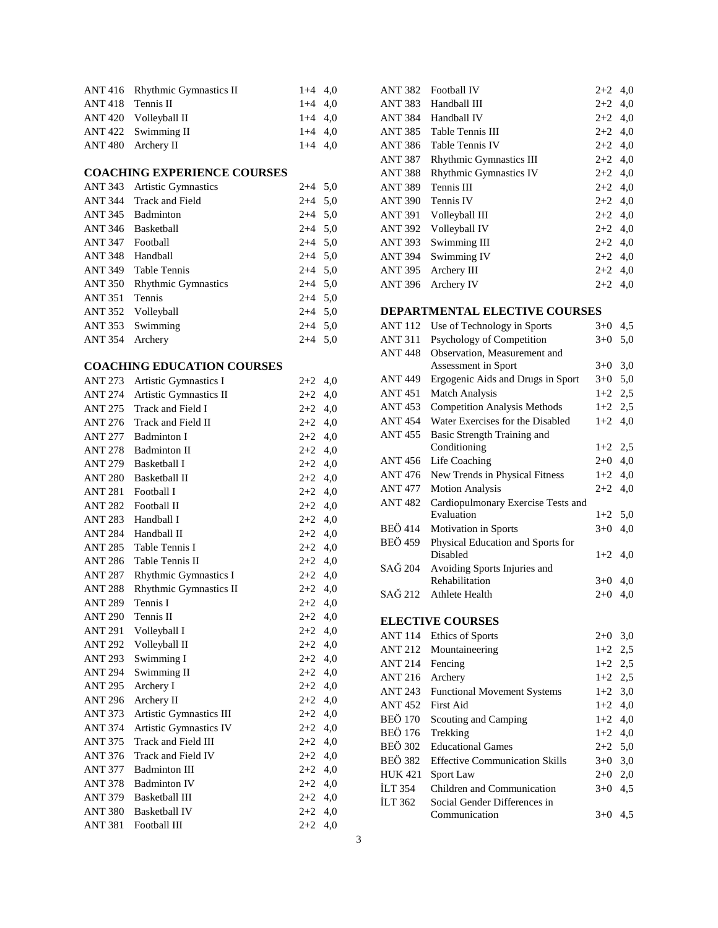|                     | ANT 416 Rhythmic Gymnastics II | $1+4$ 4.0 |  |
|---------------------|--------------------------------|-----------|--|
| $ANT 418$ Tennis II |                                | $1+4$ 4.0 |  |
|                     | ANT 420 Volleyball II          | $1+4$ 4.0 |  |
|                     | ANT 422 Swimming II            | $1+4$ 4.0 |  |
|                     | ANT 480 Archery II             | $1+4$ 4.0 |  |

# **COACHING EXPERIENCE COURSES**

| ANT 343         | <b>Artistic Gymnastics</b> | $2+4$ 5,0 |  |
|-----------------|----------------------------|-----------|--|
|                 | ANT 344 Track and Field    | $2+4$ 5,0 |  |
| ANT 345         | Badminton                  | $2+4$ 5.0 |  |
| ANT 346         | Basketball                 | $2+4$ 5,0 |  |
| ANT 347         | Football                   | $2+4$ 5,0 |  |
| ANT 348         | Handball                   | $2+4$ 5,0 |  |
|                 | ANT 349 Table Tennis       | $2+4$ 5.0 |  |
| ANT 350         | <b>Rhythmic Gymnastics</b> | $2+4$ 5.0 |  |
| <b>ANT 351</b>  | <b>Tennis</b>              | $2+4$ 5.0 |  |
| ANT 352         | Volleyball                 | $2+4$ 5.0 |  |
|                 | ANT 353 Swimming           | $2+4$ 5,0 |  |
| ANT 354 Archery |                            | $2+4$ 5.0 |  |

# **COACHING EDUCATION COURSES**

| <b>ANT 273</b> | Artistic Gymnastics I   | $2 + 2$   | 4,0 |
|----------------|-------------------------|-----------|-----|
| ANT 274        | Artistic Gymnastics II  | $2+2$     | 4,0 |
| ANT 275        | Track and Field I       | $2+2$     | 4,0 |
| <b>ANT 276</b> | Track and Field II      | $2+2$ 4,0 |     |
| ANT 277        | <b>Badminton I</b>      | $2+2$ 4,0 |     |
| ANT 278        | <b>Badminton II</b>     | $2 + 2$   | 4,0 |
| ANT 279        | <b>Basketball I</b>     | $2+2$     | 4,0 |
| ANT 280        | <b>Basketball II</b>    | $2+2$ 4,0 |     |
| ANT 281        | Football I              | $2+2$     | 4,0 |
| ANT 282        | Football II             | $2+2$     | 4,0 |
| ANT 283        | Handball I              | $2+2$ 4,0 |     |
| ANT 284        | Handball II             | $2+2$ 4,0 |     |
| ANT 285        | Table Tennis I          | $2+2$     | 4,0 |
| ANT 286        | Table Tennis II         | $2+2$     | 4,0 |
| <b>ANT 287</b> | Rhythmic Gymnastics I   | $2+2$ 4,0 |     |
| <b>ANT 288</b> | Rhythmic Gymnastics II  | $2+2$     | 4,0 |
| ANT 289        | Tennis I                | $2 + 2$   | 4,0 |
| <b>ANT 290</b> | Tennis II               | $2 + 2$   | 4,0 |
| ANT 291        | Volleyball I            | $2+2$ 4,0 |     |
| <b>ANT 292</b> | Volleyball II           | $2+2$     | 4,0 |
| ANT 293        | Swimming I              | $2+2$     | 4,0 |
| ANT 294        | Swimming II             | $2+2$ 4,0 |     |
| ANT 295        | Archery I               | $2+2$     | 4,0 |
| <b>ANT 296</b> | Archery II              | $2+2$     | 4,0 |
| <b>ANT 373</b> | Artistic Gymnastics III | $2 + 2$   | 4,0 |
| <b>ANT 374</b> | Artistic Gymnastics IV  | $2+2$ 4,0 |     |
| <b>ANT 375</b> | Track and Field III     | $2 + 2$   | 4,0 |
| ANT 376        | Track and Field IV      | $2+2$     | 4,0 |
| ANT 377        | <b>Badminton III</b>    | $2 + 2$   | 4,0 |
| ANT 378        | <b>Badminton IV</b>     | $2+2$     | 4,0 |
| ANT 379        | <b>Basketball III</b>   | $2+2$     | 4,0 |
| ANT 380        | <b>Basketball IV</b>    | $2+2$     | 4,0 |
| ANT 381        | Football III            | $2+2$     | 4,0 |
|                |                         |           |     |

| <b>ANT 382</b> | <b>Football IV</b>             | $2+2$     | 4,0 |
|----------------|--------------------------------|-----------|-----|
| ANT 383        | Handball III                   | $2+2$ 4.0 |     |
| <b>ANT 384</b> | Handball IV                    | $2+2$ 4,0 |     |
| ANT 385        | Table Tennis III               | $2+2$ 4,0 |     |
| <b>ANT 386</b> | Table Tennis IV                | $2+2$ 4,0 |     |
| <b>ANT 387</b> | <b>Rhythmic Gymnastics III</b> | $2+2$ 4,0 |     |
| <b>ANT 388</b> | <b>Rhythmic Gymnastics IV</b>  | $2+2$ 4,0 |     |
| <b>ANT 389</b> | Tennis III                     | $2+2$ 4,0 |     |
| <b>ANT 390</b> | Tennis IV                      | $2+2$ 4,0 |     |
| <b>ANT 391</b> | Volleyball III                 | $2+2$ 4,0 |     |
| <b>ANT 392</b> | Volleyball IV                  | $2+2$ 4,0 |     |
| <b>ANT 393</b> | Swimming III                   | $2+2$     | 4,0 |
| <b>ANT 394</b> | Swimming IV                    | $2+2$ 4,0 |     |
| <b>ANT 395</b> | Archery III                    | $2+2$     | 4,0 |
| <b>ANT 396</b> | Archery IV                     | $2+2$ 4,0 |     |

# **DEPARTMENTAL ELECTIVE COURSES**

| <b>ANT 112</b> | Use of Technology in Sports           | $3+0$   | 4,5 |
|----------------|---------------------------------------|---------|-----|
| <b>ANT 311</b> | Psychology of Competition             | $3 + 0$ | 5,0 |
| <b>ANT 448</b> | Observation, Measurement and          |         |     |
|                | Assessment in Sport                   | $3+0$   | 3,0 |
| <b>ANT 449</b> | Ergogenic Aids and Drugs in Sport     | $3+0$   | 5,0 |
| ANT 451        | <b>Match Analysis</b>                 | $1+2$   | 2,5 |
| <b>ANT 453</b> | <b>Competition Analysis Methods</b>   | $1+2$   | 2,5 |
| <b>ANT 454</b> | Water Exercises for the Disabled      | $1+2$   | 4,0 |
| <b>ANT 455</b> | Basic Strength Training and           |         |     |
|                | Conditioning                          | $1+2$   | 2,5 |
| <b>ANT 456</b> | Life Coaching                         | $2+0$   | 4,0 |
| <b>ANT 476</b> | New Trends in Physical Fitness        | $1+2$   | 4,0 |
| <b>ANT 477</b> | <b>Motion Analysis</b>                | $2 + 2$ | 4,0 |
| <b>ANT 482</b> | Cardiopulmonary Exercise Tests and    |         |     |
|                | Evaluation                            | $1+2$   | 5,0 |
| <b>BEÖ</b> 414 | Motivation in Sports                  | $3+0$   | 4,0 |
| <b>BEÖ 459</b> | Physical Education and Sports for     |         |     |
|                | <b>Disabled</b>                       | $1+2$   | 4,0 |
| SAĞ 204        | Avoiding Sports Injuries and          |         |     |
|                | Rehabilitation                        | $3+0$   | 4,0 |
| SAĞ 212        | Athlete Health                        | $2+0$   | 4,0 |
|                | <b>ELECTIVE COURSES</b>               |         |     |
| <b>ANT 114</b> | Ethics of Sports                      | $2+0$   | 3,0 |
| <b>ANT 212</b> | Mountaineering                        | $1+2$   | 2,5 |
| <b>ANT 214</b> | Fencing                               | $1+2$   | 2,5 |
| <b>ANT 216</b> | Archery                               | $1+2$   | 2,5 |
| <b>ANT 243</b> | <b>Functional Movement Systems</b>    | $1+2$   | 3,0 |
| <b>ANT452</b>  | <b>First Aid</b>                      | $1+2$   | 4,0 |
| <b>BEÖ 170</b> | Scouting and Camping                  | $1+2$   | 4,0 |
| <b>BEÖ 176</b> | Trekking                              | $1+2$   | 4,0 |
| <b>BEÖ 302</b> | <b>Educational Games</b>              | $2+2$   | 5,0 |
| <b>BEÖ 382</b> | <b>Effective Communication Skills</b> | $3+0$   | 3,0 |
| <b>HUK 421</b> | Sport Law                             | $2+0$   | 2,0 |
| <b>İLT 354</b> | Children and Communication            | $3+0$   | 4,5 |
| <b>İLT 362</b> | Social Gender Differences in          |         |     |
|                | Communication                         | $3 + 0$ | 4,5 |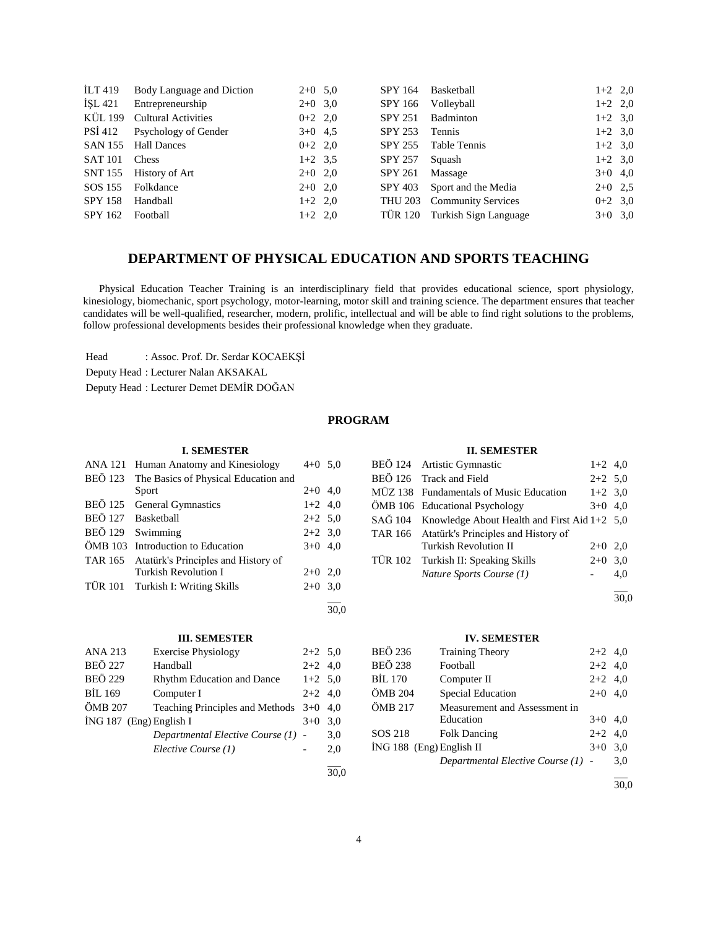| ILT 419        | Body Language and Diction    | $2+0$ 5,0 |           | SPY 164        | Basketball                    | $1+2$ 2,0 |  |
|----------------|------------------------------|-----------|-----------|----------------|-------------------------------|-----------|--|
| İSL 421        | Entrepreneurship             | $2+0$ 3,0 |           | SPY 166        | Volleyball                    | $1+2$ 2,0 |  |
| KÜL 199        | <b>Cultural Activities</b>   | $0+2$ 2,0 |           | <b>SPY 251</b> | Badminton                     | $1+2$ 3,0 |  |
|                | PSİ 412 Psychology of Gender | $3+0$ 4.5 |           | <b>SPY 253</b> | Tennis                        | $1+2$ 3.0 |  |
| SAN 155        | <b>Hall Dances</b>           | $0+2$ 2,0 |           | SPY 255        | Table Tennis                  | $1+2$ 3,0 |  |
| SAT 101        | Chess                        | $1+2$ 3.5 |           | <b>SPY 257</b> | Squash                        | $1+2$ 3.0 |  |
|                | SNT 155 History of Art       | $2+0$ 2,0 |           | SPY 261        | Massage                       | $3+0$ 4,0 |  |
| SOS 155        | Folkdance                    | $2+0$ 2,0 |           | SPY 403        | Sport and the Media           | $2+0$ 2,5 |  |
| <b>SPY 158</b> | Handball                     |           | $1+2$ 2,0 |                | THU 203 Community Services    | $0+2$ 3.0 |  |
| SPY 162        | Football                     |           | $1+2$ 2,0 |                | TÜR 120 Turkish Sign Language | $3+0$ 3,0 |  |
|                |                              |           |           |                |                               |           |  |

# **DEPARTMENT OF PHYSICAL EDUCATION AND SPORTS TEACHING**

 Physical Education Teacher Training is an interdisciplinary field that provides educational science, sport physiology, kinesiology, biomechanic, sport psychology, motor-learning, motor skill and training science. The department ensures that teacher candidates will be well-qualified, researcher, modern, prolific, intellectual and will be able to find right solutions to the problems, follow professional developments besides their professional knowledge when they graduate.

Head : Assoc. Prof. Dr. Serdar KOCAEKŞİ

Deputy Head : Lecturer Nalan AKSAKAL

Deputy Head : Lecturer Demet DEMİR DOĞAN

# **PROGRAM**

## **I. SEMESTER**

| <b>ANA 121</b> | Human Anatomy and Kinesiology        | $4+0$ 5,0 |  |
|----------------|--------------------------------------|-----------|--|
| <b>BEÖ</b> 123 | The Basics of Physical Education and |           |  |
|                | Sport                                | $2+0$ 4,0 |  |
| <b>BEÖ 125</b> | <b>General Gymnastics</b>            | $1+2$ 4,0 |  |
| <b>BEÖ 127</b> | Basketball                           | $2+2$ 5.0 |  |
| <b>BEÖ 129</b> | Swimming                             | $2+2$ 3.0 |  |
| ÖMB 103        | Introduction to Education            | $3+0$ 4,0 |  |
| TAR 165        | Atatürk's Principles and History of  |           |  |
|                | <b>Turkish Revolution I</b>          | $2+0$ 2,0 |  |
|                | TÜR 101 Turkish I: Writing Skills    | $2+0$ 3.0 |  |
|                |                                      |           |  |

## **III. SEMESTER**

| <b>ANA 213</b>            | <b>Exercise Physiology</b>                | $2+2$ 5,0 |     |
|---------------------------|-------------------------------------------|-----------|-----|
| <b>BEÖ 227</b>            | Handball                                  | $2+2$ 4,0 |     |
| <b>BEÖ 229</b>            | <b>Rhythm Education and Dance</b>         | $1+2$ 5,0 |     |
| BIL 169                   | Computer I                                | $2+2$ 4,0 |     |
| ÖMB 207                   | Teaching Principles and Methods $3+0$ 4,0 |           |     |
| $ING 187$ (Eng) English I |                                           | $3+0$     | 3,0 |
|                           | Departmental Elective Course (1) -        |           | 3,0 |
|                           | Elective Course (1)                       |           | 2,0 |
|                           |                                           |           |     |

## **II. SEMESTER**

| BEÖ 124 Artistic Gymnastic                           | $1+2$ 4,0 |     |
|------------------------------------------------------|-----------|-----|
| BEÖ 126 Track and Field                              | $2+2$ 5.0 |     |
| MÜZ 138 Fundamentals of Music Education              | $1+2$ 3,0 |     |
| ÖMB 106 Educational Psychology                       | $3+0$ 4.0 |     |
| SAĞ 104 Knowledge About Health and First Aid 1+2 5,0 |           |     |
| TAR 166 Atatürk's Principles and History of          |           |     |
| <b>Turkish Revolution II</b>                         | $2+0$ 2.0 |     |
| TÜR 102 Turkish II: Speaking Skills                  | $2+0$ 3,0 |     |
| Nature Sports Course (1)                             |           | 4,0 |
|                                                      |           |     |

 $\frac{1}{30,0}$ 

## **IV. SEMESTER**

| BEÖ 236                    | <b>Training Theory</b>             | $2+2$ 4,0 |     |
|----------------------------|------------------------------------|-----------|-----|
| <b>BEÖ 238</b>             | Football                           | $2+2$ 4,0 |     |
| BİL 170                    | Computer II                        | $2+2$ 4,0 |     |
| ÖMB 204                    | <b>Special Education</b>           | $2+0$ 4,0 |     |
| ÖMB 217                    | Measurement and Assessment in      |           |     |
|                            | Education                          | $3+0$ 4,0 |     |
| SOS 218                    | <b>Folk Dancing</b>                | $2+2$ 4,0 |     |
| $ING 188$ (Eng) English II |                                    | $3+0$     | 3,0 |
|                            | Departmental Elective Course (1) - |           | 3,0 |
|                            |                                    |           |     |

 $\overline{30,0}$ 

30,0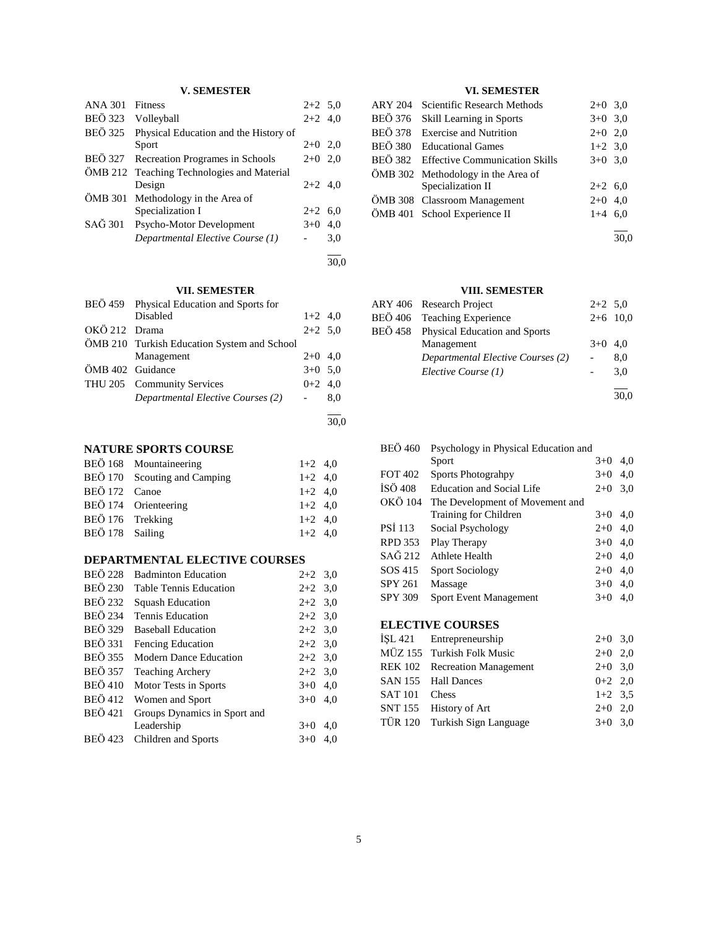# **V. SEMESTER**

| <b>ANA 301</b> | <b>Fitness</b>                             | $2+2$ 5,0 |     |
|----------------|--------------------------------------------|-----------|-----|
| <b>BEÖ</b> 323 | Volleyball                                 | $2+2$ 4,0 |     |
| <b>BEÖ</b> 325 | Physical Education and the History of      |           |     |
|                | Sport                                      | $2+0$ 2,0 |     |
| BEÖ 327        | Recreation Programes in Schools            | $2+0$ 2,0 |     |
|                | ÖMB 212 Teaching Technologies and Material |           |     |
|                | Design                                     | $2+2$ 4,0 |     |
| ÖMB 301        | Methodology in the Area of                 |           |     |
|                | Specialization I                           | $2+2$ 6.0 |     |
| SAĞ 301        | Psycho-Motor Development                   | $3+0$     | 4.0 |
|                | Departmental Elective Course (1)           |           | 3,0 |
|                |                                            |           |     |

30,0

## **VII. SEMESTER**

|                  | BEÖ 459 Physical Education and Sports for   |           |     |
|------------------|---------------------------------------------|-----------|-----|
|                  | Disabled                                    | $1+2$ 4,0 |     |
| OKÖ 212 Drama    |                                             | $2+2$ 5.0 |     |
|                  | ÖMB 210 Turkish Education System and School |           |     |
|                  | Management                                  | $2+0$ 4,0 |     |
| ÖMB 402 Guidance |                                             | $3+0$ 5.0 |     |
|                  | THU 205 Community Services                  | $0+2$ 4,0 |     |
|                  | Departmental Elective Courses (2)           |           | 8.0 |
|                  |                                             |           |     |
|                  |                                             |           |     |

# **NATURE SPORTS COURSE**

|                  | BEÖ 168 Mountaineering       | $1+2$ 4,0 |  |
|------------------|------------------------------|-----------|--|
|                  | BEÖ 170 Scouting and Camping | $1+2$ 4.0 |  |
| BEÖ 172 Canoe    |                              | $1+2$ 4.0 |  |
|                  | BEÖ 174 Orienteering         | $1+2$ 4.0 |  |
| BEÖ 176 Trekking |                              | $1+2$ 4,0 |  |
| BEÖ 178 Sailing  |                              | $1+2$ 4.0 |  |

# **DEPARTMENTAL ELECTIVE COURSES**

| <b>BEÖ 228</b> | <b>Badminton Education</b>    | $2+2$ 3.0 |     |
|----------------|-------------------------------|-----------|-----|
| <b>BEÖ 230</b> | <b>Table Tennis Education</b> | $2+2$ 3.0 |     |
| <b>BEÖ 232</b> | <b>Squash Education</b>       | $2+2$ 3.0 |     |
| <b>BEÖ 234</b> | Tennis Education              | $2+2$ 3.0 |     |
| <b>BEÖ 329</b> | <b>Baseball Education</b>     | $2+2$ 3.0 |     |
| <b>BEÖ</b> 331 | <b>Fencing Education</b>      | $2+2$ 3.0 |     |
| <b>BEÖ</b> 355 | <b>Modern Dance Education</b> | $2+2$ 3.0 |     |
| <b>BEÖ 357</b> | <b>Teaching Archery</b>       | $2+2$ 3,0 |     |
| <b>BEÖ 410</b> | Motor Tests in Sports         | $3+0$ 4,0 |     |
| <b>BEÖ</b> 412 | Women and Sport               | $3+0$     | 4.0 |
| <b>BEÖ</b> 421 | Groups Dynamics in Sport and  |           |     |
|                | Leadership                    | $3+0$     | 4,0 |
| <b>BEÖ</b> 423 | Children and Sports           | $3+0$     | 4.0 |
|                |                               |           |     |

# **VI. SEMESTER**

| ARY 204 | Scientific Research Methods            | $2+0$ 3.0 |  |
|---------|----------------------------------------|-----------|--|
| BEÖ 376 | Skill Learning in Sports               | $3+0$ 3.0 |  |
|         | BEÖ 378 Exercise and Nutrition         | $2+0$ 2,0 |  |
|         | BEÖ 380 Educational Games              | $1+2$ 3,0 |  |
|         | BEÖ 382 Effective Communication Skills | $3+0$ 3.0 |  |
|         | ÖMB 302 Methodology in the Area of     |           |  |
|         | Specialization II                      | $2+2$ 6,0 |  |
|         | ÖMB 308 Classroom Management           | $2+0$ 4,0 |  |
|         | ÖMB 401 School Experience II           | $1+4$ 6,0 |  |
|         |                                        |           |  |

30,0

# **VIII. SEMESTER**

| ARY 406 Research Project              | $2+2$ 5.0 |            |
|---------------------------------------|-----------|------------|
| BEÖ 406 Teaching Experience           |           | $2+6$ 10.0 |
| BEÖ 458 Physical Education and Sports |           |            |
| Management                            | $3+0$ 4.0 |            |
| Departmental Elective Courses (2)     |           | 8,0        |
| Elective Course (1)                   |           | 3,0        |
|                                       |           |            |
|                                       |           | 30.0       |

| <b>BEÖ</b> 460 | Psychology in Physical Education and |           |     |
|----------------|--------------------------------------|-----------|-----|
|                | Sport                                | $3+0$     | 4,0 |
| <b>FOT 402</b> | <b>Sports Photograhpy</b>            | $3+0$     | 4,0 |
| İSÖ 408        | Education and Social Life            | $2+0$     | 3,0 |
| OKÖ 104        | The Development of Movement and      |           |     |
|                | Training for Children                | $3+0$     | 4,0 |
| <b>PSI 113</b> | Social Psychology                    | $2+0$     | 4,0 |
| <b>RPD 353</b> | Play Therapy                         | $3+0$     | 4,0 |
| SAĞ 212        | Athlete Health                       | $2+0$     | 4,0 |
| SOS 415        | <b>Sport Sociology</b>               | $2+0$     | 4,0 |
| SPY 261        | Massage                              | $3+0$     | 4,0 |
| SPY 309        | <b>Sport Event Management</b>        | $3+0$     | 4,0 |
|                | <b>ELECTIVE COURSES</b>              |           |     |
| İŞL 421        | Entrepreneurship                     | $2+0$ 3,0 |     |
|                | MÜZ 155 Turkish Folk Music           | $2+0$     | 2.0 |

|               | MÜZ 155 Turkish Folk Music    | $2+0$ 2,0 |  |
|---------------|-------------------------------|-----------|--|
|               | REK 102 Recreation Management | $2+0$ 3,0 |  |
|               | SAN 155 Hall Dances           | $0+2$ 2.0 |  |
| SAT 101 Chess |                               | $1+2$ 3.5 |  |
|               | SNT 155 History of Art        | $2+0$ 2.0 |  |
|               | TÜR 120 Turkish Sign Language | $3+0$ 3,0 |  |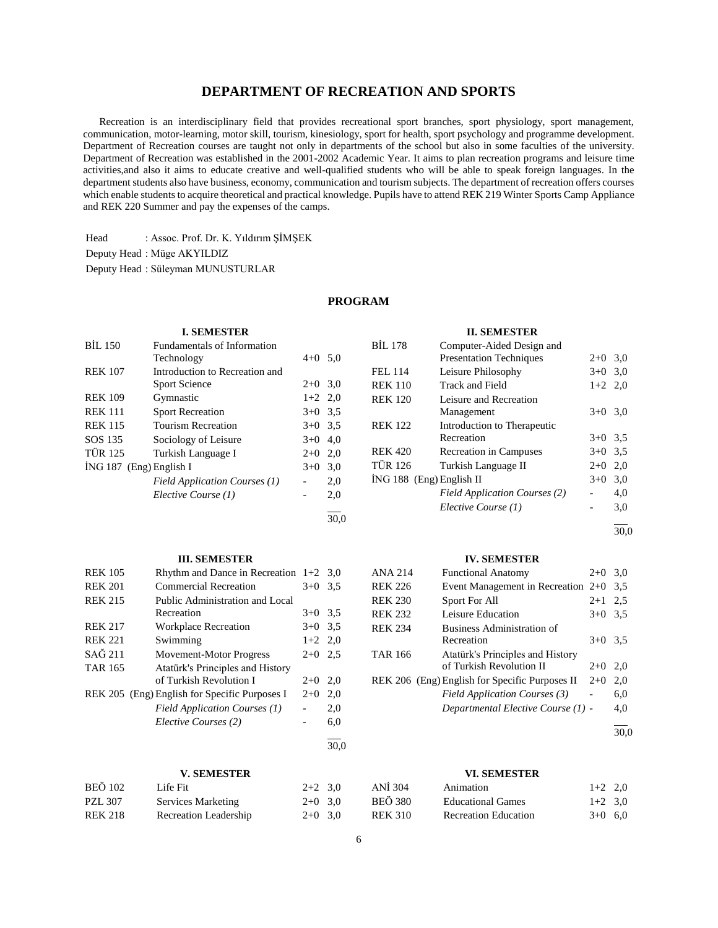# **DEPARTMENT OF RECREATION AND SPORTS**

 Recreation is an interdisciplinary field that provides recreational sport branches, sport physiology, sport management, communication, motor-learning, motor skill, tourism, kinesiology, sport for health, sport psychology and programme development. Department of Recreation courses are taught not only in departments of the school but also in some faculties of the university. Department of Recreation was established in the 2001-2002 Academic Year. It aims to plan recreation programs and leisure time activities,and also it aims to educate creative and well-qualified students who will be able to speak foreign languages. In the department students also have business, economy, communication and tourism subjects. The department of recreation offers courses which enable students to acquire theoretical and practical knowledge. Pupils have to attend REK 219 Winter Sports Camp Appliance and REK 220 Summer and pay the expenses of the camps.

Head : Assoc. Prof. Dr. K. Yıldırım ŞİMŞEK

Deputy Head : Müge AKYILDIZ

Deputy Head : Süleyman MUNUSTURLAR

# **PROGRAM**

30,0

## **I. SEMESTER**

| <b>BİL 150</b>            | <b>Fundamentals of Information</b> |           |     |
|---------------------------|------------------------------------|-----------|-----|
|                           | Technology                         | $4+0$ 5.0 |     |
| <b>REK 107</b>            | Introduction to Recreation and     |           |     |
|                           | <b>Sport Science</b>               | $2+0$ 3.0 |     |
| <b>REK 109</b>            | Gymnastic                          | $1+2$ 2,0 |     |
| <b>REK 111</b>            | <b>Sport Recreation</b>            | $3+0$ 3.5 |     |
| <b>REK 115</b>            | <b>Tourism Recreation</b>          | $3+0$ 3.5 |     |
| SOS 135                   | Sociology of Leisure               | $3+0$     | 4,0 |
| <b>TÜR 125</b>            | Turkish Language I                 | $2+0$     | 2,0 |
| $ING 187$ (Eng) English I |                                    | $3+0$     | 3,0 |
|                           | Field Application Courses (1)      |           | 2,0 |
|                           | Elective Course (1)                |           | 2,0 |
|                           |                                    |           |     |

#### **III. SEMESTER**

| <b>REK 105</b>    | Rhythm and Dance in Recreation $1+2$          |           | 3.0  |
|-------------------|-----------------------------------------------|-----------|------|
| <b>REK 201</b>    | <b>Commercial Recreation</b>                  | $3+0$     | 3.5  |
| <b>REK 215</b>    | Public Administration and Local               |           |      |
|                   | Recreation                                    | $3+0$     | 3.5  |
| <b>REK 217</b>    | <b>Workplace Recreation</b>                   | $3+0$     | 3.5  |
| <b>REK 221</b>    | Swimming                                      | $1+2$ 2,0 |      |
| $SA\tilde{G}$ 211 | <b>Movement-Motor Progress</b>                | $2+0$     | 2.5  |
| <b>TAR 165</b>    | Atatürk's Principles and History              |           |      |
|                   | of Turkish Revolution I                       | $2+0$     | 2,0  |
|                   | REK 205 (Eng) English for Specific Purposes I | $2+0$     | 2,0  |
|                   | Field Application Courses (1)                 |           | 2,0  |
|                   | Elective Courses (2)                          |           | 6,0  |
|                   |                                               |           | 30.0 |

#### **V. SEMESTER**

| <b>BEÖ</b> 102 | Life Fit                  | $2+2$ 3.0 |  |
|----------------|---------------------------|-----------|--|
| <b>PZL 307</b> | <b>Services Marketing</b> | $2+0$ 3,0 |  |
| <b>REK 218</b> | Recreation Leadership     | $2+0$ 3,0 |  |

## **II. SEMESTER**

| <b>BIL 178</b>             | Computer-Aided Design and            |           |     |
|----------------------------|--------------------------------------|-----------|-----|
|                            | <b>Presentation Techniques</b>       | $2+0$ 3.0 |     |
| <b>FEL 114</b>             | Leisure Philosophy                   | $3+0$ 3.0 |     |
| <b>REK 110</b>             | Track and Field                      | $1+2$ 2,0 |     |
| <b>REK 120</b>             | Leisure and Recreation               |           |     |
|                            | Management                           | $3+0$ 3.0 |     |
| <b>REK 122</b>             | Introduction to Therapeutic          |           |     |
|                            | Recreation                           | $3+0$ 3.5 |     |
| <b>REK 420</b>             | Recreation in Campuses               | $3+0$ 3.5 |     |
| <b>TÜR 126</b>             | Turkish Language II                  | $2+0$     | 2,0 |
| $ING 188$ (Eng) English II |                                      | $3+0$     | 3,0 |
|                            | <b>Field Application Courses (2)</b> |           | 4,0 |
|                            | Elective Course (1)                  |           | 3,0 |
|                            |                                      |           |     |

 $\frac{1}{30.0}$ 

## **IV. SEMESTER**

| <b>ANA 214</b> | <b>Functional Anatomy</b>                      | $2+0$     | 3,0 |
|----------------|------------------------------------------------|-----------|-----|
| <b>REK 226</b> | Event Management in Recreation $2+0$           |           | 3.5 |
| <b>REK 230</b> | Sport For All                                  | $2 + 1$   | 2.5 |
| <b>REK 232</b> | Leisure Education                              | $3+0$     | 3.5 |
| <b>REK 234</b> | Business Administration of                     |           |     |
|                | Recreation                                     | $3+0$ 3.5 |     |
| <b>TAR 166</b> | Atatürk's Principles and History               |           |     |
|                | of Turkish Revolution II                       | $2+0$     | 2.0 |
|                | REK 206 (Eng) English for Specific Purposes II | $2+0$     | 2,0 |
|                | Field Application Courses (3)                  |           | 6,0 |
|                | Departmental Elective Course (1) -             |           | 4,0 |
|                |                                                |           |     |

 $\frac{1}{30.0}$ 

#### **VI. SEMESTER**

| ANİ 304 | Animation                | $1+2$ 2.0 |  |
|---------|--------------------------|-----------|--|
| BEÖ 380 | <b>Educational Games</b> | $1+2$ 3.0 |  |
| REK 310 | Recreation Education     | $3+0$ 6.0 |  |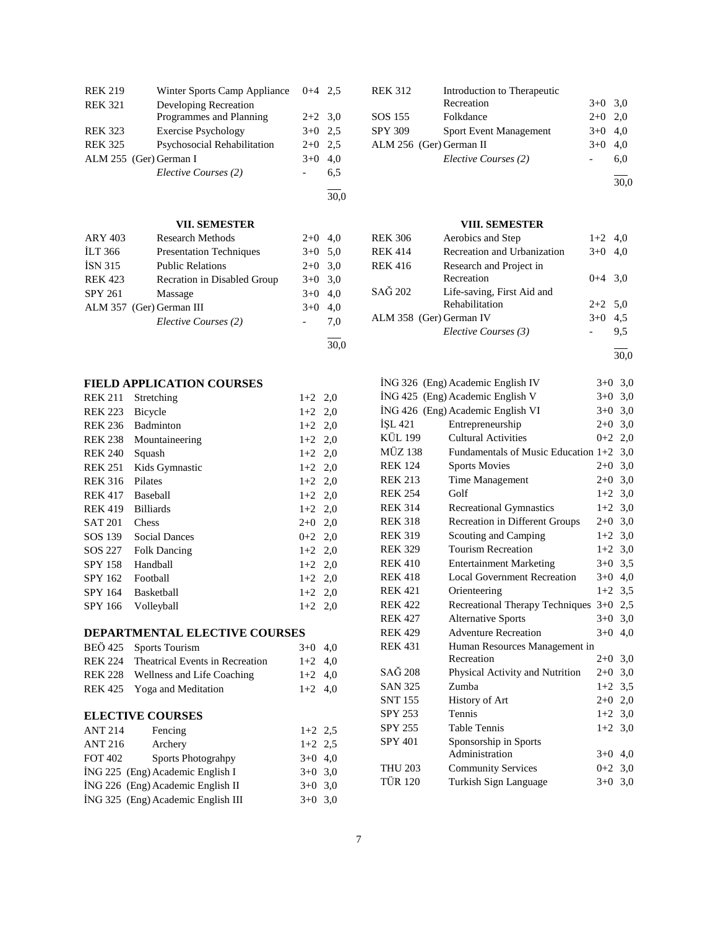| <b>REK 219</b> | Winter Sports Camp Appliance | $0+4$ 2.5 |     |
|----------------|------------------------------|-----------|-----|
| <b>REK 321</b> | Developing Recreation        |           |     |
|                | Programmes and Planning      | $2+2$ 3.0 |     |
| <b>REK 323</b> | <b>Exercise Psychology</b>   | $3+0$ 2.5 |     |
| <b>REK 325</b> | Psychosocial Rehabilitation  | $2+0$     | 2.5 |
|                | ALM 255 (Ger) German I       | $3+0$     | 4.0 |
|                | Elective Courses (2)         |           | 6.5 |
|                |                              |           |     |

# **VII. SEMESTER**

30,0

30,0

| <b>ARY 403</b> | <b>Research Methods</b>        | $2+0$ 4,0 |     |
|----------------|--------------------------------|-----------|-----|
| <b>ILT 366</b> | <b>Presentation Techniques</b> | $3+0$ 5.0 |     |
| <b>ISN 315</b> | <b>Public Relations</b>        | $2+0$ 3.0 |     |
| <b>REK 423</b> | Recration in Disabled Group    | $3+0$ 3.0 |     |
| <b>SPY 261</b> | Massage                        | $3+0$ 4,0 |     |
|                | ALM 357 (Ger) German III       | $3+0$     | 4.0 |
|                | Elective Courses (2)           |           | 7.0 |
|                |                                |           |     |

# **FIELD APPLICATION COURSES**

| <b>REK 211</b> | Stretching           | $1+2$ 2,0 |
|----------------|----------------------|-----------|
| REK 223        | <b>Bicycle</b>       | $1+2$ 2,0 |
| <b>REK 236</b> | Badminton            | $1+2$ 2,0 |
| REK 238        | Mountaineering       | $1+2$ 2,0 |
| <b>REK 240</b> | Squash               | $1+2$ 2,0 |
| <b>REK 251</b> | Kids Gymnastic       | $1+2$ 2,0 |
| <b>REK 316</b> | Pilates              | $1+2$ 2,0 |
| REK 417        | Baseball             | $1+2$ 2,0 |
| REK 419        | <b>Billiards</b>     | $1+2$ 2,0 |
| SAT 201        | Chess                | $2+0$ 2,0 |
| SOS 139        | <b>Social Dances</b> | $0+2$ 2.0 |
| SOS 227        | <b>Folk Dancing</b>  | $1+2$ 2,0 |
| SPY 158        | Handball             | $1+2$ 2,0 |
| SPY 162        | Football             | $1+2$ 2,0 |
| SPY 164        | Basketball           | $1+2$ 2,0 |
| SPY 166        | Volleyball           | $1+2$ 2,0 |

# **DEPARTMENTAL ELECTIVE COURSES**

| BEÖ 425 Sports Tourism                  | $3+0$ 4.0 |  |
|-----------------------------------------|-----------|--|
| REK 224 Theatrical Events in Recreation | $1+2$ 4.0 |  |
| REK 228 Wellness and Life Coaching      | $1+2$ 4.0 |  |
| REK 425 Yoga and Meditation             | $1+2$ 4.0 |  |

# **ELECTIVE COURSES**

| <b>ANT 214</b> | Fencing                            | $1+2$ 2.5 |
|----------------|------------------------------------|-----------|
| <b>ANT 216</b> | Archery                            | $1+2$ 2.5 |
| <b>FOT 402</b> | Sports Photograhpy                 | $3+0$ 4,0 |
|                | İNG 225 (Eng) Academic English I   | $3+0$ 3.0 |
|                | ING 226 (Eng) Academic English II  | $3+0$ 3.0 |
|                | ING 325 (Eng) Academic English III | $3+0$ 3,0 |

| <b>REK 312</b> | Introduction to Therapeutic   |           |     |
|----------------|-------------------------------|-----------|-----|
|                | Recreation                    | $3+0$ 3.0 |     |
| SOS 155        | Folkdance                     | $2+0$ 2.0 |     |
| <b>SPY 309</b> | <b>Sport Event Management</b> | $3+0$ 4,0 |     |
|                | ALM 256 (Ger) German II       | $3+0$     | 4.0 |
|                | Elective Courses (2)          |           | 6.0 |
|                |                               |           |     |

30,0

# **VIII. SEMESTER**

| REK 306 | Aerobics and Step           | $1+2$ 4,0 |     |
|---------|-----------------------------|-----------|-----|
| REK 414 | Recreation and Urbanization | $3+0$ 4.0 |     |
| REK 416 | Research and Project in     |           |     |
|         | Recreation                  | $0+4$ 3.0 |     |
| SAĞ 202 | Life-saving, First Aid and  |           |     |
|         | Rehabilitation              | $2+2$ 5.0 |     |
|         | ALM 358 (Ger) German IV     | $3+0$ 4.5 |     |
|         | Elective Courses (3)        |           | 9.5 |
|         |                             |           |     |

30,0

l

|                | İNG 326 (Eng) Academic English IV   | $3+0$     | 3,0 |
|----------------|-------------------------------------|-----------|-----|
|                | ING 425 (Eng) Academic English V    | $3+0$     | 3,0 |
|                | ING 426 (Eng) Academic English VI   | $3+0$     | 3,0 |
| İŞL 421        | Entrepreneurship                    | $2 + 0$   | 3,0 |
| <b>KÜL 199</b> | <b>Cultural Activities</b>          | $0+2$     | 2,0 |
| <b>MÜZ 138</b> | Fundamentals of Music Education 1+2 |           | 3,0 |
| <b>REK 124</b> | <b>Sports Movies</b>                | $2+0$     | 3,0 |
| <b>REK 213</b> | Time Management                     | $2+0$     | 3,0 |
| <b>REK 254</b> | Golf                                | $1+2$ 3,0 |     |
| <b>REK 314</b> | <b>Recreational Gymnastics</b>      | $1+2$ 3,0 |     |
| <b>REK 318</b> | Recreation in Different Groups      | $2+0$     | 3,0 |
| <b>REK 319</b> | Scouting and Camping                | $1+2$     | 3,0 |
| <b>REK 329</b> | <b>Tourism Recreation</b>           | $1+2$ 3,0 |     |
| <b>REK 410</b> | <b>Entertainment Marketing</b>      | $3+0$     | 3.5 |
| <b>REK 418</b> | <b>Local Government Recreation</b>  | $3+0$     | 4,0 |
| <b>REK 421</b> | Orienteering                        | $1+2$ 3,5 |     |
| <b>REK 422</b> | Recreational Therapy Techniques     | $3+0$     | 2,5 |
| <b>REK 427</b> | <b>Alternative Sports</b>           | $3+0$     | 3,0 |
| <b>REK 429</b> | <b>Adventure Recreation</b>         | $3+0$     | 4,0 |
| <b>REK 431</b> | Human Resources Management in       |           |     |
|                | Recreation                          | $2+0$     | 3,0 |
| SAĞ 208        | Physical Activity and Nutrition     | $2+0$     | 3,0 |
| <b>SAN 325</b> | Zumba                               | $1+2$     | 3.5 |
| <b>SNT 155</b> | History of Art                      | $2+0$ 2,0 |     |
| SPY 253        | Tennis                              | $1+2$     | 3,0 |
| <b>SPY 255</b> | <b>Table Tennis</b>                 | $1+2$     | 3,0 |
| <b>SPY 401</b> | Sponsorship in Sports               |           |     |
|                | Administration                      | $3+0$     | 4,0 |
| <b>THU 203</b> | <b>Community Services</b>           | $0 + 2$   | 3,0 |
| <b>TÜR 120</b> | Turkish Sign Language               | $3+0$     | 3,0 |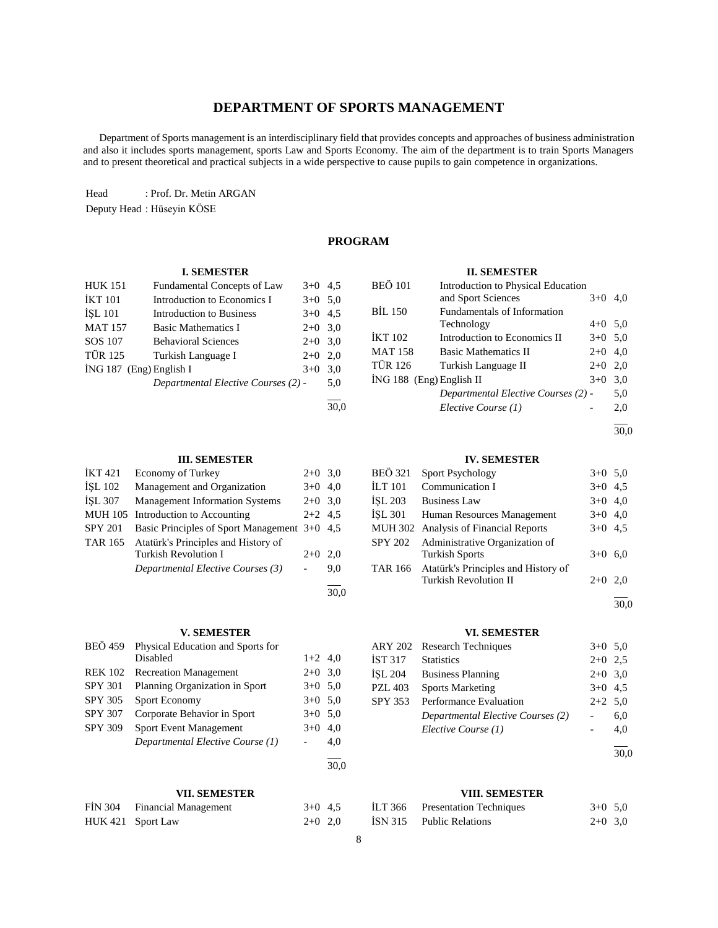# **DEPARTMENT OF SPORTS MANAGEMENT**

 Department of Sports management is an interdisciplinary field that provides concepts and approaches of business administration and also it includes sports management, sports Law and Sports Economy. The aim of the department is to train Sports Managers and to present theoretical and practical subjects in a wide perspective to cause pupils to gain competence in organizations.

Head : Prof. Dr. Metin ARGAN

Deputy Head : Hüseyin KÖSE

# **PROGRAM**

#### **II. SEMESTER**

BEÖ 101 Introduction to Physical Education

| HUK 151                 | Fundamental Concepts of Law         | $3+0$ 4.5 |      |
|-------------------------|-------------------------------------|-----------|------|
| İKT 101                 | Introduction to Economics I         | $3+0$ 5.0 |      |
| İSL 101                 | Introduction to Business            | $3+0$ 4.5 |      |
| MAT 157                 | <b>Basic Mathematics I</b>          | $2+0$ 3.0 |      |
| SOS 107                 | <b>Behavioral Sciences</b>          | $2+0$ 3.0 |      |
| TÜR 125                 | Turkish Language I                  | $2+0$ 2,0 |      |
| İNG 187 (Eng) English I |                                     | $3+0$     | 3,0  |
|                         | Departmental Elective Courses (2) - |           | 5,0  |
|                         |                                     |           | 30.0 |

**I. SEMESTER**

# **III. SEMESTER**

| <b>IKT 421</b> | <b>Economy of Turkey</b>                     | $2+0$ 3.0 |     |
|----------------|----------------------------------------------|-----------|-----|
| ISL 102        | Management and Organization                  | $3+0$ 4.0 |     |
| <b>İSL 307</b> | <b>Management Information Systems</b>        | $2+0$ 3.0 |     |
|                | MUH 105 Introduction to Accounting           | $2+2$ 4.5 |     |
| <b>SPY 201</b> | Basic Principles of Sport Management 3+0 4,5 |           |     |
| <b>TAR 165</b> | Atatürk's Principles and History of          |           |     |
|                | <b>Turkish Revolution I</b>                  | $2+0$     | 2.0 |
|                | Departmental Elective Courses (3)            |           | 9,0 |
|                |                                              |           |     |

# **V. SEMESTER**

| BEÖ 459        | Physical Education and Sports for |           |     |
|----------------|-----------------------------------|-----------|-----|
|                | Disabled                          | $1+2$ 4,0 |     |
| <b>REK 102</b> | <b>Recreation Management</b>      | $2+0$ 3,0 |     |
| <b>SPY 301</b> | Planning Organization in Sport    | $3+0$ 5.0 |     |
| <b>SPY 305</b> | Sport Economy                     | $3+0$ 5.0 |     |
| <b>SPY 307</b> | Corporate Behavior in Sport       | $3+0$ 5.0 |     |
| <b>SPY 309</b> | <b>Sport Event Management</b>     | $3+0$     | 4,0 |
|                | Departmental Elective Course (1)  |           | 4,0 |
|                |                                   |           |     |

## **VII. SEMESTER**

| FİN 304 Financial Management | $3+0$ 4.5 |  |
|------------------------------|-----------|--|
| HUK 421 Sport Law            | $2+0$ 2,0 |  |

|                          | and Sport Sciences                  | $3+0$     | 4.0 |
|--------------------------|-------------------------------------|-----------|-----|
| BİL 150                  | Fundamentals of Information         |           |     |
|                          | Technology                          | $4+0$ 5,0 |     |
| İKT 102                  | Introduction to Economics II        | $3+0$ 5.0 |     |
| MAT 158                  | <b>Basic Mathematics II</b>         | $2+0$ 4,0 |     |
| TÜR 126                  | Turkish Language II                 | $2+0$     | 2,0 |
| ING 188 (Eng) English II |                                     | $3+0$     | 3,0 |
|                          | Departmental Elective Courses (2) - |           | 5,0 |
|                          | Elective Course (1)                 |           | 2,0 |
|                          |                                     |           |     |

30,0

## **IV. SEMESTER**

| <b>BEÖ 321</b> | <b>Sport Psychology</b>                     | $3+0$ 5.0 |     |
|----------------|---------------------------------------------|-----------|-----|
| <b>ILT 101</b> | Communication I                             | $3+0$ 4,5 |     |
| <b>İSL 203</b> | <b>Business Law</b>                         | $3+0$ 4.0 |     |
| <b>İSL 301</b> | Human Resources Management                  | $3+0$ 4,0 |     |
|                | MUH 302 Analysis of Financial Reports       | $3+0$ 4.5 |     |
| <b>SPY 202</b> | Administrative Organization of              |           |     |
|                | <b>Turkish Sports</b>                       | $3+0$     | 6.0 |
|                | TAR 166 Atatürk's Principles and History of |           |     |
|                | <b>Turkish Revolution II</b>                | $2+0$     | 2.0 |
|                |                                             |           |     |

30,0

# **VI. SEMESTER**

|                | ARY 202 Research Techniques       | $3+0$ 5.0 |     |
|----------------|-----------------------------------|-----------|-----|
| <b>IST 317</b> | <b>Statistics</b>                 | $2+0$ 2.5 |     |
| <b>İSL 204</b> | <b>Business Planning</b>          | $2+0$ 3.0 |     |
| <b>PZL 403</b> | <b>Sports Marketing</b>           | $3+0$ 4.5 |     |
| <b>SPY 353</b> | Performance Evaluation            | $2+2$ 5.0 |     |
|                | Departmental Elective Courses (2) |           | 6,0 |
|                | Elective Course (1)               |           | 4,0 |
|                |                                   |           |     |

 $\frac{1}{30,0}$ 

# **VIII. SEMESTER**

| ILT 366 | <b>Presentation Techniques</b> | $3+0$ 5.0 |  |
|---------|--------------------------------|-----------|--|
|         | ISN 315 Public Relations       | $2+0$ 3.0 |  |

30,0

 $\frac{1}{30,0}$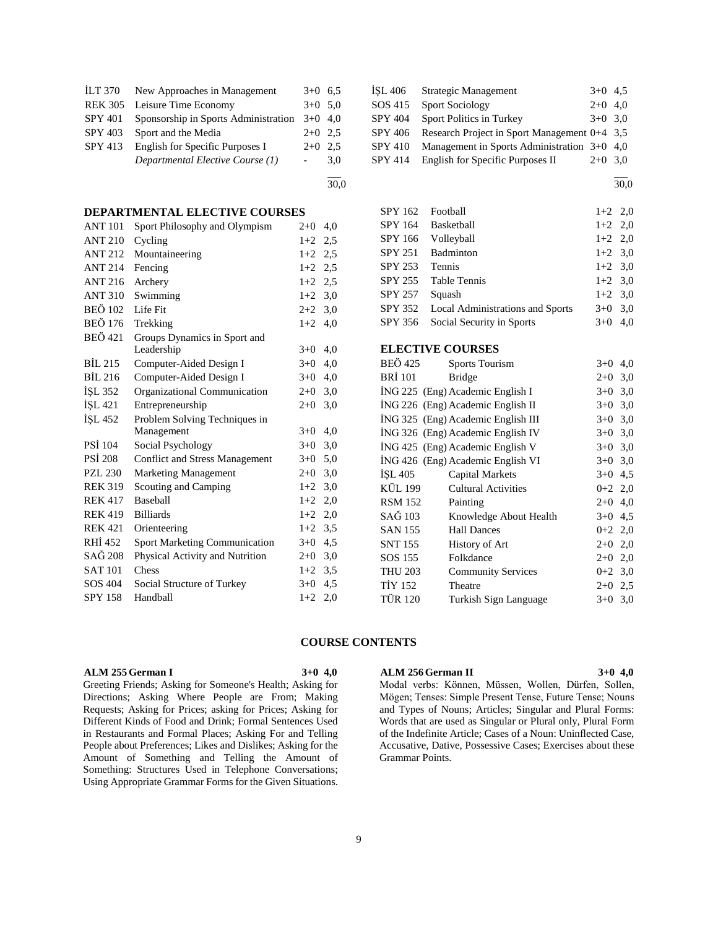| ILT 370        | New Approaches in Management         | $3+0$ 6.5 |     |
|----------------|--------------------------------------|-----------|-----|
| <b>REK 305</b> | Leisure Time Economy                 | $3+0$ 5.0 |     |
| <b>SPY 401</b> | Sponsorship in Sports Administration | $3+0$ 4,0 |     |
| SPY 403        | Sport and the Media                  | $2+0$ 2.5 |     |
| SPY 413        | English for Specific Purposes I      | $2+0$ 2.5 |     |
|                | Departmental Elective Course (1)     |           | 3.0 |
|                |                                      |           |     |

30,0

# **DEPARTMENTAL ELECTIVE COURSES**

| <b>ANT 101</b>     | Sport Philosophy and Olympism         | $2+0$     | 4,0 |
|--------------------|---------------------------------------|-----------|-----|
| <b>ANT 210</b>     | Cycling                               | $1+2$     | 2,5 |
| <b>ANT 212</b>     | Mountaineering                        | $1+2$ 2.5 |     |
| <b>ANT 214</b>     | Fencing                               | $1+2$ 2,5 |     |
| ANT 216            | Archery                               | $1+2$ 2,5 |     |
| <b>ANT 310</b>     | Swimming                              | $1+2$ 3,0 |     |
| <b>BEÖ 102</b>     | Life Fit                              | $2+2$ 3,0 |     |
| <b>BEÖ 176</b>     | Trekking                              | $1+2$     | 4,0 |
| <b>BEÖ</b> 421     | Groups Dynamics in Sport and          |           |     |
|                    | Leadership                            | $3+0$     | 4,0 |
| <b>BIL 215</b>     | Computer-Aided Design I               | $3+0$     | 4,0 |
| <b>BIL 216</b>     | Computer-Aided Design I               | $3+0$     | 4,0 |
| <b>İSL 352</b>     | Organizational Communication          | $2+0$     | 3,0 |
| ISL <sub>421</sub> | Entrepreneurship                      | $2+0$     | 3,0 |
| İŞL 452            | Problem Solving Techniques in         |           |     |
|                    | Management                            | $3+0$     | 4,0 |
| <b>PSI</b> 104     | Social Psychology                     | $3+0$     | 3,0 |
| <b>PSİ 208</b>     | <b>Conflict and Stress Management</b> | $3+0$     | 5,0 |
| <b>PZL 230</b>     | <b>Marketing Management</b>           | $2+0$     | 3,0 |
| <b>REK 319</b>     | Scouting and Camping                  | $1+2$     | 3,0 |
| <b>REK 417</b>     | Baseball                              | $1+2$     | 2,0 |
| <b>REK 419</b>     | <b>Billiards</b>                      | $1+2$ 2,0 |     |
| <b>REK 421</b>     | Orienteering                          | $1+2$ 3,5 |     |
| RHI 452            | Sport Marketing Communication         | $3+0$ 4,5 |     |
| SAĞ 208            | Physical Activity and Nutrition       | $2+0$ 3,0 |     |
| <b>SAT 101</b>     | Chess                                 | $1+2$     | 3,5 |
| SOS 404            | Social Structure of Turkey            | $3+0$     | 4,5 |
| <b>SPY 158</b>     | Handball                              | $1+2$     | 2,0 |

| ISL 406        | Strategic Management                          | $3+0$ 4.5 |  |
|----------------|-----------------------------------------------|-----------|--|
| SOS 415        | <b>Sport Sociology</b>                        | $2+0$ 4.0 |  |
| <b>SPY 404</b> | Sport Politics in Turkey                      | $3+0$ 3.0 |  |
| SPY 406        | Research Project in Sport Management 0+4 3,5  |           |  |
| <b>SPY 410</b> | Management in Sports Administration $3+0$ 4.0 |           |  |
| <b>SPY 414</b> | English for Specific Purposes II              | $2+0$ 3.0 |  |

l 30,0

| <b>SPY 162</b>                    | Football                           | $1+2$     | 2,0       |
|-----------------------------------|------------------------------------|-----------|-----------|
| SPY 164                           | Basketball                         | $1+2$     | 2,0       |
| SPY 166                           | Volleyball                         | $1+2$     | 2,0       |
| SPY 251                           | Badminton                          | $1+2$     | 3,0       |
| SPY 253                           | Tennis                             | $1+2$     | 3,0       |
| SPY 255                           | <b>Table Tennis</b>                | $1+2$     | 3,0       |
| SPY 257                           | Squash                             | $1+2$     | 3,0       |
| SPY 352                           | Local Administrations and Sports   | $3+0$     | 3,0       |
| SPY 356                           | Social Security in Sports          | $3+0$     | 4,0       |
|                                   |                                    |           |           |
|                                   | <b>ELECTIVE COURSES</b>            |           |           |
| <b>BEÖ</b> 425                    | Sports Tourism                     | $3+0$     | 4,0       |
| BRİ 101                           | <b>Bridge</b>                      | $2+0$     | 3,0       |
|                                   | ING 225 (Eng) Academic English I   | $3+0$ 3,0 |           |
| ING 226 (Eng) Academic English II |                                    |           | $3+0$ 3,0 |
|                                   | ING 325 (Eng) Academic English III | $3+0$     | 3,0       |
|                                   | ING 326 (Eng) Academic English IV  | $3+0$     | 3,0       |
| ING 425 (Eng) Academic English V  |                                    |           | $3+0$ 3,0 |
| ING 426 (Eng) Academic English VI |                                    | $3+0$ 3,0 |           |
| İŞL 405                           | <b>Capital Markets</b>             | $3+0$     | 4,5       |
| KÜL 199                           | <b>Cultural Activities</b>         | $0+2$ 2,0 |           |
| <b>RSM 152</b>                    | Painting                           | $2+0$ 4,0 |           |
| SAĞ 103                           | Knowledge About Health             | $3+0$     | 4,5       |
| <b>SAN 155</b>                    | <b>Hall Dances</b>                 | $0+2$ 2,0 |           |
| <b>SNT 155</b>                    | History of Art                     | $2+0$ 2,0 |           |
| SOS 155                           | Folkdance                          | $2 + 0$   | 2,0       |
| <b>THU 203</b>                    | <b>Community Services</b>          | $0+2$ 3,0 |           |
| <b>TİY 152</b>                    | Theatre                            | $2+0$ 2,5 |           |
| <b>TÜR 120</b>                    | Turkish Sign Language              | $3+0$     | 3,0       |

## **COURSE CONTENTS**

## **ALM 255 German I 3+0 4,0**

Greeting Friends; Asking for Someone's Health; Asking for Directions; Asking Where People are From; Making Requests; Asking for Prices; asking for Prices; Asking for Different Kinds of Food and Drink; Formal Sentences Used in Restaurants and Formal Places; Asking For and Telling People about Preferences; Likes and Dislikes; Asking for the Amount of Something and Telling the Amount of Something: Structures Used in Telephone Conversations; Using Appropriate Grammar Forms for the Given Situations.

#### **ALM 256 German II 3+0 4,0**

Modal verbs: Können, Müssen, Wollen, Dürfen, Sollen, Mögen; Tenses: Simple Present Tense, Future Tense; Nouns and Types of Nouns; Articles; Singular and Plural Forms: Words that are used as Singular or Plural only, Plural Form of the Indefinite Article; Cases of a Noun: Uninflected Case, Accusative, Dative, Possessive Cases; Exercises about these Grammar Points.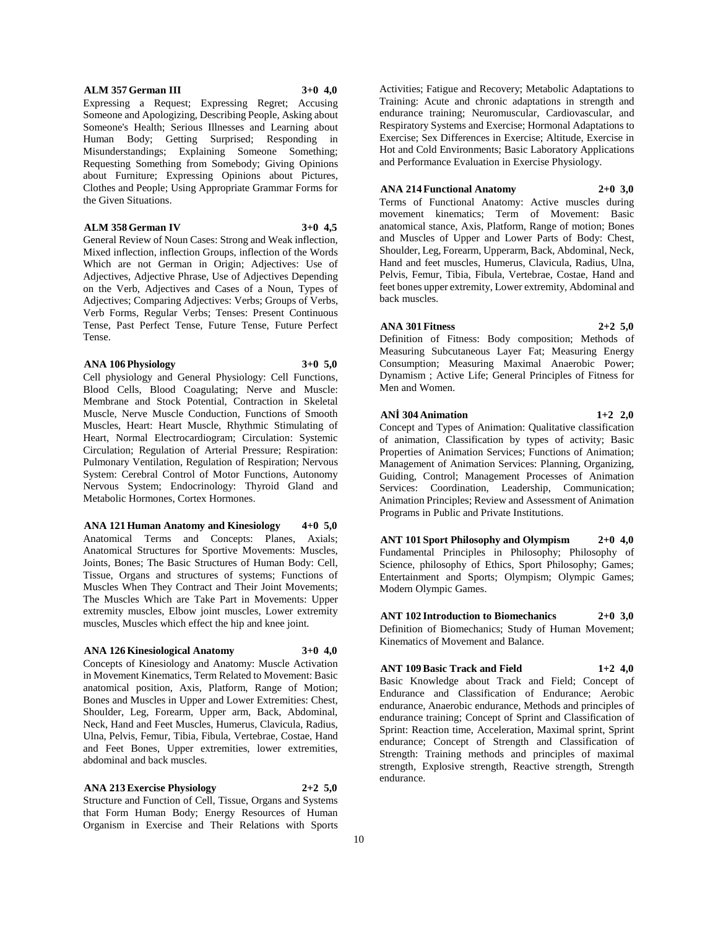## **ALM 357 German III 3+0 4,0**

Expressing a Request; Expressing Regret; Accusing Someone and Apologizing, Describing People, Asking about Someone's Health; Serious Illnesses and Learning about Human Body; Getting Surprised; Responding in Misunderstandings; Explaining Someone Something; Requesting Something from Somebody; Giving Opinions about Furniture; Expressing Opinions about Pictures, Clothes and People; Using Appropriate Grammar Forms for the Given Situations.

## **ALM 358 German IV 3+0 4,5**

General Review of Noun Cases: Strong and Weak inflection, Mixed inflection, inflection Groups, inflection of the Words Which are not German in Origin; Adjectives: Use of Adjectives, Adjective Phrase, Use of Adjectives Depending on the Verb, Adjectives and Cases of a Noun, Types of Adjectives; Comparing Adjectives: Verbs; Groups of Verbs, Verb Forms, Regular Verbs; Tenses: Present Continuous Tense, Past Perfect Tense, Future Tense, Future Perfect Tense.

#### **ANA 106 Physiology 3+0 5,0**

Cell physiology and General Physiology: Cell Functions, Blood Cells, Blood Coagulating; Nerve and Muscle: Membrane and Stock Potential, Contraction in Skeletal Muscle, Nerve Muscle Conduction, Functions of Smooth Muscles, Heart: Heart Muscle, Rhythmic Stimulating of Heart, Normal Electrocardiogram; Circulation: Systemic Circulation; Regulation of Arterial Pressure; Respiration: Pulmonary Ventilation, Regulation of Respiration; Nervous System: Cerebral Control of Motor Functions, Autonomy Nervous System; Endocrinology: Thyroid Gland and Metabolic Hormones, Cortex Hormones.

**ANA 121 Human Anatomy and Kinesiology 4+0 5,0** Anatomical Terms and Concepts: Planes, Axials; Anatomical Structures for Sportive Movements: Muscles, Joints, Bones; The Basic Structures of Human Body: Cell, Tissue, Organs and structures of systems; Functions of Muscles When They Contract and Their Joint Movements; The Muscles Which are Take Part in Movements: Upper extremity muscles, Elbow joint muscles, Lower extremity muscles, Muscles which effect the hip and knee joint.

### **ANA 126 Kinesiological Anatomy 3+0 4,0**

Concepts of Kinesiology and Anatomy: Muscle Activation in Movement Kinematics, Term Related to Movement: Basic anatomical position, Axis, Platform, Range of Motion; Bones and Muscles in Upper and Lower Extremities: Chest, Shoulder, Leg, Forearm, Upper arm, Back, Abdominal, Neck, Hand and Feet Muscles, Humerus, Clavicula, Radius, Ulna, Pelvis, Femur, Tibia, Fibula, Vertebrae, Costae, Hand and Feet Bones, Upper extremities, lower extremities, abdominal and back muscles.

**ANA 213 Exercise Physiology 2+2 5,0** Structure and Function of Cell, Tissue, Organs and Systems that Form Human Body; Energy Resources of Human Organism in Exercise and Their Relations with Sports

Activities; Fatigue and Recovery; Metabolic Adaptations to Training: Acute and chronic adaptations in strength and endurance training; Neuromuscular, Cardiovascular, and Respiratory Systems and Exercise; Hormonal Adaptations to Exercise; Sex Differences in Exercise; Altitude, Exercise in Hot and Cold Environments; Basic Laboratory Applications and Performance Evaluation in Exercise Physiology.

## **ANA 214 Functional Anatomy 2+0 3,0**

Terms of Functional Anatomy: Active muscles during movement kinematics; Term of Movement: Basic anatomical stance, Axis, Platform, Range of motion; Bones and Muscles of Upper and Lower Parts of Body: Chest, Shoulder, Leg, Forearm, Upperarm, Back, Abdominal, Neck, Hand and feet muscles, Humerus, Clavicula, Radius, Ulna, Pelvis, Femur, Tibia, Fibula, Vertebrae, Costae, Hand and feet bones upper extremity, Lower extremity, Abdominal and back muscles.

# **ANA 301 Fitness 2+2 5,0**

Definition of Fitness: Body composition; Methods of Measuring Subcutaneous Layer Fat; Measuring Energy Consumption; Measuring Maximal Anaerobic Power; Dynamism ; Active Life; General Principles of Fitness for Men and Women.

## **ANİ 304 Animation 1+2 2,0**

Concept and Types of Animation: Qualitative classification of animation, Classification by types of activity; Basic Properties of Animation Services; Functions of Animation; Management of Animation Services: Planning, Organizing, Guiding, Control; Management Processes of Animation Services: Coordination, Leadership, Communication; Animation Principles; Review and Assessment of Animation Programs in Public and Private Institutions.

**ANT 101 Sport Philosophy and Olympism 2+0 4,0** Fundamental Principles in Philosophy; Philosophy of Science, philosophy of Ethics, Sport Philosophy; Games; Entertainment and Sports; Olympism; Olympic Games; Modern Olympic Games.

**ANT 102 Introduction to Biomechanics 2+0 3,0** Definition of Biomechanics; Study of Human Movement; Kinematics of Movement and Balance.

## **ANT 109 Basic Track and Field 1+2 4,0**

Basic Knowledge about Track and Field; Concept of Endurance and Classification of Endurance; Aerobic endurance, Anaerobic endurance, Methods and principles of endurance training; Concept of Sprint and Classification of Sprint: Reaction time, Acceleration, Maximal sprint, Sprint endurance; Concept of Strength and Classification of Strength: Training methods and principles of maximal strength, Explosive strength, Reactive strength, Strength endurance.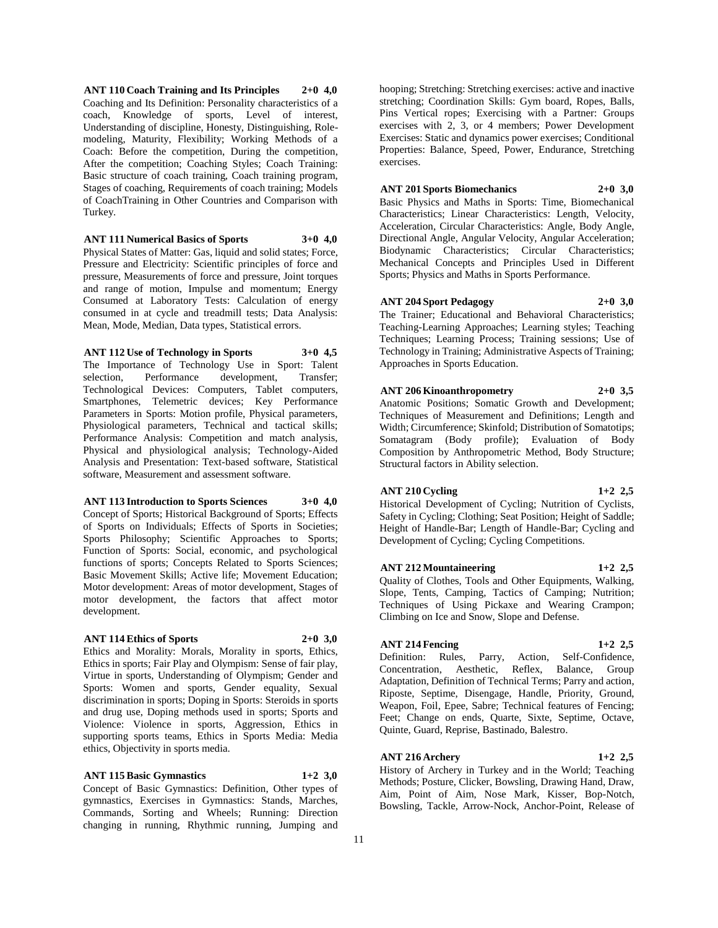**ANT 110 Coach Training and Its Principles 2+0 4,0** Coaching and Its Definition: Personality characteristics of a coach, Knowledge of sports, Level of interest, Understanding of discipline, Honesty, Distinguishing, Rolemodeling, Maturity, Flexibility; Working Methods of a Coach: Before the competition, During the competition, After the competition; Coaching Styles; Coach Training: Basic structure of coach training, Coach training program, Stages of coaching, Requirements of coach training; Models of CoachTraining in Other Countries and Comparison with Turkey.

## **ANT 111 Numerical Basics of Sports 3+0 4,0**

Physical States of Matter: Gas, liquid and solid states; Force, Pressure and Electricity: Scientific principles of force and pressure, Measurements of force and pressure, Joint torques and range of motion, Impulse and momentum; Energy Consumed at Laboratory Tests: Calculation of energy consumed in at cycle and treadmill tests; Data Analysis: Mean, Mode, Median, Data types, Statistical errors.

**ANT 112 Use of Technology in Sports 3+0 4,5** The Importance of Technology Use in Sport: Talent selection, Performance development, Transfer; Technological Devices: Computers, Tablet computers, Smartphones, Telemetric devices; Key Performance Parameters in Sports: Motion profile, Physical parameters, Physiological parameters, Technical and tactical skills; Performance Analysis: Competition and match analysis, Physical and physiological analysis; Technology-Aided Analysis and Presentation: Text-based software, Statistical software, Measurement and assessment software.

#### **ANT 113 Introduction to Sports Sciences 3+0 4,0**

Concept of Sports; Historical Background of Sports; Effects of Sports on Individuals; Effects of Sports in Societies; Sports Philosophy; Scientific Approaches to Sports; Function of Sports: Social, economic, and psychological functions of sports; Concepts Related to Sports Sciences; Basic Movement Skills; Active life; Movement Education; Motor development: Areas of motor development, Stages of motor development, the factors that affect motor development.

## **ANT 114 Ethics of Sports 2+0 3,0**

Ethics and Morality: Morals, Morality in sports, Ethics, Ethics in sports; Fair Play and Olympism: Sense of fair play, Virtue in sports, Understanding of Olympism; Gender and Sports: Women and sports, Gender equality, Sexual discrimination in sports; Doping in Sports: Steroids in sports and drug use, Doping methods used in sports; Sports and Violence: Violence in sports, Aggression, Ethics in supporting sports teams, Ethics in Sports Media: Media ethics, Objectivity in sports media.

#### **ANT 115 Basic Gymnastics 1+2 3,0**

Concept of Basic Gymnastics: Definition, Other types of gymnastics, Exercises in Gymnastics: Stands, Marches, Commands, Sorting and Wheels; Running: Direction changing in running, Rhythmic running, Jumping and hooping; Stretching: Stretching exercises: active and inactive stretching; Coordination Skills: Gym board, Ropes, Balls, Pins Vertical ropes; Exercising with a Partner: Groups exercises with 2, 3, or 4 members; Power Development Exercises: Static and dynamics power exercises; Conditional Properties: Balance, Speed, Power, Endurance, Stretching exercises.

#### **ANT 201 Sports Biomechanics 2+0 3,0**

Basic Physics and Maths in Sports: Time, Biomechanical Characteristics; Linear Characteristics: Length, Velocity, Acceleration, Circular Characteristics: Angle, Body Angle, Directional Angle, Angular Velocity, Angular Acceleration; Biodynamic Characteristics; Circular Characteristics; Mechanical Concepts and Principles Used in Different Sports; Physics and Maths in Sports Performance.

## **ANT 204 Sport Pedagogy 2+0 3,0**

The Trainer; Educational and Behavioral Characteristics; Teaching-Learning Approaches; Learning styles; Teaching Techniques; Learning Process; Training sessions; Use of Technology in Training; Administrative Aspects of Training; Approaches in Sports Education.

## **ANT 206 Kinoanthropometry 2+0 3,5**

Anatomic Positions; Somatic Growth and Development; Techniques of Measurement and Definitions; Length and Width; Circumference; Skinfold; Distribution of Somatotips; Somatagram (Body profile); Evaluation of Body Composition by Anthropometric Method, Body Structure; Structural factors in Ability selection.

#### **ANT 210 Cycling 1+2 2,5**

Historical Development of Cycling; Nutrition of Cyclists, Safety in Cycling; Clothing; Seat Position; Height of Saddle; Height of Handle-Bar; Length of Handle-Bar; Cycling and Development of Cycling; Cycling Competitions.

#### **ANT 212 Mountaineering 1+2 2,5**

Quality of Clothes, Tools and Other Equipments, Walking, Slope, Tents, Camping, Tactics of Camping; Nutrition; Techniques of Using Pickaxe and Wearing Crampon; Climbing on Ice and Snow, Slope and Defense.

#### **ANT 214 Fencing 1+2 2,5**

Definition: Rules, Parry, Action, Self-Confidence, Concentration, Aesthetic, Reflex, Balance, Group Adaptation, Definition of Technical Terms; Parry and action, Riposte, Septime, Disengage, Handle, Priority, Ground, Weapon, Foil, Epee, Sabre; Technical features of Fencing; Feet; Change on ends, Quarte, Sixte, Septime, Octave, Quinte, Guard, Reprise, Bastinado, Balestro.

## **ANT 216 Archery 1+2 2,5**

History of Archery in Turkey and in the World; Teaching Methods; Posture, Clicker, Bowsling, Drawing Hand, Draw, Aim, Point of Aim, Nose Mark, Kisser, Bop-Notch, Bowsling, Tackle, Arrow-Nock, Anchor-Point, Release of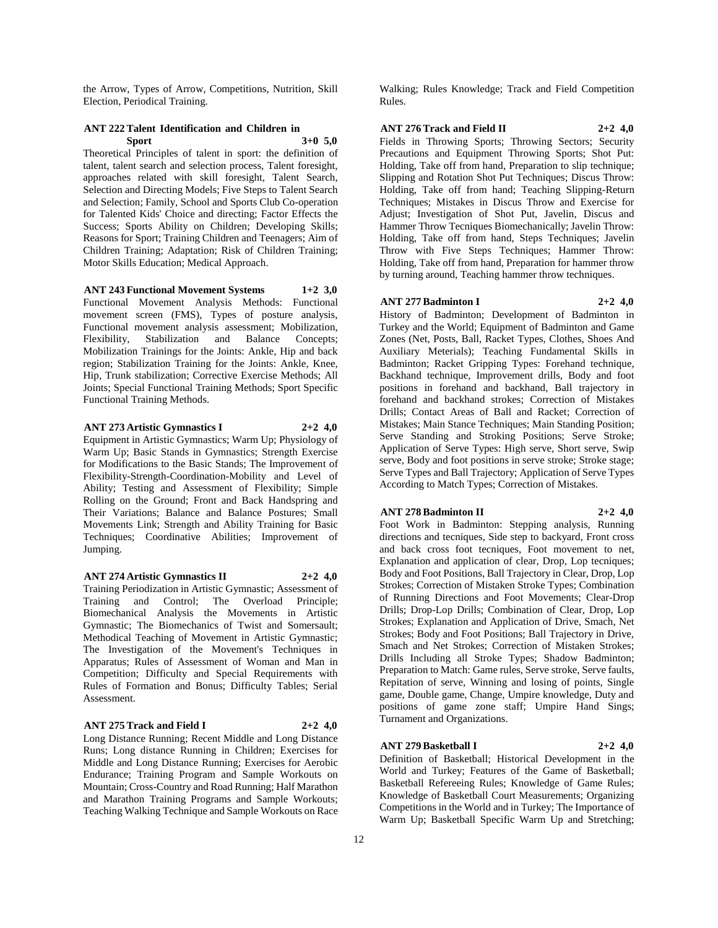the Arrow, Types of Arrow, Competitions, Nutrition, Skill Election, Periodical Training.

#### **ANT 222 Talent Identification and Children in Sport 3+0 5,0**

Theoretical Principles of talent in sport: the definition of talent, talent search and selection process, Talent foresight, approaches related with skill foresight, Talent Search, Selection and Directing Models; Five Steps to Talent Search and Selection; Family, School and Sports Club Co-operation for Talented Kids' Choice and directing; Factor Effects the Success; Sports Ability on Children; Developing Skills; Reasons for Sport; Training Children and Teenagers; Aim of Children Training; Adaptation; Risk of Children Training; Motor Skills Education; Medical Approach.

**ANT 243 Functional Movement Systems 1+2 3,0** Functional Movement Analysis Methods: Functional movement screen (FMS), Types of posture analysis, Functional movement analysis assessment; Mobilization, Flexibility, Stabilization and Balance Concepts; Mobilization Trainings for the Joints: Ankle, Hip and back region; Stabilization Training for the Joints: Ankle, Knee, Hip, Trunk stabilization; Corrective Exercise Methods; All Joints; Special Functional Training Methods; Sport Specific Functional Training Methods.

#### **ANT 273 Artistic Gymnastics I 2+2 4,0**

Equipment in Artistic Gymnastics; Warm Up; Physiology of Warm Up; Basic Stands in Gymnastics; Strength Exercise for Modifications to the Basic Stands; The Improvement of Flexibility-Strength-Coordination-Mobility and Level of Ability; Testing and Assessment of Flexibility; Simple Rolling on the Ground; Front and Back Handspring and Their Variations; Balance and Balance Postures; Small Movements Link; Strength and Ability Training for Basic Techniques; Coordinative Abilities; Improvement of Jumping.

## **ANT 274 Artistic Gymnastics II 2+2 4,0**

Training Periodization in Artistic Gymnastic; Assessment of Training and Control; The Overload Principle; Biomechanical Analysis the Movements in Artistic Gymnastic; The Biomechanics of Twist and Somersault; Methodical Teaching of Movement in Artistic Gymnastic; The Investigation of the Movement's Techniques in Apparatus; Rules of Assessment of Woman and Man in Competition; Difficulty and Special Requirements with Rules of Formation and Bonus; Difficulty Tables; Serial Assessment.

## **ANT 275 Track and Field I 2+2 4,0**

Long Distance Running; Recent Middle and Long Distance Runs; Long distance Running in Children; Exercises for Middle and Long Distance Running; Exercises for Aerobic Endurance; Training Program and Sample Workouts on Mountain; Cross-Country and Road Running; Half Marathon and Marathon Training Programs and Sample Workouts; Teaching Walking Technique and Sample Workouts on Race

Walking; Rules Knowledge; Track and Field Competition Rules.

#### **ANT 276 Track and Field II 2+2 4,0**

Fields in Throwing Sports; Throwing Sectors; Security Precautions and Equipment Throwing Sports; Shot Put: Holding, Take off from hand, Preparation to slip technique; Slipping and Rotation Shot Put Techniques; Discus Throw: Holding, Take off from hand; Teaching Slipping-Return Techniques; Mistakes in Discus Throw and Exercise for Adjust; Investigation of Shot Put, Javelin, Discus and Hammer Throw Tecniques Biomechanically; Javelin Throw: Holding, Take off from hand, Steps Techniques; Javelin Throw with Five Steps Techniques; Hammer Throw: Holding, Take off from hand, Preparation for hammer throw by turning around, Teaching hammer throw techniques.

### **ANT 277 Badminton I 2+2 4,0**

History of Badminton; Development of Badminton in Turkey and the World; Equipment of Badminton and Game Zones (Net, Posts, Ball, Racket Types, Clothes, Shoes And Auxiliary Meterials); Teaching Fundamental Skills in Badminton; Racket Gripping Types: Forehand technique, Backhand technique, Improvement drills, Body and foot positions in forehand and backhand, Ball trajectory in forehand and backhand strokes; Correction of Mistakes Drills; Contact Areas of Ball and Racket; Correction of Mistakes; Main Stance Techniques; Main Standing Position; Serve Standing and Stroking Positions; Serve Stroke; Application of Serve Types: High serve, Short serve, Swip serve, Body and foot positions in serve stroke; Stroke stage; Serve Types and Ball Trajectory; Application of Serve Types According to Match Types; Correction of Mistakes.

#### **ANT 278 Badminton II 2+2 4,0**

Foot Work in Badminton: Stepping analysis, Running directions and tecniques, Side step to backyard, Front cross and back cross foot tecniques, Foot movement to net, Explanation and application of clear, Drop, Lop tecniques; Body and Foot Positions, Ball Trajectory in Clear, Drop, Lop Strokes; Correction of Mistaken Stroke Types; Combination of Running Directions and Foot Movements; Clear-Drop Drills; Drop-Lop Drills; Combination of Clear, Drop, Lop Strokes; Explanation and Application of Drive, Smach, Net Strokes; Body and Foot Positions; Ball Trajectory in Drive, Smach and Net Strokes; Correction of Mistaken Strokes; Drills Including all Stroke Types; Shadow Badminton; Preparation to Match: Game rules, Serve stroke, Serve faults, Repitation of serve, Winning and losing of points, Single game, Double game, Change, Umpire knowledge, Duty and positions of game zone staff; Umpire Hand Sings; Turnament and Organizations.

#### **ANT 279 Basketball I 2+2 4,0**

Definition of Basketball; Historical Development in the World and Turkey; Features of the Game of Basketball; Basketball Refereeing Rules; Knowledge of Game Rules; Knowledge of Basketball Court Measurements; Organizing Competitions in the World and in Turkey; The Importance of Warm Up; Basketball Specific Warm Up and Stretching;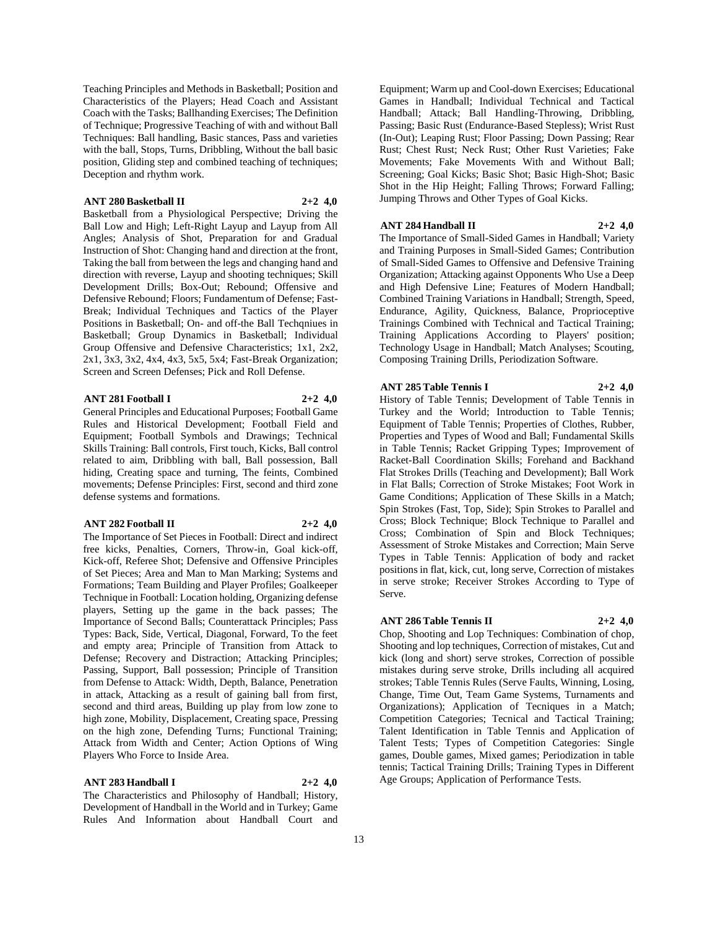Teaching Principles and Methods in Basketball; Position and Characteristics of the Players; Head Coach and Assistant Coach with the Tasks; Ballhanding Exercises; The Definition of Technique; Progressive Teaching of with and without Ball Techniques: Ball handling, Basic stances, Pass and varieties with the ball, Stops, Turns, Dribbling, Without the ball basic position, Gliding step and combined teaching of techniques; Deception and rhythm work.

## **ANT 280 Basketball II 2+2 4,0**

Basketball from a Physiological Perspective; Driving the Ball Low and High; Left-Right Layup and Layup from All Angles; Analysis of Shot, Preparation for and Gradual Instruction of Shot: Changing hand and direction at the front, Taking the ball from between the legs and changing hand and direction with reverse, Layup and shooting techniques; Skill Development Drills; Box-Out; Rebound; Offensive and Defensive Rebound; Floors; Fundamentum of Defense; Fast-Break; Individual Techniques and Tactics of the Player Positions in Basketball; On- and off-the Ball Techqniues in Basketball; Group Dynamics in Basketball; Individual Group Offensive and Defensive Characteristics; 1x1, 2x2, 2x1, 3x3, 3x2, 4x4, 4x3, 5x5, 5x4; Fast-Break Organization; Screen and Screen Defenses; Pick and Roll Defense.

## **ANT 281 Football I 2+2 4,0**

General Principles and Educational Purposes; Football Game Rules and Historical Development; Football Field and Equipment; Football Symbols and Drawings; Technical Skills Training: Ball controls, First touch, Kicks, Ball control related to aim, Dribbling with ball, Ball possession, Ball hiding, Creating space and turning, The feints, Combined movements; Defense Principles: First, second and third zone defense systems and formations.

## **ANT 282 Football II 2+2 4,0**

The Importance of Set Pieces in Football: Direct and indirect free kicks, Penalties, Corners, Throw-in, Goal kick-off, Kick-off, Referee Shot; Defensive and Offensive Principles of Set Pieces; Area and Man to Man Marking; Systems and Formations; Team Building and Player Profiles; Goalkeeper Technique in Football: Location holding, Organizing defense players, Setting up the game in the back passes; The Importance of Second Balls; Counterattack Principles; Pass Types: Back, Side, Vertical, Diagonal, Forward, To the feet and empty area; Principle of Transition from Attack to Defense; Recovery and Distraction; Attacking Principles; Passing, Support, Ball possession; Principle of Transition from Defense to Attack: Width, Depth, Balance, Penetration in attack, Attacking as a result of gaining ball from first, second and third areas, Building up play from low zone to high zone, Mobility, Displacement, Creating space, Pressing on the high zone, Defending Turns; Functional Training; Attack from Width and Center; Action Options of Wing Players Who Force to Inside Area.

#### **ANT 283 Handball I 2+2 4,0**

The Characteristics and Philosophy of Handball; History, Development of Handball in the World and in Turkey; Game Rules And Information about Handball Court and

Equipment; Warm up and Cool-down Exercises; Educational Games in Handball; Individual Technical and Tactical Handball; Attack; Ball Handling-Throwing, Dribbling, Passing; Basic Rust (Endurance-Based Stepless); Wrist Rust (In-Out); Leaping Rust; Floor Passing; Down Passing; Rear Rust; Chest Rust; Neck Rust; Other Rust Varieties; Fake Movements; Fake Movements With and Without Ball; Screening; Goal Kicks; Basic Shot; Basic High-Shot; Basic Shot in the Hip Height; Falling Throws; Forward Falling; Jumping Throws and Other Types of Goal Kicks.

## **ANT 284 Handball II 2+2 4,0**

The Importance of Small-Sided Games in Handball; Variety and Training Purposes in Small-Sided Games; Contribution of Small-Sided Games to Offensive and Defensive Training Organization; Attacking against Opponents Who Use a Deep and High Defensive Line; Features of Modern Handball; Combined Training Variations in Handball; Strength, Speed, Endurance, Agility, Quickness, Balance, Proprioceptive Trainings Combined with Technical and Tactical Training; Training Applications According to Players' position; Technology Usage in Handball; Match Analyses; Scouting, Composing Training Drills, Periodization Software.

## **ANT 285 Table Tennis I 2+2 4,0**

History of Table Tennis; Development of Table Tennis in Turkey and the World; Introduction to Table Tennis; Equipment of Table Tennis; Properties of Clothes, Rubber, Properties and Types of Wood and Ball; Fundamental Skills in Table Tennis; Racket Gripping Types; Improvement of Racket-Ball Coordination Skills; Forehand and Backhand Flat Strokes Drills (Teaching and Development); Ball Work in Flat Balls; Correction of Stroke Mistakes; Foot Work in Game Conditions; Application of These Skills in a Match; Spin Strokes (Fast, Top, Side); Spin Strokes to Parallel and Cross; Block Technique; Block Technique to Parallel and Cross; Combination of Spin and Block Techniques; Assessment of Stroke Mistakes and Correction; Main Serve Types in Table Tennis: Application of body and racket positions in flat, kick, cut, long serve, Correction of mistakes in serve stroke; Receiver Strokes According to Type of Serve.

## **ANT 286 Table Tennis II 2+2 4,0**

Chop, Shooting and Lop Techniques: Combination of chop, Shooting and lop techniques, Correction of mistakes, Cut and kick (long and short) serve strokes, Correction of possible mistakes during serve stroke, Drills including all acquired strokes; Table Tennis Rules (Serve Faults, Winning, Losing, Change, Time Out, Team Game Systems, Turnaments and Organizations); Application of Tecniques in a Match; Competition Categories; Tecnical and Tactical Training; Talent Identification in Table Tennis and Application of Talent Tests; Types of Competition Categories: Single games, Double games, Mixed games; Periodization in table tennis; Tactical Training Drills; Training Types in Different Age Groups; Application of Performance Tests.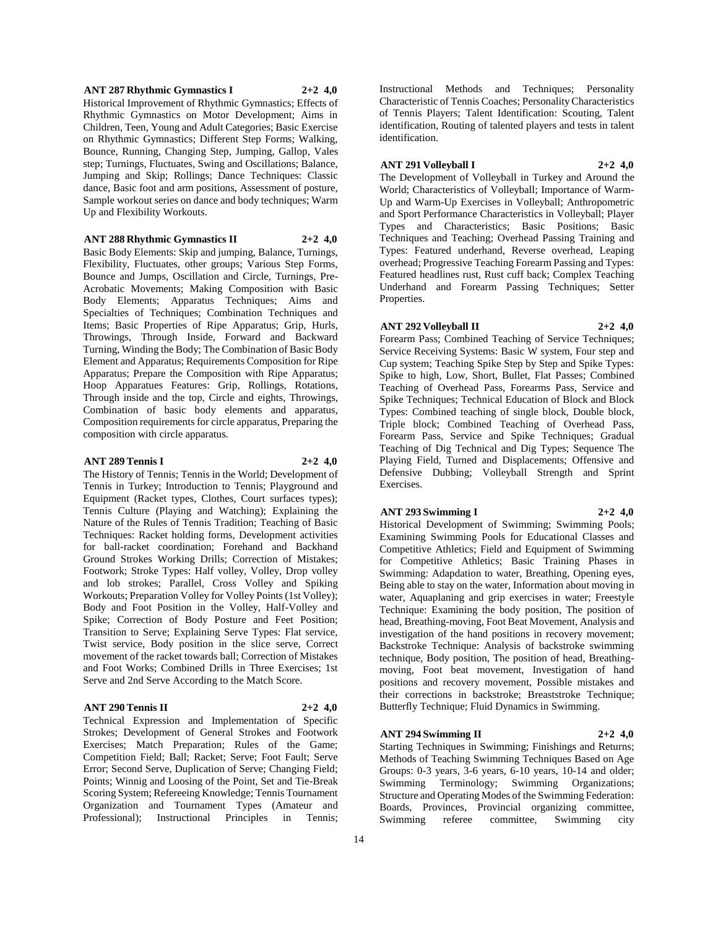## **ANT 287 Rhythmic Gymnastics I 2+2 4,0**

Historical Improvement of Rhythmic Gymnastics; Effects of Rhythmic Gymnastics on Motor Development; Aims in Children, Teen, Young and Adult Categories; Basic Exercise on Rhythmic Gymnastics; Different Step Forms; Walking, Bounce, Running, Changing Step, Jumping, Gallop, Vales step; Turnings, Fluctuates, Swing and Oscillations; Balance, Jumping and Skip; Rollings; Dance Techniques: Classic dance, Basic foot and arm positions, Assessment of posture, Sample workout series on dance and body techniques; Warm Up and Flexibility Workouts.

## **ANT 288 Rhythmic Gymnastics II 2+2 4,0**

Basic Body Elements: Skip and jumping, Balance, Turnings, Flexibility, Fluctuates, other groups; Various Step Forms, Bounce and Jumps, Oscillation and Circle, Turnings, Pre-Acrobatic Movements; Making Composition with Basic Body Elements; Apparatus Techniques; Aims and Specialties of Techniques; Combination Techniques and Items; Basic Properties of Ripe Apparatus; Grip, Hurls, Throwings, Through Inside, Forward and Backward Turning, Winding the Body; The Combination of Basic Body Element and Apparatus; Requirements Composition for Ripe Apparatus; Prepare the Composition with Ripe Apparatus; Hoop Apparatues Features: Grip, Rollings, Rotations, Through inside and the top, Circle and eights, Throwings, Combination of basic body elements and apparatus, Composition requirements for circle apparatus, Preparing the composition with circle apparatus.

## **ANT 289 Tennis I 2+2 4,0**

The History of Tennis; Tennis in the World; Development of Tennis in Turkey; Introduction to Tennis; Playground and Equipment (Racket types, Clothes, Court surfaces types); Tennis Culture (Playing and Watching); Explaining the Nature of the Rules of Tennis Tradition; Teaching of Basic Techniques: Racket holding forms, Development activities for ball-racket coordination; Forehand and Backhand Ground Strokes Working Drills; Correction of Mistakes; Footwork; Stroke Types: Half volley, Volley, Drop volley and lob strokes; Parallel, Cross Volley and Spiking Workouts; Preparation Volley for Volley Points (1st Volley); Body and Foot Position in the Volley, Half-Volley and Spike; Correction of Body Posture and Feet Position; Transition to Serve; Explaining Serve Types: Flat service, Twist service, Body position in the slice serve, Correct movement of the racket towards ball; Correction of Mistakes and Foot Works; Combined Drills in Three Exercises; 1st Serve and 2nd Serve According to the Match Score.

# **ANT 290 Tennis II 2+2 4,0**

Technical Expression and Implementation of Specific Strokes; Development of General Strokes and Footwork Exercises; Match Preparation; Rules of the Game; Competition Field; Ball; Racket; Serve; Foot Fault; Serve Error; Second Serve, Duplication of Serve; Changing Field; Points; Winnig and Loosing of the Point, Set and Tie-Break Scoring System; Refereeing Knowledge; Tennis Tournament Organization and Tournament Types (Amateur and Professional); Instructional Principles in Tennis;

Instructional Methods and Techniques; Personality Characteristic of Tennis Coaches; Personality Characteristics of Tennis Players; Talent Identification: Scouting, Talent identification, Routing of talented players and tests in talent identification.

# **ANT 291 Volleyball I 2+2 4,0**

The Development of Volleyball in Turkey and Around the World; Characteristics of Volleyball; Importance of Warm-Up and Warm-Up Exercises in Volleyball; Anthropometric and Sport Performance Characteristics in Volleyball; Player Types and Characteristics; Basic Positions; Basic Techniques and Teaching; Overhead Passing Training and Types: Featured underhand, Reverse overhead, Leaping overhead; Progressive Teaching Forearm Passing and Types: Featured headlines rust, Rust cuff back; Complex Teaching Underhand and Forearm Passing Techniques; Setter Properties.

#### **ANT 292 Volleyball II 2+2 4,0**

Forearm Pass; Combined Teaching of Service Techniques; Service Receiving Systems: Basic W system, Four step and Cup system; Teaching Spike Step by Step and Spike Types: Spike to high, Low, Short, Bullet, Flat Passes; Combined Teaching of Overhead Pass, Forearms Pass, Service and Spike Techniques; Technical Education of Block and Block Types: Combined teaching of single block, Double block, Triple block; Combined Teaching of Overhead Pass, Forearm Pass, Service and Spike Techniques; Gradual Teaching of Dig Technical and Dig Types; Sequence The Playing Field, Turned and Displacements; Offensive and Defensive Dubbing; Volleyball Strength and Sprint Exercises.

#### **ANT 293 Swimming I 2+2 4,0**

Historical Development of Swimming; Swimming Pools; Examining Swimming Pools for Educational Classes and Competitive Athletics; Field and Equipment of Swimming for Competitive Athletics; Basic Training Phases in Swimming: Adapdation to water, Breathing, Opening eyes, Being able to stay on the water, Information about moving in water, Aquaplaning and grip exercises in water; Freestyle Technique: Examining the body position, The position of head, Breathing-moving, Foot Beat Movement, Analysis and investigation of the hand positions in recovery movement; Backstroke Technique: Analysis of backstroke swimming technique, Body position, The position of head, Breathingmoving, Foot beat movement, Investigation of hand positions and recovery movement, Possible mistakes and their corrections in backstroke; Breaststroke Technique; Butterfly Technique; Fluid Dynamics in Swimming.

## **ANT 294 Swimming II 2+2 4,0**

Starting Techniques in Swimming; Finishings and Returns; Methods of Teaching Swimming Techniques Based on Age Groups: 0-3 years, 3-6 years, 6-10 years, 10-14 and older; Swimming Terminology; Swimming Organizations; Structure and Operating Modes of the Swimming Federation: Boards, Provinces, Provincial organizing committee, Swimming referee committee, Swimming city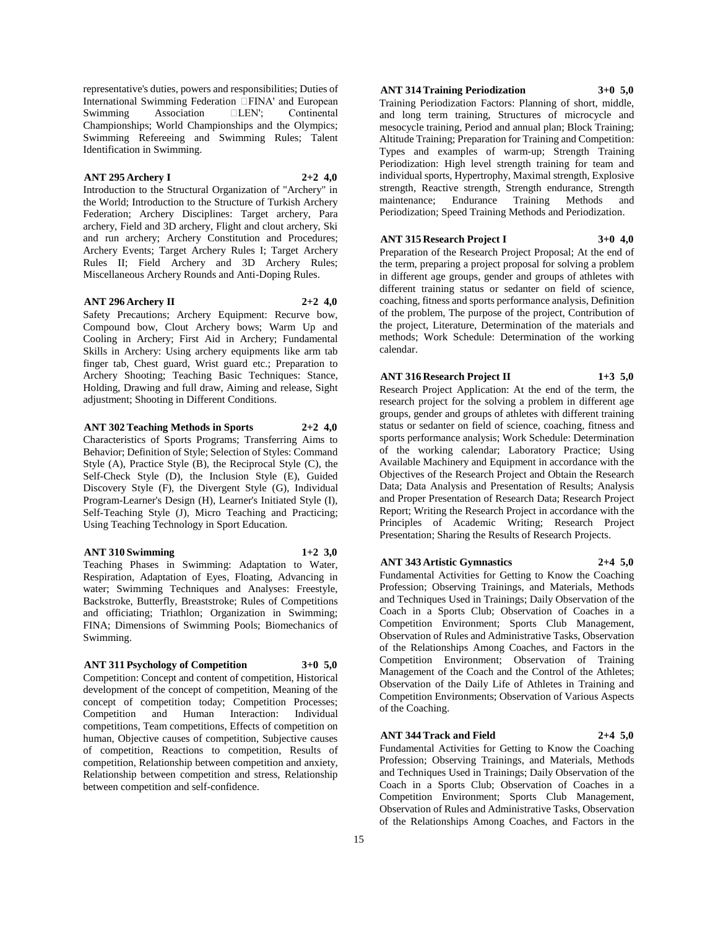representative's duties, powers and responsibilities; Duties of International Swimming Federation  $\Box$ FINA' and European Swimming Association  $\Box$ LEN'; Continental Association  $\Box$  LEN'; Continental Championships; World Championships and the Olympics; Swimming Refereeing and Swimming Rules; Talent Identification in Swimming.

## **ANT 295 Archery I 2+2 4,0**

Introduction to the Structural Organization of "Archery" in the World; Introduction to the Structure of Turkish Archery Federation; Archery Disciplines: Target archery, Para archery, Field and 3D archery, Flight and clout archery, Ski and run archery; Archery Constitution and Procedures; Archery Events; Target Archery Rules I; Target Archery Rules II; Field Archery and 3D Archery Rules; Miscellaneous Archery Rounds and Anti-Doping Rules.

## **ANT 296 Archery II 2+2 4,0**

Safety Precautions; Archery Equipment: Recurve bow, Compound bow, Clout Archery bows; Warm Up and Cooling in Archery; First Aid in Archery; Fundamental Skills in Archery: Using archery equipments like arm tab finger tab, Chest guard, Wrist guard etc.; Preparation to Archery Shooting; Teaching Basic Techniques: Stance, Holding, Drawing and full draw, Aiming and release, Sight adjustment; Shooting in Different Conditions.

**ANT 302 Teaching Methods in Sports 2+2 4,0**

Characteristics of Sports Programs; Transferring Aims to Behavior; Definition of Style; Selection of Styles: Command Style (A), Practice Style (B), the Reciprocal Style (C), the Self-Check Style (D), the Inclusion Style (E), Guided Discovery Style (F), the Divergent Style (G), Individual Program-Learner's Design (H), Learner's Initiated Style (I), Self-Teaching Style (J), Micro Teaching and Practicing; Using Teaching Technology in Sport Education.

#### **ANT 310 Swimming 1+2 3,0**

Teaching Phases in Swimming: Adaptation to Water, Respiration, Adaptation of Eyes, Floating, Advancing in water; Swimming Techniques and Analyses: Freestyle, Backstroke, Butterfly, Breaststroke; Rules of Competitions and officiating; Triathlon; Organization in Swimming; FINA; Dimensions of Swimming Pools; Biomechanics of Swimming.

## **ANT 311 Psychology of Competition 3+0 5,0**

Competition: Concept and content of competition, Historical development of the concept of competition, Meaning of the concept of competition today; Competition Processes;<br>
Competition and Human Interaction: Individual Competition and Human Interaction: Individual competitions, Team competitions, Effects of competition on human, Objective causes of competition, Subjective causes of competition, Reactions to competition, Results of competition, Relationship between competition and anxiety, Relationship between competition and stress, Relationship between competition and self-confidence.

## **ANT 314 Training Periodization 3+0 5,0**

Training Periodization Factors: Planning of short, middle, and long term training, Structures of microcycle and mesocycle training, Period and annual plan; Block Training; Altitude Training; Preparation for Training and Competition: Types and examples of warm-up; Strength Training Periodization: High level strength training for team and individual sports, Hypertrophy, Maximal strength, Explosive strength, Reactive strength, Strength endurance, Strength maintenance; Endurance Training Methods and Periodization; Speed Training Methods and Periodization.

# **ANT 315 Research Project I 3+0 4,0**

Preparation of the Research Project Proposal; At the end of the term, preparing a project proposal for solving a problem in different age groups, gender and groups of athletes with different training status or sedanter on field of science, coaching, fitness and sports performance analysis, Definition of the problem, The purpose of the project, Contribution of the project, Literature, Determination of the materials and methods; Work Schedule: Determination of the working calendar.

## **ANT 316 Research Project II 1+3 5,0**

Research Project Application: At the end of the term, the research project for the solving a problem in different age groups, gender and groups of athletes with different training status or sedanter on field of science, coaching, fitness and sports performance analysis; Work Schedule: Determination of the working calendar; Laboratory Practice; Using Available Machinery and Equipment in accordance with the Objectives of the Research Project and Obtain the Research Data; Data Analysis and Presentation of Results; Analysis and Proper Presentation of Research Data; Research Project Report; Writing the Research Project in accordance with the Principles of Academic Writing; Research Project Presentation; Sharing the Results of Research Projects.

# **ANT 343 Artistic Gymnastics 2+4 5,0**

Fundamental Activities for Getting to Know the Coaching Profession; Observing Trainings, and Materials, Methods and Techniques Used in Trainings; Daily Observation of the Coach in a Sports Club; Observation of Coaches in a Competition Environment; Sports Club Management, Observation of Rules and Administrative Tasks, Observation of the Relationships Among Coaches, and Factors in the Competition Environment; Observation of Training Management of the Coach and the Control of the Athletes; Observation of the Daily Life of Athletes in Training and Competition Environments; Observation of Various Aspects of the Coaching.

## **ANT 344 Track and Field 2+4 5,0**

Fundamental Activities for Getting to Know the Coaching Profession; Observing Trainings, and Materials, Methods and Techniques Used in Trainings; Daily Observation of the Coach in a Sports Club; Observation of Coaches in a Competition Environment; Sports Club Management, Observation of Rules and Administrative Tasks, Observation of the Relationships Among Coaches, and Factors in the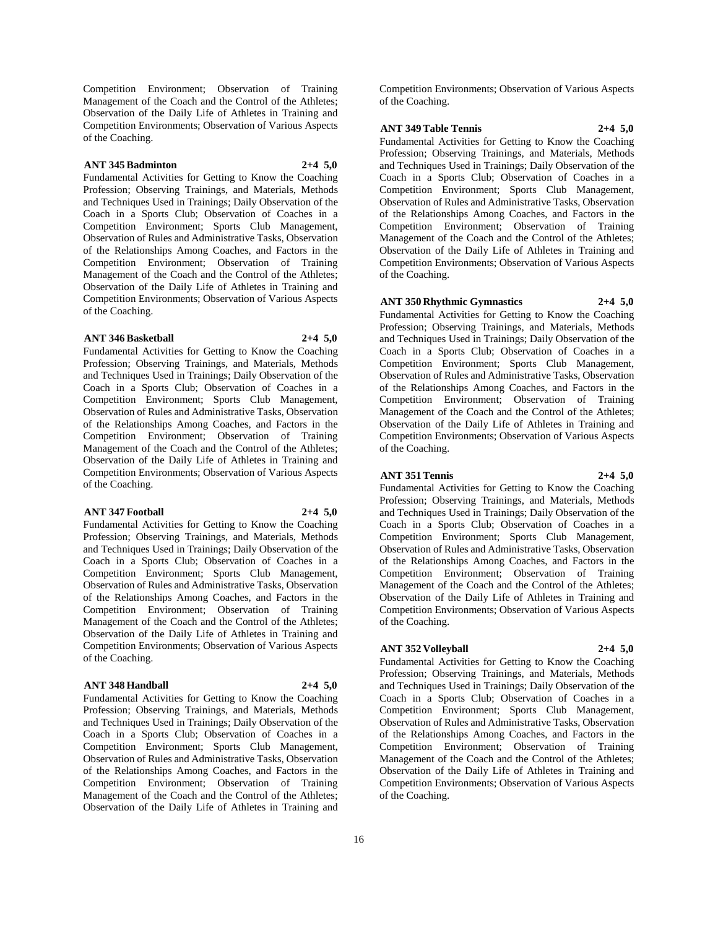Competition Environment; Observation of Training Management of the Coach and the Control of the Athletes; Observation of the Daily Life of Athletes in Training and Competition Environments; Observation of Various Aspects of the Coaching.

## **ANT 345 Badminton 2+4 5,0**

Fundamental Activities for Getting to Know the Coaching Profession; Observing Trainings, and Materials, Methods and Techniques Used in Trainings; Daily Observation of the Coach in a Sports Club; Observation of Coaches in a Competition Environment; Sports Club Management, Observation of Rules and Administrative Tasks, Observation of the Relationships Among Coaches, and Factors in the Competition Environment; Observation of Training Management of the Coach and the Control of the Athletes; Observation of the Daily Life of Athletes in Training and Competition Environments; Observation of Various Aspects of the Coaching.

## **ANT 346 Basketball 2+4 5,0**

Fundamental Activities for Getting to Know the Coaching Profession; Observing Trainings, and Materials, Methods and Techniques Used in Trainings; Daily Observation of the Coach in a Sports Club; Observation of Coaches in a Competition Environment; Sports Club Management, Observation of Rules and Administrative Tasks, Observation of the Relationships Among Coaches, and Factors in the Competition Environment; Observation of Training Management of the Coach and the Control of the Athletes; Observation of the Daily Life of Athletes in Training and Competition Environments; Observation of Various Aspects of the Coaching.

#### **ANT 347 Football 2+4 5,0**

Fundamental Activities for Getting to Know the Coaching Profession; Observing Trainings, and Materials, Methods and Techniques Used in Trainings; Daily Observation of the Coach in a Sports Club; Observation of Coaches in a Competition Environment; Sports Club Management, Observation of Rules and Administrative Tasks, Observation of the Relationships Among Coaches, and Factors in the Competition Environment; Observation of Training Management of the Coach and the Control of the Athletes; Observation of the Daily Life of Athletes in Training and Competition Environments; Observation of Various Aspects of the Coaching.

#### **ANT 348 Handball 2+4 5,0**

Fundamental Activities for Getting to Know the Coaching Profession; Observing Trainings, and Materials, Methods and Techniques Used in Trainings; Daily Observation of the Coach in a Sports Club; Observation of Coaches in a Competition Environment; Sports Club Management, Observation of Rules and Administrative Tasks, Observation of the Relationships Among Coaches, and Factors in the Competition Environment; Observation of Training Management of the Coach and the Control of the Athletes; Observation of the Daily Life of Athletes in Training and Competition Environments; Observation of Various Aspects of the Coaching.

**ANT 349 Table Tennis 2+4 5,0**

Fundamental Activities for Getting to Know the Coaching Profession; Observing Trainings, and Materials, Methods and Techniques Used in Trainings; Daily Observation of the Coach in a Sports Club; Observation of Coaches in a Competition Environment; Sports Club Management, Observation of Rules and Administrative Tasks, Observation of the Relationships Among Coaches, and Factors in the Competition Environment; Observation of Training Management of the Coach and the Control of the Athletes; Observation of the Daily Life of Athletes in Training and Competition Environments; Observation of Various Aspects of the Coaching.

## **ANT 350 Rhythmic Gymnastics 2+4 5,0**

Fundamental Activities for Getting to Know the Coaching Profession; Observing Trainings, and Materials, Methods and Techniques Used in Trainings; Daily Observation of the Coach in a Sports Club; Observation of Coaches in a Competition Environment; Sports Club Management, Observation of Rules and Administrative Tasks, Observation of the Relationships Among Coaches, and Factors in the Competition Environment; Observation of Training Management of the Coach and the Control of the Athletes; Observation of the Daily Life of Athletes in Training and Competition Environments; Observation of Various Aspects of the Coaching.

# **ANT 351 Tennis 2+4 5,0**

Fundamental Activities for Getting to Know the Coaching Profession; Observing Trainings, and Materials, Methods and Techniques Used in Trainings; Daily Observation of the Coach in a Sports Club; Observation of Coaches in a Competition Environment; Sports Club Management, Observation of Rules and Administrative Tasks, Observation of the Relationships Among Coaches, and Factors in the Competition Environment; Observation of Training Management of the Coach and the Control of the Athletes; Observation of the Daily Life of Athletes in Training and Competition Environments; Observation of Various Aspects of the Coaching.

## **ANT 352 Volleyball 2+4 5,0**

Fundamental Activities for Getting to Know the Coaching Profession; Observing Trainings, and Materials, Methods and Techniques Used in Trainings; Daily Observation of the Coach in a Sports Club; Observation of Coaches in a Competition Environment; Sports Club Management, Observation of Rules and Administrative Tasks, Observation of the Relationships Among Coaches, and Factors in the Competition Environment; Observation of Training Management of the Coach and the Control of the Athletes; Observation of the Daily Life of Athletes in Training and Competition Environments; Observation of Various Aspects of the Coaching.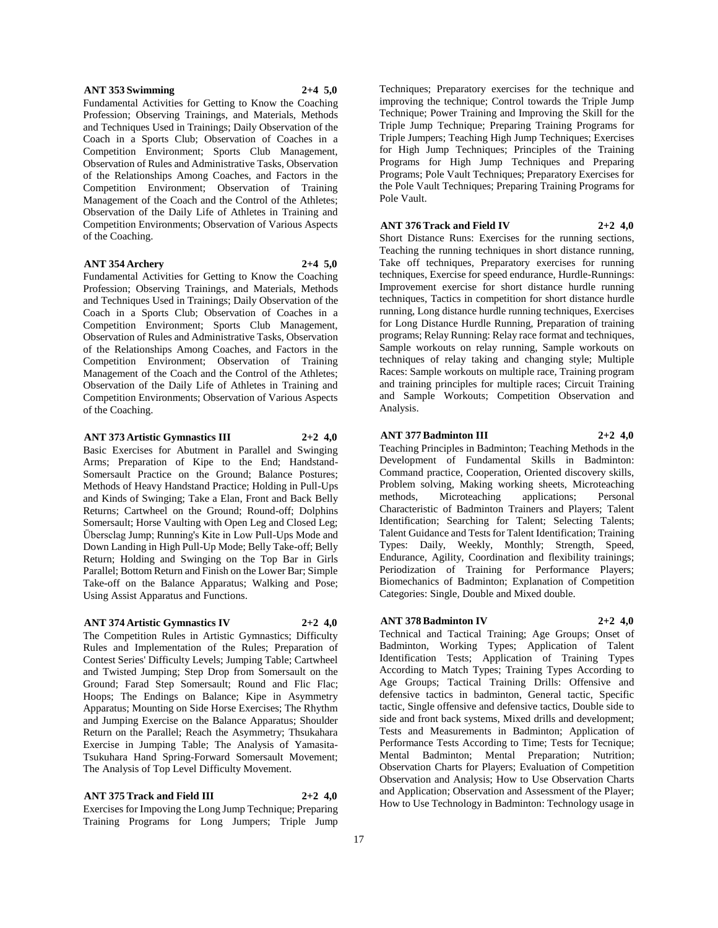## **ANT 353 Swimming 2+4 5,0**

Fundamental Activities for Getting to Know the Coaching Profession; Observing Trainings, and Materials, Methods and Techniques Used in Trainings; Daily Observation of the Coach in a Sports Club; Observation of Coaches in a Competition Environment; Sports Club Management, Observation of Rules and Administrative Tasks, Observation of the Relationships Among Coaches, and Factors in the Competition Environment; Observation of Training Management of the Coach and the Control of the Athletes; Observation of the Daily Life of Athletes in Training and Competition Environments; Observation of Various Aspects of the Coaching.

## **ANT 354 Archery 2+4 5,0**

Fundamental Activities for Getting to Know the Coaching Profession; Observing Trainings, and Materials, Methods and Techniques Used in Trainings; Daily Observation of the Coach in a Sports Club; Observation of Coaches in a Competition Environment; Sports Club Management, Observation of Rules and Administrative Tasks, Observation of the Relationships Among Coaches, and Factors in the Competition Environment; Observation of Training Management of the Coach and the Control of the Athletes; Observation of the Daily Life of Athletes in Training and Competition Environments; Observation of Various Aspects of the Coaching.

#### **ANT 373 Artistic Gymnastics III 2+2 4,0**

Basic Exercises for Abutment in Parallel and Swinging Arms; Preparation of Kipe to the End; Handstand-Somersault Practice on the Ground; Balance Postures; Methods of Heavy Handstand Practice; Holding in Pull-Ups and Kinds of Swinging; Take a Elan, Front and Back Belly Returns; Cartwheel on the Ground; Round-off; Dolphins Somersault; Horse Vaulting with Open Leg and Closed Leg; Übersclag Jump; Running's Kite in Low Pull-Ups Mode and Down Landing in High Pull-Up Mode; Belly Take-off; Belly Return; Holding and Swinging on the Top Bar in Girls Parallel; Bottom Return and Finish on the Lower Bar; Simple Take-off on the Balance Apparatus; Walking and Pose; Using Assist Apparatus and Functions.

## **ANT 374 Artistic Gymnastics IV 2+2 4,0**

The Competition Rules in Artistic Gymnastics; Difficulty Rules and Implementation of the Rules; Preparation of Contest Series' Difficulty Levels; Jumping Table; Cartwheel and Twisted Jumping; Step Drop from Somersault on the Ground; Farad Step Somersault; Round and Flic Flac; Hoops; The Endings on Balance; Kipe in Asymmetry Apparatus; Mounting on Side Horse Exercises; The Rhythm and Jumping Exercise on the Balance Apparatus; Shoulder Return on the Parallel; Reach the Asymmetry; Thsukahara Exercise in Jumping Table; The Analysis of Yamasita-Tsukuhara Hand Spring-Forward Somersault Movement; The Analysis of Top Level Difficulty Movement.

# **ANT 375 Track and Field III 2+2 4,0**

Exercises for Impoving the Long Jump Technique; Preparing Training Programs for Long Jumpers; Triple Jump

Techniques; Preparatory exercises for the technique and improving the technique; Control towards the Triple Jump Technique; Power Training and Improving the Skill for the Triple Jump Technique; Preparing Training Programs for Triple Jumpers; Teaching High Jump Techniques; Exercises for High Jump Techniques; Principles of the Training Programs for High Jump Techniques and Preparing Programs; Pole Vault Techniques; Preparatory Exercises for the Pole Vault Techniques; Preparing Training Programs for Pole Vault.

#### **ANT 376 Track and Field IV 2+2 4,0**

Short Distance Runs: Exercises for the running sections, Teaching the running techniques in short distance running, Take off techniques, Preparatory exercises for running techniques, Exercise for speed endurance, Hurdle-Runnings: Improvement exercise for short distance hurdle running techniques, Tactics in competition for short distance hurdle running, Long distance hurdle running techniques, Exercises for Long Distance Hurdle Running, Preparation of training programs; Relay Running: Relay race format and techniques, Sample workouts on relay running, Sample workouts on techniques of relay taking and changing style; Multiple Races: Sample workouts on multiple race, Training program and training principles for multiple races; Circuit Training and Sample Workouts; Competition Observation and Analysis.

#### **ANT 377 Badminton III 2+2 4,0**

Teaching Principles in Badminton; Teaching Methods in the Development of Fundamental Skills in Badminton: Command practice, Cooperation, Oriented discovery skills, Problem solving, Making working sheets, Microteaching<br>methods, Microteaching applications; Personal Microteaching applications; Personal Characteristic of Badminton Trainers and Players; Talent Identification; Searching for Talent; Selecting Talents; Talent Guidance and Tests for Talent Identification; Training Types: Daily, Weekly, Monthly; Strength, Speed, Endurance, Agility, Coordination and flexibility trainings; Periodization of Training for Performance Players; Biomechanics of Badminton; Explanation of Competition Categories: Single, Double and Mixed double.

#### **ANT 378 Badminton IV 2+2 4,0**

Technical and Tactical Training; Age Groups; Onset of Badminton, Working Types; Application of Talent Identification Tests; Application of Training Types According to Match Types; Training Types According to Age Groups; Tactical Training Drills: Offensive and defensive tactics in badminton, General tactic, Specific tactic, Single offensive and defensive tactics, Double side to side and front back systems, Mixed drills and development; Tests and Measurements in Badminton; Application of Performance Tests According to Time; Tests for Tecnique; Mental Badminton; Mental Preparation; Nutrition; Observation Charts for Players; Evaluation of Competition Observation and Analysis; How to Use Observation Charts and Application; Observation and Assessment of the Player; How to Use Technology in Badminton: Technology usage in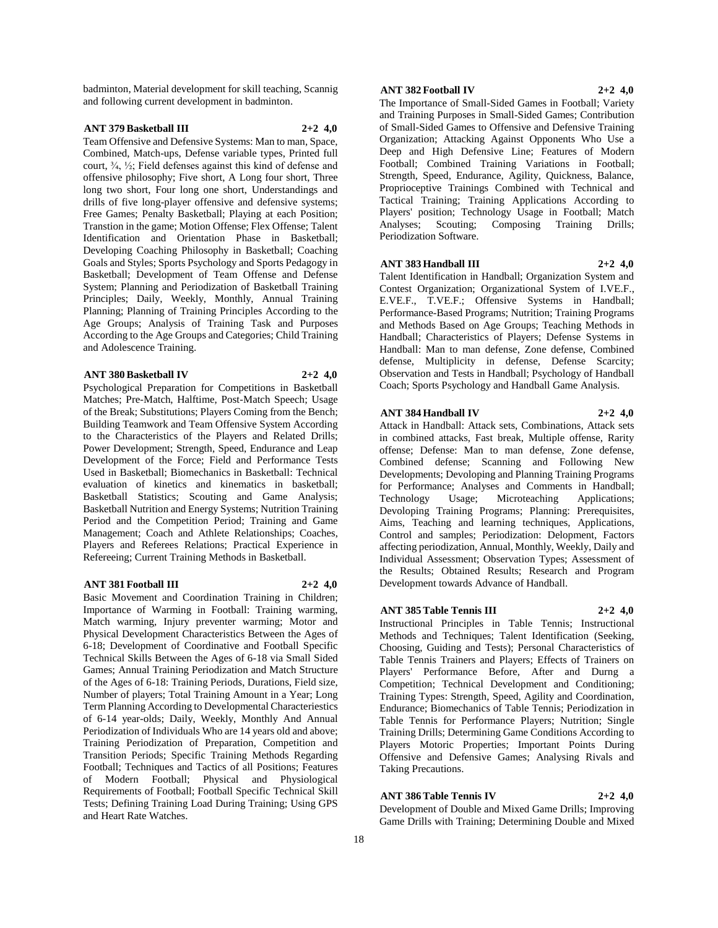badminton, Material development for skill teaching, Scannig and following current development in badminton.

#### **ANT 379 Basketball III 2+2 4,0**

Team Offensive and Defensive Systems: Man to man, Space, Combined, Match-ups, Defense variable types, Printed full court, ¾, ½; Field defenses against this kind of defense and offensive philosophy; Five short, A Long four short, Three long two short, Four long one short, Understandings and drills of five long-player offensive and defensive systems; Free Games; Penalty Basketball; Playing at each Position; Transtion in the game; Motion Offense; Flex Offense; Talent Identification and Orientation Phase in Basketball; Developing Coaching Philosophy in Basketball; Coaching Goals and Styles; Sports Psychology and Sports Pedagogy in Basketball; Development of Team Offense and Defense System; Planning and Periodization of Basketball Training Principles; Daily, Weekly, Monthly, Annual Training Planning; Planning of Training Principles According to the Age Groups; Analysis of Training Task and Purposes According to the Age Groups and Categories; Child Training and Adolescence Training.

## **ANT 380 Basketball IV 2+2 4,0**

Psychological Preparation for Competitions in Basketball Matches; Pre-Match, Halftime, Post-Match Speech; Usage of the Break; Substitutions; Players Coming from the Bench; Building Teamwork and Team Offensive System According to the Characteristics of the Players and Related Drills; Power Development; Strength, Speed, Endurance and Leap Development of the Force; Field and Performance Tests Used in Basketball; Biomechanics in Basketball: Technical evaluation of kinetics and kinematics in basketball; Basketball Statistics; Scouting and Game Analysis; Basketball Nutrition and Energy Systems; Nutrition Training Period and the Competition Period; Training and Game Management; Coach and Athlete Relationships; Coaches, Players and Referees Relations; Practical Experience in Refereeing; Current Training Methods in Basketball.

#### **ANT 381 Football III 2+2 4,0**

Basic Movement and Coordination Training in Children; Importance of Warming in Football: Training warming, Match warming, Injury preventer warming; Motor and Physical Development Characteristics Between the Ages of 6-18; Development of Coordinative and Football Specific Technical Skills Between the Ages of 6-18 via Small Sided Games; Annual Training Periodization and Match Structure of the Ages of 6-18: Training Periods, Durations, Field size, Number of players; Total Training Amount in a Year; Long Term Planning According to Developmental Characteriestics of 6-14 year-olds; Daily, Weekly, Monthly And Annual Periodization of Individuals Who are 14 years old and above; Training Periodization of Preparation, Competition and Transition Periods; Specific Training Methods Regarding Football; Techniques and Tactics of all Positions; Features of Modern Football; Physical and Physiological Requirements of Football; Football Specific Technical Skill Tests; Defining Training Load During Training; Using GPS and Heart Rate Watches.

# **ANT 382 Football IV 2+2 4,0**

The Importance of Small-Sided Games in Football; Variety and Training Purposes in Small-Sided Games; Contribution of Small-Sided Games to Offensive and Defensive Training Organization; Attacking Against Opponents Who Use a Deep and High Defensive Line; Features of Modern Football; Combined Training Variations in Football; Strength, Speed, Endurance, Agility, Quickness, Balance, Proprioceptive Trainings Combined with Technical and Tactical Training; Training Applications According to Players' position; Technology Usage in Football; Match Analyses; Scouting; Composing Training Drills; Periodization Software.

#### **ANT 383 Handball III 2+2 4,0**

Talent Identification in Handball; Organization System and Contest Organization; Organizational System of I.VE.F., E.VE.F., T.VE.F.; Offensive Systems in Handball; Performance-Based Programs; Nutrition; Training Programs and Methods Based on Age Groups; Teaching Methods in Handball; Characteristics of Players; Defense Systems in Handball: Man to man defense, Zone defense, Combined defense, Multiplicity in defense, Defense Scarcity; Observation and Tests in Handball; Psychology of Handball Coach; Sports Psychology and Handball Game Analysis.

#### **ANT 384 Handball IV 2+2 4,0**

Attack in Handball: Attack sets, Combinations, Attack sets in combined attacks, Fast break, Multiple offense, Rarity offense; Defense: Man to man defense, Zone defense, Combined defense; Scanning and Following New Developments; Devoloping and Planning Training Programs for Performance; Analyses and Comments in Handball; Technology Usage; Microteaching Applications; Devoloping Training Programs; Planning: Prerequisites, Aims, Teaching and learning techniques, Applications, Control and samples; Periodization: Delopment, Factors affecting periodization, Annual, Monthly, Weekly, Daily and Individual Assessment; Observation Types; Assessment of the Results; Obtained Results; Research and Program Development towards Advance of Handball.

## **ANT 385 Table Tennis III 2+2 4,0**

Instructional Principles in Table Tennis; Instructional Methods and Techniques; Talent Identification (Seeking, Choosing, Guiding and Tests); Personal Characteristics of Table Tennis Trainers and Players; Effects of Trainers on Players' Performance Before, After and Durng a Competition; Technical Development and Conditioning; Training Types: Strength, Speed, Agility and Coordination, Endurance; Biomechanics of Table Tennis; Periodization in Table Tennis for Performance Players; Nutrition; Single Training Drills; Determining Game Conditions According to Players Motoric Properties; Important Points During Offensive and Defensive Games; Analysing Rivals and Taking Precautions.

#### **ANT 386 Table Tennis IV 2+2 4,0**

Development of Double and Mixed Game Drills; Improving Game Drills with Training; Determining Double and Mixed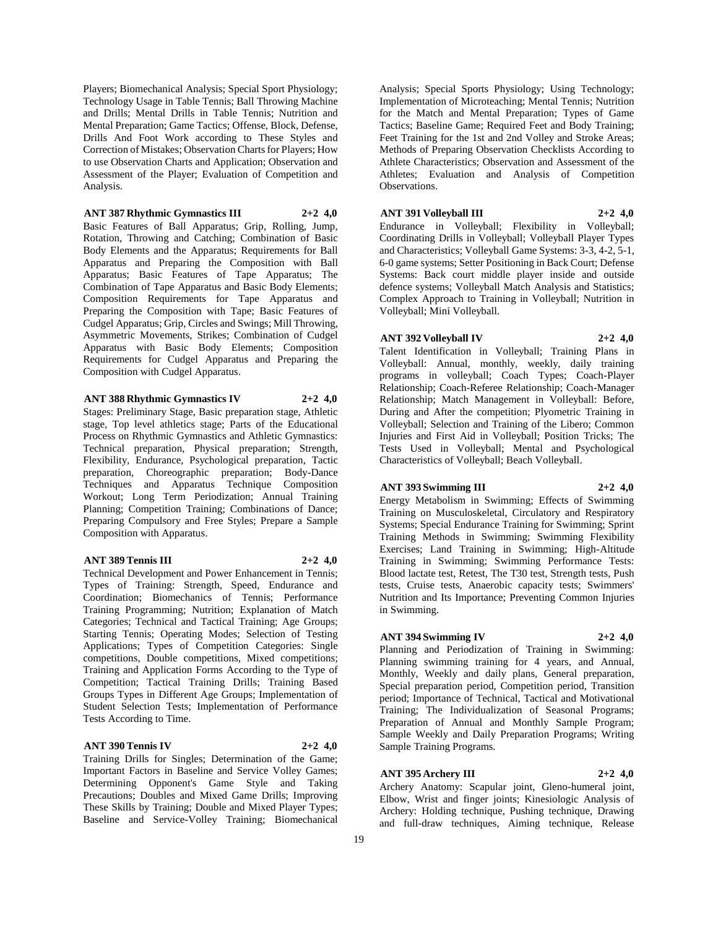Players; Biomechanical Analysis; Special Sport Physiology; Technology Usage in Table Tennis; Ball Throwing Machine and Drills; Mental Drills in Table Tennis; Nutrition and Mental Preparation; Game Tactics; Offense, Block, Defense, Drills And Foot Work according to These Styles and Correction of Mistakes; Observation Charts for Players; How to use Observation Charts and Application; Observation and Assessment of the Player; Evaluation of Competition and Analysis.

# **ANT 387 Rhythmic Gymnastics III 2+2 4,0**

Basic Features of Ball Apparatus; Grip, Rolling, Jump, Rotation, Throwing and Catching; Combination of Basic Body Elements and the Apparatus; Requirements for Ball Apparatus and Preparing the Composition with Ball Apparatus; Basic Features of Tape Apparatus; The Combination of Tape Apparatus and Basic Body Elements; Composition Requirements for Tape Apparatus and Preparing the Composition with Tape; Basic Features of Cudgel Apparatus; Grip, Circles and Swings; Mill Throwing, Asymmetric Movements, Strikes; Combination of Cudgel Apparatus with Basic Body Elements; Composition Requirements for Cudgel Apparatus and Preparing the Composition with Cudgel Apparatus.

## **ANT 388 Rhythmic Gymnastics IV 2+2 4,0**

Stages: Preliminary Stage, Basic preparation stage, Athletic stage, Top level athletics stage; Parts of the Educational Process on Rhythmic Gymnastics and Athletic Gymnastics: Technical preparation, Physical preparation; Strength, Flexibility, Endurance, Psychological preparation, Tactic preparation, Choreographic preparation; Body-Dance Techniques and Apparatus Technique Composition Workout; Long Term Periodization; Annual Training Planning; Competition Training; Combinations of Dance; Preparing Compulsory and Free Styles; Prepare a Sample Composition with Apparatus.

## **ANT 389 Tennis III 2+2 4,0**

Technical Development and Power Enhancement in Tennis; Types of Training: Strength, Speed, Endurance and Coordination; Biomechanics of Tennis; Performance Training Programming; Nutrition; Explanation of Match Categories; Technical and Tactical Training; Age Groups; Starting Tennis; Operating Modes; Selection of Testing Applications; Types of Competition Categories: Single competitions, Double competitions, Mixed competitions; Training and Application Forms According to the Type of Competition; Tactical Training Drills; Training Based Groups Types in Different Age Groups; Implementation of Student Selection Tests; Implementation of Performance

## **ANT 390 Tennis IV 2+2 4,0**

Tests According to Time.

Training Drills for Singles; Determination of the Game; Important Factors in Baseline and Service Volley Games; Determining Opponent's Game Style and Taking Precautions; Doubles and Mixed Game Drills; Improving These Skills by Training; Double and Mixed Player Types; Baseline and Service-Volley Training; Biomechanical

Analysis; Special Sports Physiology; Using Technology; Implementation of Microteaching; Mental Tennis; Nutrition for the Match and Mental Preparation; Types of Game Tactics; Baseline Game; Required Feet and Body Training; Feet Training for the 1st and 2nd Volley and Stroke Areas; Methods of Preparing Observation Checklists According to Athlete Characteristics; Observation and Assessment of the Athletes; Evaluation and Analysis of Competition Observations.

# **ANT 391 Volleyball III 2+2 4,0**

Endurance in Volleyball; Flexibility in Volleyball; Coordinating Drills in Volleyball; Volleyball Player Types and Characteristics; Volleyball Game Systems: 3-3, 4-2, 5-1, 6-0 game systems; Setter Positioning in Back Court; Defense Systems: Back court middle player inside and outside defence systems; Volleyball Match Analysis and Statistics; Complex Approach to Training in Volleyball; Nutrition in Volleyball; Mini Volleyball.

### **ANT 392 Volleyball IV 2+2 4,0**

Talent Identification in Volleyball; Training Plans in Volleyball: Annual, monthly, weekly, daily training programs in volleyball; Coach Types; Coach-Player Relationship; Coach-Referee Relationship; Coach-Manager Relationship; Match Management in Volleyball: Before, During and After the competition; Plyometric Training in Volleyball; Selection and Training of the Libero; Common Injuries and First Aid in Volleyball; Position Tricks; The Tests Used in Volleyball; Mental and Psychological Characteristics of Volleyball; Beach Volleyball.

## **ANT 393 Swimming III 2+2 4,0**

Energy Metabolism in Swimming; Effects of Swimming Training on Musculoskeletal, Circulatory and Respiratory Systems; Special Endurance Training for Swimming; Sprint Training Methods in Swimming; Swimming Flexibility Exercises; Land Training in Swimming; High-Altitude Training in Swimming; Swimming Performance Tests: Blood lactate test, Retest, The T30 test, Strength tests, Push tests, Cruise tests, Anaerobic capacity tests; Swimmers' Nutrition and Its Importance; Preventing Common Injuries in Swimming.

**ANT 394 Swimming IV 2+2 4,0** Planning and Periodization of Training in Swimming: Planning swimming training for 4 years, and Annual, Monthly, Weekly and daily plans, General preparation, Special preparation period, Competition period, Transition period; Importance of Technical, Tactical and Motivational Training; The Individualization of Seasonal Programs; Preparation of Annual and Monthly Sample Program; Sample Weekly and Daily Preparation Programs; Writing

# **ANT 395 Archery III 2+2 4,0**

Sample Training Programs.

Archery Anatomy: Scapular joint, Gleno-humeral joint, Elbow, Wrist and finger joints; Kinesiologic Analysis of Archery: Holding technique, Pushing technique, Drawing and full-draw techniques, Aiming technique, Release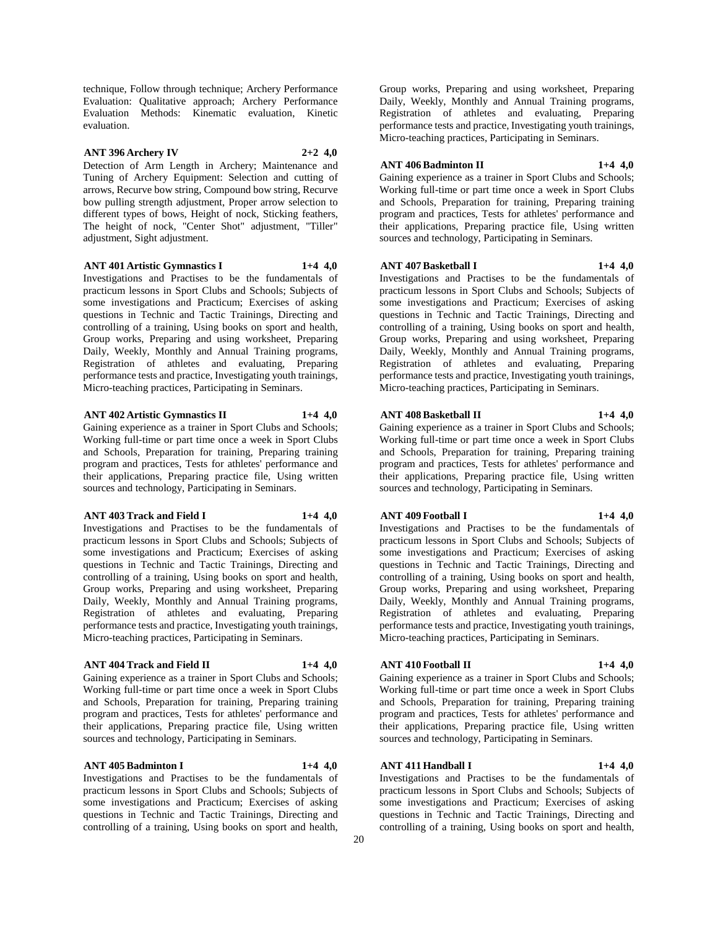technique, Follow through technique; Archery Performance Evaluation: Qualitative approach; Archery Performance Evaluation Methods: Kinematic evaluation, Kinetic evaluation.

## **ANT 396 Archery IV 2+2 4,0**

Detection of Arm Length in Archery; Maintenance and Tuning of Archery Equipment: Selection and cutting of arrows, Recurve bow string, Compound bow string, Recurve bow pulling strength adjustment, Proper arrow selection to different types of bows, Height of nock, Sticking feathers, The height of nock, "Center Shot" adjustment, "Tiller" adjustment, Sight adjustment.

#### **ANT 401 Artistic Gymnastics I 1+4 4,0**

Investigations and Practises to be the fundamentals of practicum lessons in Sport Clubs and Schools; Subjects of some investigations and Practicum; Exercises of asking questions in Technic and Tactic Trainings, Directing and controlling of a training, Using books on sport and health, Group works, Preparing and using worksheet, Preparing Daily, Weekly, Monthly and Annual Training programs, Registration of athletes and evaluating, Preparing performance tests and practice, Investigating youth trainings, Micro-teaching practices, Participating in Seminars.

## **ANT 402 Artistic Gymnastics II 1+4 4,0**

Gaining experience as a trainer in Sport Clubs and Schools; Working full-time or part time once a week in Sport Clubs and Schools, Preparation for training, Preparing training program and practices, Tests for athletes' performance and their applications, Preparing practice file, Using written sources and technology, Participating in Seminars.

## **ANT 403 Track and Field I 1+4 4,0**

Investigations and Practises to be the fundamentals of practicum lessons in Sport Clubs and Schools; Subjects of some investigations and Practicum; Exercises of asking questions in Technic and Tactic Trainings, Directing and controlling of a training, Using books on sport and health, Group works, Preparing and using worksheet, Preparing Daily, Weekly, Monthly and Annual Training programs, Registration of athletes and evaluating, Preparing performance tests and practice, Investigating youth trainings, Micro-teaching practices, Participating in Seminars.

# **ANT 404 Track and Field II 1+4 4,0**

Gaining experience as a trainer in Sport Clubs and Schools; Working full-time or part time once a week in Sport Clubs and Schools, Preparation for training, Preparing training program and practices, Tests for athletes' performance and their applications, Preparing practice file, Using written sources and technology, Participating in Seminars.

controlling of a training, Using books on sport and health,

## **ANT 405 Badminton I 1+4 4,0**

Investigations and Practises to be the fundamentals of practicum lessons in Sport Clubs and Schools; Subjects of some investigations and Practicum; Exercises of asking questions in Technic and Tactic Trainings, Directing and

Group works, Preparing and using worksheet, Preparing Daily, Weekly, Monthly and Annual Training programs, Registration of athletes and evaluating, Preparing performance tests and practice, Investigating youth trainings, Micro-teaching practices, Participating in Seminars.

## **ANT 406 Badminton II 1+4 4,0**

Gaining experience as a trainer in Sport Clubs and Schools; Working full-time or part time once a week in Sport Clubs and Schools, Preparation for training, Preparing training program and practices, Tests for athletes' performance and their applications, Preparing practice file, Using written sources and technology, Participating in Seminars.

## **ANT 407 Basketball I 1+4 4,0**

Investigations and Practises to be the fundamentals of practicum lessons in Sport Clubs and Schools; Subjects of some investigations and Practicum; Exercises of asking questions in Technic and Tactic Trainings, Directing and controlling of a training, Using books on sport and health, Group works, Preparing and using worksheet, Preparing Daily, Weekly, Monthly and Annual Training programs, Registration of athletes and evaluating, Preparing performance tests and practice, Investigating youth trainings, Micro-teaching practices, Participating in Seminars.

#### **ANT 408 Basketball II 1+4 4,0**

Gaining experience as a trainer in Sport Clubs and Schools; Working full-time or part time once a week in Sport Clubs and Schools, Preparation for training, Preparing training program and practices, Tests for athletes' performance and their applications, Preparing practice file, Using written sources and technology, Participating in Seminars.

## **ANT 409 Football I 1+4 4,0**

Investigations and Practises to be the fundamentals of practicum lessons in Sport Clubs and Schools; Subjects of some investigations and Practicum; Exercises of asking questions in Technic and Tactic Trainings, Directing and controlling of a training, Using books on sport and health, Group works, Preparing and using worksheet, Preparing Daily, Weekly, Monthly and Annual Training programs, Registration of athletes and evaluating, Preparing performance tests and practice, Investigating youth trainings,

#### **ANT 410 Football II 1+4 4,0**

Gaining experience as a trainer in Sport Clubs and Schools; Working full-time or part time once a week in Sport Clubs and Schools, Preparation for training, Preparing training program and practices, Tests for athletes' performance and their applications, Preparing practice file, Using written sources and technology, Participating in Seminars.

Micro-teaching practices, Participating in Seminars.

## **ANT 411 Handball I 1+4 4,0**

Investigations and Practises to be the fundamentals of practicum lessons in Sport Clubs and Schools; Subjects of some investigations and Practicum; Exercises of asking questions in Technic and Tactic Trainings, Directing and controlling of a training, Using books on sport and health,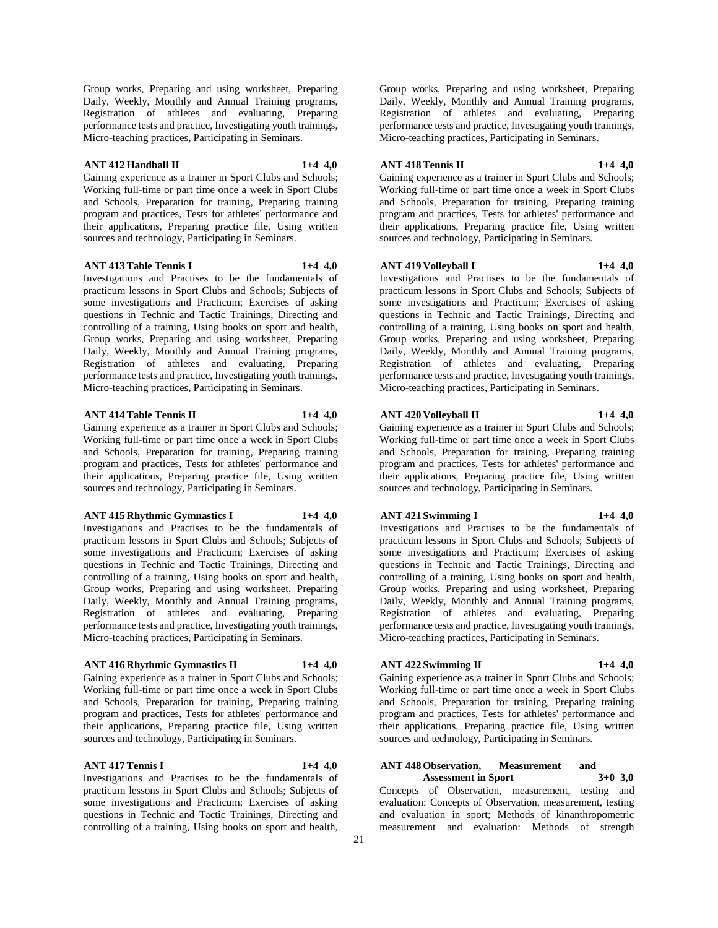Group works, Preparing and using worksheet, Preparing Daily, Weekly, Monthly and Annual Training programs, Registration of athletes and evaluating, Preparing performance tests and practice, Investigating youth trainings, Micro-teaching practices, Participating in Seminars.

## **ANT 412 Handball II 1+4 4,0**

Gaining experience as a trainer in Sport Clubs and Schools; Working full-time or part time once a week in Sport Clubs and Schools, Preparation for training, Preparing training program and practices, Tests for athletes' performance and their applications, Preparing practice file, Using written sources and technology, Participating in Seminars.

#### **ANT 413 Table Tennis I 1+4 4,0**

Investigations and Practises to be the fundamentals of practicum lessons in Sport Clubs and Schools; Subjects of some investigations and Practicum; Exercises of asking questions in Technic and Tactic Trainings, Directing and controlling of a training, Using books on sport and health, Group works, Preparing and using worksheet, Preparing Daily, Weekly, Monthly and Annual Training programs, Registration of athletes and evaluating, Preparing performance tests and practice, Investigating youth trainings, Micro-teaching practices, Participating in Seminars.

## **ANT 414 Table Tennis II 1+4 4,0**

Gaining experience as a trainer in Sport Clubs and Schools; Working full-time or part time once a week in Sport Clubs and Schools, Preparation for training, Preparing training program and practices, Tests for athletes' performance and their applications, Preparing practice file, Using written sources and technology, Participating in Seminars.

## **ANT 415 Rhythmic Gymnastics I 1+4 4,0**

Investigations and Practises to be the fundamentals of practicum lessons in Sport Clubs and Schools; Subjects of some investigations and Practicum; Exercises of asking questions in Technic and Tactic Trainings, Directing and controlling of a training, Using books on sport and health, Group works, Preparing and using worksheet, Preparing Daily, Weekly, Monthly and Annual Training programs, Registration of athletes and evaluating, Preparing performance tests and practice, Investigating youth trainings, Micro-teaching practices, Participating in Seminars.

## **ANT 416 Rhythmic Gymnastics II 1+4 4,0**

Gaining experience as a trainer in Sport Clubs and Schools; Working full-time or part time once a week in Sport Clubs and Schools, Preparation for training, Preparing training program and practices, Tests for athletes' performance and their applications, Preparing practice file, Using written sources and technology, Participating in Seminars.

# **ANT 417 Tennis I 1+4 4,0**

Investigations and Practises to be the fundamentals of practicum lessons in Sport Clubs and Schools; Subjects of some investigations and Practicum; Exercises of asking questions in Technic and Tactic Trainings, Directing and controlling of a training, Using books on sport and health,

Group works, Preparing and using worksheet, Preparing Daily, Weekly, Monthly and Annual Training programs, Registration of athletes and evaluating, Preparing performance tests and practice, Investigating youth trainings, Micro-teaching practices, Participating in Seminars.

## **ANT 418 Tennis II 1+4 4,0**

Gaining experience as a trainer in Sport Clubs and Schools; Working full-time or part time once a week in Sport Clubs and Schools, Preparation for training, Preparing training program and practices, Tests for athletes' performance and their applications, Preparing practice file, Using written sources and technology, Participating in Seminars.

## **ANT 419 Volleyball I 1+4 4,0**

Investigations and Practises to be the fundamentals of practicum lessons in Sport Clubs and Schools; Subjects of some investigations and Practicum; Exercises of asking questions in Technic and Tactic Trainings, Directing and controlling of a training, Using books on sport and health, Group works, Preparing and using worksheet, Preparing Daily, Weekly, Monthly and Annual Training programs, Registration of athletes and evaluating, Preparing performance tests and practice, Investigating youth trainings, Micro-teaching practices, Participating in Seminars.

#### **ANT 420 Volleyball II 1+4 4,0**

Gaining experience as a trainer in Sport Clubs and Schools; Working full-time or part time once a week in Sport Clubs and Schools, Preparation for training, Preparing training program and practices, Tests for athletes' performance and their applications, Preparing practice file, Using written

## **ANT 421 Swimming I 1+4 4,0**

Investigations and Practises to be the fundamentals of practicum lessons in Sport Clubs and Schools; Subjects of some investigations and Practicum; Exercises of asking questions in Technic and Tactic Trainings, Directing and controlling of a training, Using books on sport and health, Group works, Preparing and using worksheet, Preparing Daily, Weekly, Monthly and Annual Training programs, Registration of athletes and evaluating, Preparing performance tests and practice, Investigating youth trainings, Micro-teaching practices, Participating in Seminars.

sources and technology, Participating in Seminars.

## **ANT 422 Swimming II 1+4 4,0**

Gaining experience as a trainer in Sport Clubs and Schools; Working full-time or part time once a week in Sport Clubs and Schools, Preparation for training, Preparing training program and practices, Tests for athletes' performance and their applications, Preparing practice file, Using written sources and technology, Participating in Seminars.

#### **ANT 448 Observation, Measurement and Assessment in Sport 3+0 3,0**

Concepts of Observation, measurement, testing and evaluation: Concepts of Observation, measurement, testing and evaluation in sport; Methods of kinanthropometric measurement and evaluation: Methods of strength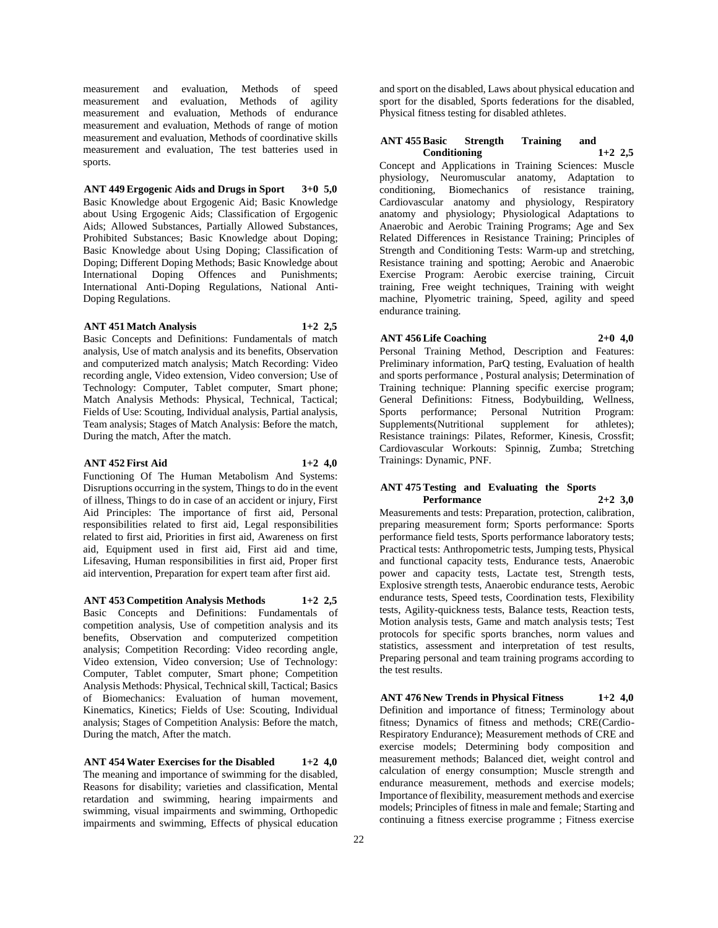measurement and evaluation, Methods of speed measurement and evaluation, Methods of agility measurement and evaluation, Methods of endurance measurement and evaluation, Methods of range of motion measurement and evaluation, Methods of coordinative skills measurement and evaluation, The test batteries used in sports.

## **ANT 449 Ergogenic Aids and Drugs in Sport 3+0 5,0**

Basic Knowledge about Ergogenic Aid; Basic Knowledge about Using Ergogenic Aids; Classification of Ergogenic Aids; Allowed Substances, Partially Allowed Substances, Prohibited Substances; Basic Knowledge about Doping; Basic Knowledge about Using Doping; Classification of Doping; Different Doping Methods; Basic Knowledge about International Doping Offences and Punishments; International Anti-Doping Regulations, National Anti-Doping Regulations.

## **ANT 451 Match Analysis 1+2 2,5**

Basic Concepts and Definitions: Fundamentals of match analysis, Use of match analysis and its benefits, Observation and computerized match analysis; Match Recording: Video recording angle, Video extension, Video conversion; Use of Technology: Computer, Tablet computer, Smart phone; Match Analysis Methods: Physical, Technical, Tactical; Fields of Use: Scouting, Individual analysis, Partial analysis, Team analysis; Stages of Match Analysis: Before the match, During the match, After the match.

#### **ANT 452 First Aid 1+2 4,0**

Functioning Of The Human Metabolism And Systems: Disruptions occurring in the system, Things to do in the event of illness, Things to do in case of an accident or injury, First Aid Principles: The importance of first aid, Personal responsibilities related to first aid, Legal responsibilities related to first aid, Priorities in first aid, Awareness on first aid, Equipment used in first aid, First aid and time, Lifesaving, Human responsibilities in first aid, Proper first aid intervention, Preparation for expert team after first aid.

**ANT 453 Competition Analysis Methods 1+2 2,5** Basic Concepts and Definitions: Fundamentals of competition analysis, Use of competition analysis and its benefits, Observation and computerized competition analysis; Competition Recording: Video recording angle, Video extension, Video conversion; Use of Technology: Computer, Tablet computer, Smart phone; Competition Analysis Methods: Physical, Technical skill, Tactical; Basics of Biomechanics: Evaluation of human movement, Kinematics, Kinetics; Fields of Use: Scouting, Individual analysis; Stages of Competition Analysis: Before the match, During the match, After the match.

**ANT 454 Water Exercises for the Disabled 1+2 4,0** The meaning and importance of swimming for the disabled, Reasons for disability; varieties and classification, Mental retardation and swimming, hearing impairments and swimming, visual impairments and swimming, Orthopedic impairments and swimming, Effects of physical education

and sport on the disabled, Laws about physical education and sport for the disabled, Sports federations for the disabled, Physical fitness testing for disabled athletes.

## **ANT 455 Basic Strength Training and Conditioning 1+2 2,5**

Concept and Applications in Training Sciences: Muscle physiology, Neuromuscular anatomy, Adaptation to conditioning, Biomechanics of resistance training, Cardiovascular anatomy and physiology, Respiratory anatomy and physiology; Physiological Adaptations to Anaerobic and Aerobic Training Programs; Age and Sex Related Differences in Resistance Training; Principles of Strength and Conditioning Tests: Warm-up and stretching, Resistance training and spotting; Aerobic and Anaerobic Exercise Program: Aerobic exercise training, Circuit training, Free weight techniques, Training with weight machine, Plyometric training, Speed, agility and speed endurance training.

## **ANT 456 Life Coaching 2+0 4,0**

Personal Training Method, Description and Features: Preliminary information, ParQ testing, Evaluation of health and sports performance , Postural analysis; Determination of Training technique: Planning specific exercise program; General Definitions: Fitness, Bodybuilding, Wellness, Sports performance; Personal Nutrition Program:<br>Supplements(Nutritional supplement for athletes); Supplements(Nutritional supplement for Resistance trainings: Pilates, Reformer, Kinesis, Crossfit; Cardiovascular Workouts: Spinnig, Zumba; Stretching Trainings: Dynamic, PNF.

## **ANT 475 Testing and Evaluating the Sports Performance 2+2 3,0**

Measurements and tests: Preparation, protection, calibration, preparing measurement form; Sports performance: Sports performance field tests, Sports performance laboratory tests; Practical tests: Anthropometric tests, Jumping tests, Physical and functional capacity tests, Endurance tests, Anaerobic power and capacity tests, Lactate test, Strength tests, Explosive strength tests, Anaerobic endurance tests, Aerobic endurance tests, Speed tests, Coordination tests, Flexibility tests, Agility-quickness tests, Balance tests, Reaction tests, Motion analysis tests, Game and match analysis tests; Test protocols for specific sports branches, norm values and statistics, assessment and interpretation of test results, Preparing personal and team training programs according to the test results.

**ANT 476 New Trends in Physical Fitness 1+2 4,0** Definition and importance of fitness; Terminology about fitness; Dynamics of fitness and methods; CRE(Cardio-Respiratory Endurance); Measurement methods of CRE and exercise models; Determining body composition and measurement methods; Balanced diet, weight control and calculation of energy consumption; Muscle strength and endurance measurement, methods and exercise models; Importance of flexibility, measurement methods and exercise models; Principles of fitness in male and female; Starting and continuing a fitness exercise programme ; Fitness exercise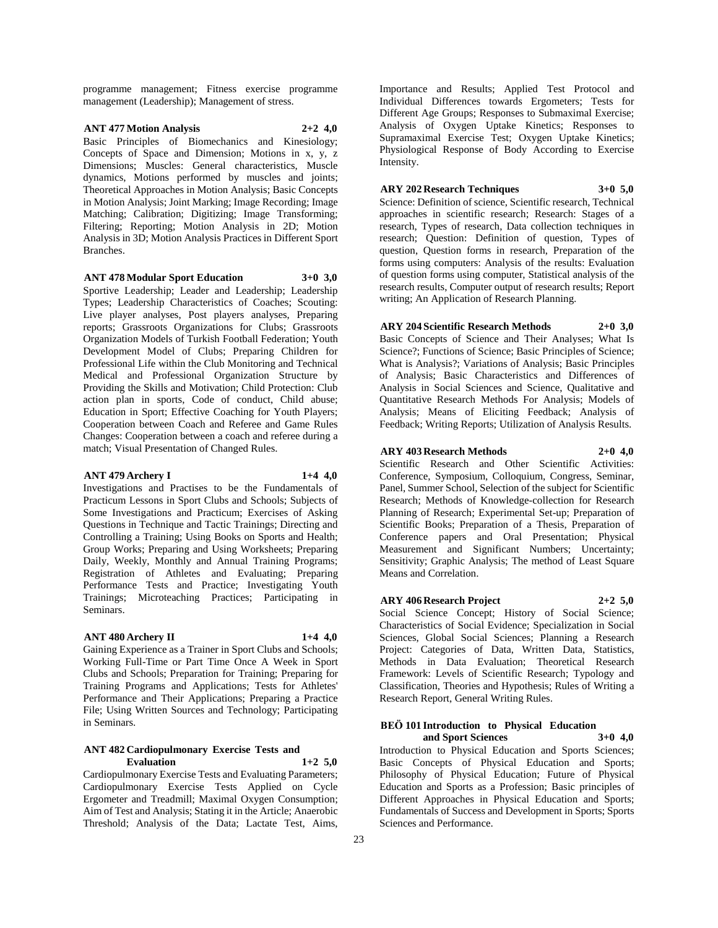programme management; Fitness exercise programme management (Leadership); Management of stress.

## **ANT 477 Motion Analysis 2+2 4,0**

Basic Principles of Biomechanics and Kinesiology; Concepts of Space and Dimension; Motions in x, y, z Dimensions; Muscles: General characteristics, Muscle dynamics, Motions performed by muscles and joints; Theoretical Approaches in Motion Analysis; Basic Concepts in Motion Analysis; Joint Marking; Image Recording; Image Matching; Calibration; Digitizing; Image Transforming; Filtering; Reporting; Motion Analysis in 2D; Motion Analysis in 3D; Motion Analysis Practices in Different Sport Branches.

#### **ANT 478 Modular Sport Education 3+0 3,0**

Sportive Leadership; Leader and Leadership; Leadership Types; Leadership Characteristics of Coaches; Scouting: Live player analyses, Post players analyses, Preparing reports; Grassroots Organizations for Clubs; Grassroots Organization Models of Turkish Football Federation; Youth Development Model of Clubs; Preparing Children for Professional Life within the Club Monitoring and Technical Medical and Professional Organization Structure by Providing the Skills and Motivation; Child Protection: Club action plan in sports, Code of conduct, Child abuse; Education in Sport; Effective Coaching for Youth Players; Cooperation between Coach and Referee and Game Rules Changes: Cooperation between a coach and referee during a match; Visual Presentation of Changed Rules.

## **ANT 479 Archery I 1+4 4,0**

Investigations and Practises to be the Fundamentals of Practicum Lessons in Sport Clubs and Schools; Subjects of Some Investigations and Practicum; Exercises of Asking Questions in Technique and Tactic Trainings; Directing and Controlling a Training; Using Books on Sports and Health; Group Works; Preparing and Using Worksheets; Preparing Daily, Weekly, Monthly and Annual Training Programs; Registration of Athletes and Evaluating; Preparing Performance Tests and Practice; Investigating Youth Trainings; Microteaching Practices; Participating in Seminars.

## **ANT 480 Archery II 1+4 4,0**

Gaining Experience as a Trainer in Sport Clubs and Schools; Working Full-Time or Part Time Once A Week in Sport Clubs and Schools; Preparation for Training; Preparing for Training Programs and Applications; Tests for Athletes' Performance and Their Applications; Preparing a Practice File; Using Written Sources and Technology; Participating in Seminars.

#### **ANT 482 Cardiopulmonary Exercise Tests and Evaluation 1+2 5,0**

Cardiopulmonary Exercise Tests and Evaluating Parameters; Cardiopulmonary Exercise Tests Applied on Cycle Ergometer and Treadmill; Maximal Oxygen Consumption; Aim of Test and Analysis; Stating it in the Article; Anaerobic Threshold; Analysis of the Data; Lactate Test, Aims,

Importance and Results; Applied Test Protocol and Individual Differences towards Ergometers; Tests for Different Age Groups; Responses to Submaximal Exercise; Analysis of Oxygen Uptake Kinetics; Responses to Supramaximal Exercise Test; Oxygen Uptake Kinetics; Physiological Response of Body According to Exercise Intensity.

## **ARY 202 Research Techniques 3+0 5,0**

Science: Definition of science, Scientific research, Technical approaches in scientific research; Research: Stages of a research, Types of research, Data collection techniques in research; Question: Definition of question, Types of question, Question forms in research, Preparation of the forms using computers: Analysis of the results: Evaluation of question forms using computer, Statistical analysis of the research results, Computer output of research results; Report writing; An Application of Research Planning.

## **ARY 204 Scientific Research Methods 2+0 3,0**

Basic Concepts of Science and Their Analyses; What Is Science?; Functions of Science; Basic Principles of Science; What is Analysis?; Variations of Analysis; Basic Principles of Analysis; Basic Characteristics and Differences of Analysis in Social Sciences and Science, Qualitative and Quantitative Research Methods For Analysis; Models of Analysis; Means of Eliciting Feedback; Analysis of Feedback; Writing Reports; Utilization of Analysis Results.

## **ARY 403 Research Methods 2+0 4,0**

Scientific Research and Other Scientific Activities: Conference, Symposium, Colloquium, Congress, Seminar, Panel, Summer School, Selection of the subject for Scientific Research; Methods of Knowledge-collection for Research Planning of Research; Experimental Set-up; Preparation of Scientific Books; Preparation of a Thesis, Preparation of Conference papers and Oral Presentation; Physical Measurement and Significant Numbers; Uncertainty; Sensitivity; Graphic Analysis; The method of Least Square Means and Correlation.

# **ARY 406 Research Project 2+2 5,0**

Social Science Concept; History of Social Science; Characteristics of Social Evidence; Specialization in Social Sciences, Global Social Sciences; Planning a Research Project: Categories of Data, Written Data, Statistics, Methods in Data Evaluation; Theoretical Research Framework: Levels of Scientific Research; Typology and Classification, Theories and Hypothesis; Rules of Writing a Research Report, General Writing Rules.

#### **BEÖ 101 Introduction to Physical Education and Sport Sciences 3+0 4,0**

Introduction to Physical Education and Sports Sciences; Basic Concepts of Physical Education and Sports; Philosophy of Physical Education; Future of Physical Education and Sports as a Profession; Basic principles of Different Approaches in Physical Education and Sports; Fundamentals of Success and Development in Sports; Sports Sciences and Performance.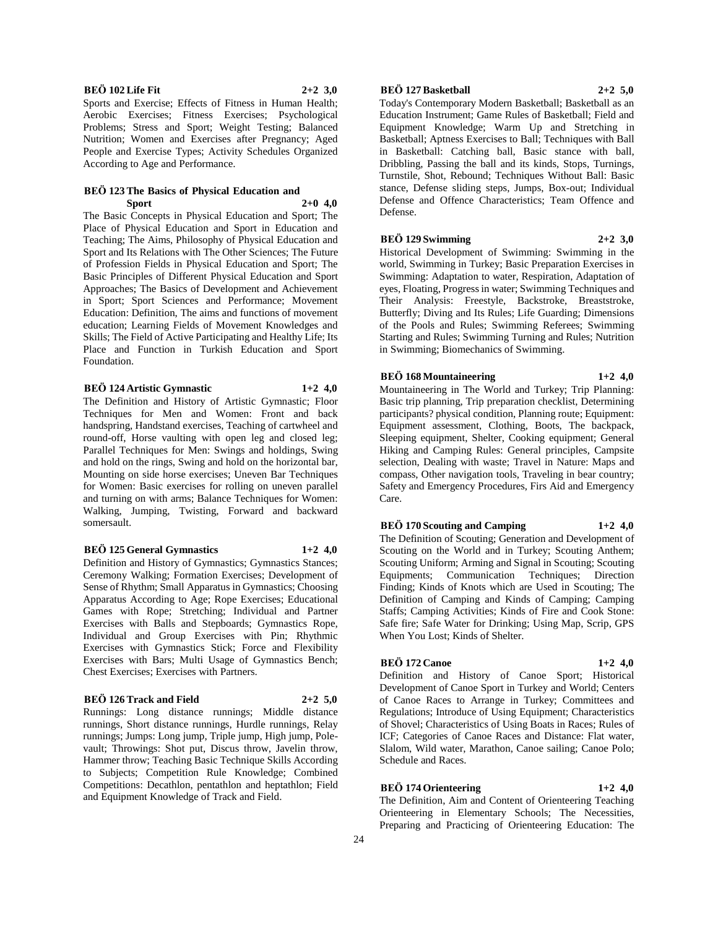# **BEÖ 102 Life Fit 2+2 3,0**

Sports and Exercise; Effects of Fitness in Human Health; Aerobic Exercises; Fitness Exercises; Psychological Problems; Stress and Sport; Weight Testing; Balanced Nutrition; Women and Exercises after Pregnancy; Aged People and Exercise Types; Activity Schedules Organized According to Age and Performance.

#### **BEÖ 123 The Basics of Physical Education and Sport 2+0 4,0**

The Basic Concepts in Physical Education and Sport; The Place of Physical Education and Sport in Education and Teaching; The Aims, Philosophy of Physical Education and Sport and Its Relations with The Other Sciences; The Future of Profession Fields in Physical Education and Sport; The Basic Principles of Different Physical Education and Sport Approaches; The Basics of Development and Achievement in Sport; Sport Sciences and Performance; Movement Education: Definition, The aims and functions of movement education; Learning Fields of Movement Knowledges and Skills; The Field of Active Participating and Healthy Life; Its Place and Function in Turkish Education and Sport Foundation.

#### **BEÖ 124 Artistic Gymnastic 1+2 4,0**

The Definition and History of Artistic Gymnastic; Floor Techniques for Men and Women: Front and back handspring, Handstand exercises, Teaching of cartwheel and round-off, Horse vaulting with open leg and closed leg; Parallel Techniques for Men: Swings and holdings, Swing and hold on the rings, Swing and hold on the horizontal bar, Mounting on side horse exercises; Uneven Bar Techniques for Women: Basic exercises for rolling on uneven parallel and turning on with arms; Balance Techniques for Women: Walking, Jumping, Twisting, Forward and backward somersault.

### **BEÖ 125 General Gymnastics 1+2 4,0**

Definition and History of Gymnastics; Gymnastics Stances; Ceremony Walking; Formation Exercises; Development of Sense of Rhythm; Small Apparatus in Gymnastics; Choosing Apparatus According to Age; Rope Exercises; Educational Games with Rope; Stretching; Individual and Partner Exercises with Balls and Stepboards; Gymnastics Rope, Individual and Group Exercises with Pin; Rhythmic Exercises with Gymnastics Stick; Force and Flexibility Exercises with Bars; Multi Usage of Gymnastics Bench; Chest Exercises; Exercises with Partners.

## **BEÖ 126 Track and Field 2+2 5,0**

Runnings: Long distance runnings; Middle distance runnings, Short distance runnings, Hurdle runnings, Relay runnings; Jumps: Long jump, Triple jump, High jump, Polevault; Throwings: Shot put, Discus throw, Javelin throw, Hammer throw; Teaching Basic Technique Skills According to Subjects; Competition Rule Knowledge; Combined Competitions: Decathlon, pentathlon and heptathlon; Field and Equipment Knowledge of Track and Field.

## **BEÖ 127 Basketball 2+2 5,0**

Today's Contemporary Modern Basketball; Basketball as an Education Instrument; Game Rules of Basketball; Field and Equipment Knowledge; Warm Up and Stretching in Basketball; Aptness Exercises to Ball; Techniques with Ball in Basketball: Catching ball, Basic stance with ball, Dribbling, Passing the ball and its kinds, Stops, Turnings, Turnstile, Shot, Rebound; Techniques Without Ball: Basic stance, Defense sliding steps, Jumps, Box-out; Individual Defense and Offence Characteristics; Team Offence and Defense.

## **BEÖ 129 Swimming 2+2 3,0**

Historical Development of Swimming: Swimming in the world, Swimming in Turkey; Basic Preparation Exercises in Swimming: Adaptation to water, Respiration, Adaptation of eyes, Floating, Progress in water; Swimming Techniques and Their Analysis: Freestyle, Backstroke, Breaststroke, Butterfly; Diving and Its Rules; Life Guarding; Dimensions of the Pools and Rules; Swimming Referees; Swimming Starting and Rules; Swimming Turning and Rules; Nutrition in Swimming; Biomechanics of Swimming.

## **BEÖ 168 Mountaineering 1+2 4,0**

Mountaineering in The World and Turkey; Trip Planning: Basic trip planning, Trip preparation checklist, Determining participants? physical condition, Planning route; Equipment: Equipment assessment, Clothing, Boots, The backpack, Sleeping equipment, Shelter, Cooking equipment; General Hiking and Camping Rules: General principles, Campsite selection, Dealing with waste; Travel in Nature: Maps and compass, Other navigation tools, Traveling in bear country; Safety and Emergency Procedures, Firs Aid and Emergency Care.

## **BEÖ 170 Scouting and Camping 1+2 4,0**

The Definition of Scouting; Generation and Development of Scouting on the World and in Turkey; Scouting Anthem; Scouting Uniform; Arming and Signal in Scouting; Scouting Equipments; Communication Techniques; Direction Finding; Kinds of Knots which are Used in Scouting; The Definition of Camping and Kinds of Camping; Camping Staffs; Camping Activities; Kinds of Fire and Cook Stone: Safe fire; Safe Water for Drinking; Using Map, Scrip, GPS When You Lost; Kinds of Shelter.

## **BEÖ 172 Canoe 1+2 4,0**

Definition and History of Canoe Sport; Historical Development of Canoe Sport in Turkey and World; Centers of Canoe Races to Arrange in Turkey; Committees and Regulations; Introduce of Using Equipment; Characteristics of Shovel; Characteristics of Using Boats in Races; Rules of ICF; Categories of Canoe Races and Distance: Flat water, Slalom, Wild water, Marathon, Canoe sailing; Canoe Polo; Schedule and Races.

## **BEÖ 174 Orienteering 1+2 4,0**

The Definition, Aim and Content of Orienteering Teaching Orienteering in Elementary Schools; The Necessities, Preparing and Practicing of Orienteering Education: The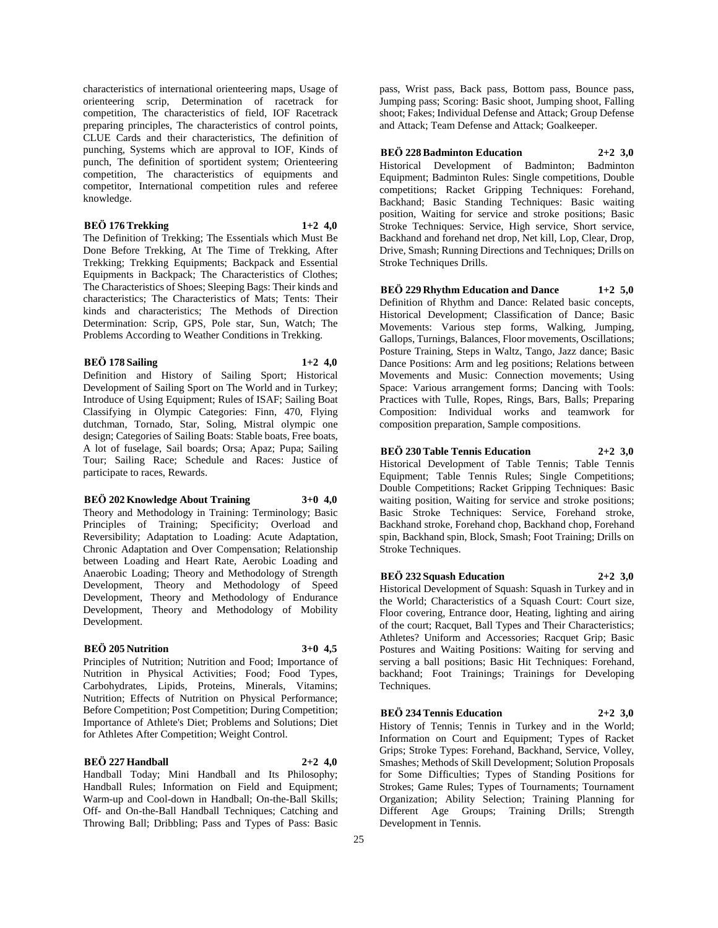characteristics of international orienteering maps, Usage of orienteering scrip, Determination of racetrack for competition, The characteristics of field, IOF Racetrack preparing principles, The characteristics of control points, CLUE Cards and their characteristics, The definition of punching, Systems which are approval to IOF, Kinds of punch, The definition of sportident system; Orienteering competition, The characteristics of equipments and competitor, International competition rules and referee knowledge.

### **BEÖ 176 Trekking 1+2 4,0**

The Definition of Trekking; The Essentials which Must Be Done Before Trekking, At The Time of Trekking, After Trekking; Trekking Equipments; Backpack and Essential Equipments in Backpack; The Characteristics of Clothes; The Characteristics of Shoes; Sleeping Bags: Their kinds and characteristics; The Characteristics of Mats; Tents: Their kinds and characteristics; The Methods of Direction Determination: Scrip, GPS, Pole star, Sun, Watch; The Problems According to Weather Conditions in Trekking.

#### **BEÖ 178 Sailing 1+2 4,0**

Definition and History of Sailing Sport; Historical Development of Sailing Sport on The World and in Turkey; Introduce of Using Equipment; Rules of ISAF; Sailing Boat Classifying in Olympic Categories: Finn, 470, Flying dutchman, Tornado, Star, Soling, Mistral olympic one design; Categories of Sailing Boats: Stable boats, Free boats, A lot of fuselage, Sail boards; Orsa; Apaz; Pupa; Sailing Tour; Sailing Race; Schedule and Races: Justice of participate to races, Rewards.

#### **BEÖ 202 Knowledge About Training 3+0 4,0**

Theory and Methodology in Training: Terminology; Basic Principles of Training; Specificity; Overload and Reversibility; Adaptation to Loading: Acute Adaptation, Chronic Adaptation and Over Compensation; Relationship between Loading and Heart Rate, Aerobic Loading and Anaerobic Loading; Theory and Methodology of Strength Development, Theory and Methodology of Speed Development, Theory and Methodology of Endurance Development, Theory and Methodology of Mobility Development.

## **BEÖ 205 Nutrition 3+0 4,5**

Principles of Nutrition; Nutrition and Food; Importance of Nutrition in Physical Activities; Food; Food Types, Carbohydrates, Lipids, Proteins, Minerals, Vitamins; Nutrition; Effects of Nutrition on Physical Performance; Before Competition; Post Competition; During Competition; Importance of Athlete's Diet; Problems and Solutions; Diet for Athletes After Competition; Weight Control.

## **BEÖ 227 Handball 2+2 4,0**

Handball Today; Mini Handball and Its Philosophy; Handball Rules; Information on Field and Equipment; Warm-up and Cool-down in Handball; On-the-Ball Skills; Off- and On-the-Ball Handball Techniques; Catching and Throwing Ball; Dribbling; Pass and Types of Pass: Basic

pass, Wrist pass, Back pass, Bottom pass, Bounce pass, Jumping pass; Scoring: Basic shoot, Jumping shoot, Falling shoot; Fakes; Individual Defense and Attack; Group Defense and Attack; Team Defense and Attack; Goalkeeper.

#### **BEÖ 228 Badminton Education 2+2 3,0**

Historical Development of Badminton; Badminton Equipment; Badminton Rules: Single competitions, Double competitions; Racket Gripping Techniques: Forehand, Backhand; Basic Standing Techniques: Basic waiting position, Waiting for service and stroke positions; Basic Stroke Techniques: Service, High service, Short service, Backhand and forehand net drop, Net kill, Lop, Clear, Drop, Drive, Smash; Running Directions and Techniques; Drills on Stroke Techniques Drills.

**BEÖ 229 Rhythm Education and Dance 1+2 5,0** Definition of Rhythm and Dance: Related basic concepts, Historical Development; Classification of Dance; Basic Movements: Various step forms, Walking, Jumping, Gallops, Turnings, Balances, Floor movements, Oscillations; Posture Training, Steps in Waltz, Tango, Jazz dance; Basic Dance Positions: Arm and leg positions; Relations between Movements and Music: Connection movements; Using Space: Various arrangement forms; Dancing with Tools: Practices with Tulle, Ropes, Rings, Bars, Balls; Preparing Composition: Individual works and teamwork for composition preparation, Sample compositions.

## **BEÖ 230 Table Tennis Education 2+2 3,0**

Historical Development of Table Tennis; Table Tennis Equipment; Table Tennis Rules; Single Competitions; Double Competitions; Racket Gripping Techniques: Basic waiting position, Waiting for service and stroke positions; Basic Stroke Techniques: Service, Forehand stroke, Backhand stroke, Forehand chop, Backhand chop, Forehand spin, Backhand spin, Block, Smash; Foot Training; Drills on Stroke Techniques.

## **BEÖ 232 Squash Education 2+2 3,0**

Historical Development of Squash: Squash in Turkey and in the World; Characteristics of a Squash Court: Court size, Floor covering, Entrance door, Heating, lighting and airing of the court; Racquet, Ball Types and Their Characteristics; Athletes? Uniform and Accessories; Racquet Grip; Basic Postures and Waiting Positions: Waiting for serving and serving a ball positions; Basic Hit Techniques: Forehand, backhand; Foot Trainings; Trainings for Developing Techniques.

**BEÖ 234 Tennis Education 2+2 3,0** History of Tennis; Tennis in Turkey and in the World; Information on Court and Equipment; Types of Racket Grips; Stroke Types: Forehand, Backhand, Service, Volley, Smashes; Methods of Skill Development; Solution Proposals for Some Difficulties; Types of Standing Positions for Strokes; Game Rules; Types of Tournaments; Tournament Organization; Ability Selection; Training Planning for Different Age Groups; Training Drills; Strength Development in Tennis.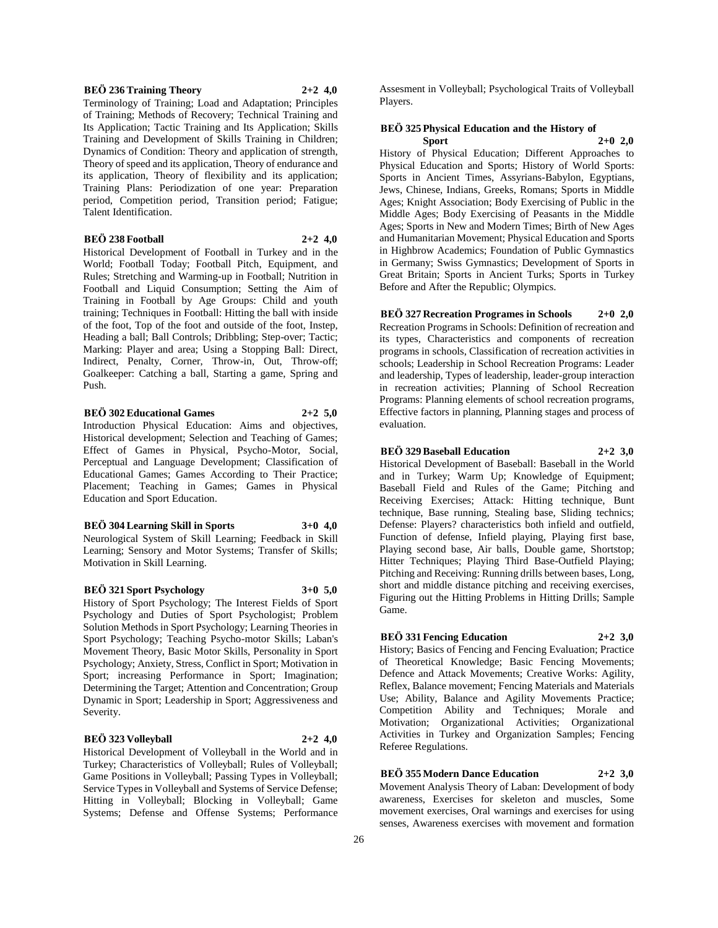#### **BEÖ 236 Training Theory 2+2 4,0**

Terminology of Training; Load and Adaptation; Principles of Training; Methods of Recovery; Technical Training and Its Application; Tactic Training and Its Application; Skills Training and Development of Skills Training in Children; Dynamics of Condition: Theory and application of strength, Theory of speed and its application, Theory of endurance and its application, Theory of flexibility and its application; Training Plans: Periodization of one year: Preparation period, Competition period, Transition period; Fatigue; Talent Identification.

# **BEÖ 238 Football 2+2 4,0**

Historical Development of Football in Turkey and in the World; Football Today; Football Pitch, Equipment, and Rules; Stretching and Warming-up in Football; Nutrition in Football and Liquid Consumption; Setting the Aim of Training in Football by Age Groups: Child and youth training; Techniques in Football: Hitting the ball with inside of the foot, Top of the foot and outside of the foot, Instep, Heading a ball; Ball Controls; Dribbling; Step-over; Tactic; Marking: Player and area; Using a Stopping Ball: Direct, Indirect, Penalty, Corner, Throw-in, Out, Throw-off; Goalkeeper: Catching a ball, Starting a game, Spring and Push.

# **BEÖ 302 Educational Games 2+2 5,0**

Introduction Physical Education: Aims and objectives, Historical development; Selection and Teaching of Games; Effect of Games in Physical, Psycho-Motor, Social, Perceptual and Language Development; Classification of Educational Games; Games According to Their Practice; Placement; Teaching in Games; Games in Physical Education and Sport Education.

#### **BEÖ 304 Learning Skill in Sports 3+0 4,0**

Neurological System of Skill Learning; Feedback in Skill Learning; Sensory and Motor Systems; Transfer of Skills; Motivation in Skill Learning.

#### **BEÖ 321 Sport Psychology 3+0 5,0**

History of Sport Psychology; The Interest Fields of Sport Psychology and Duties of Sport Psychologist; Problem Solution Methods in Sport Psychology; Learning Theories in Sport Psychology; Teaching Psycho-motor Skills; Laban's Movement Theory, Basic Motor Skills, Personality in Sport Psychology; Anxiety, Stress, Conflict in Sport; Motivation in Sport; increasing Performance in Sport; Imagination; Determining the Target; Attention and Concentration; Group Dynamic in Sport; Leadership in Sport; Aggressiveness and Severity.

## **BEÖ 323 Volleyball 2+2 4,0**

Historical Development of Volleyball in the World and in Turkey; Characteristics of Volleyball; Rules of Volleyball; Game Positions in Volleyball; Passing Types in Volleyball; Service Types in Volleyball and Systems of Service Defense; Hitting in Volleyball; Blocking in Volleyball; Game Systems; Defense and Offense Systems; Performance

Assesment in Volleyball; Psychological Traits of Volleyball Players.

## **BEÖ 325 Physical Education and the History of Sport 2+0 2,0**

History of Physical Education; Different Approaches to Physical Education and Sports; History of World Sports: Sports in Ancient Times, Assyrians-Babylon, Egyptians, Jews, Chinese, Indians, Greeks, Romans; Sports in Middle Ages; Knight Association; Body Exercising of Public in the Middle Ages; Body Exercising of Peasants in the Middle Ages; Sports in New and Modern Times; Birth of New Ages and Humanitarian Movement; Physical Education and Sports in Highbrow Academics; Foundation of Public Gymnastics in Germany; Swiss Gymnastics; Development of Sports in Great Britain; Sports in Ancient Turks; Sports in Turkey Before and After the Republic; Olympics.

## **BEÖ 327 Recreation Programes in Schools 2+0 2,0**

Recreation Programs in Schools: Definition of recreation and its types, Characteristics and components of recreation programs in schools, Classification of recreation activities in schools; Leadership in School Recreation Programs: Leader and leadership, Types of leadership, leader-group interaction in recreation activities; Planning of School Recreation Programs: Planning elements of school recreation programs, Effective factors in planning, Planning stages and process of evaluation.

## **BEÖ 329 Baseball Education 2+2 3,0**

Historical Development of Baseball: Baseball in the World and in Turkey; Warm Up; Knowledge of Equipment; Baseball Field and Rules of the Game; Pitching and Receiving Exercises; Attack: Hitting technique, Bunt technique, Base running, Stealing base, Sliding technics; Defense: Players? characteristics both infield and outfield, Function of defense, Infield playing, Playing first base, Playing second base, Air balls, Double game, Shortstop; Hitter Techniques; Playing Third Base-Outfield Playing; Pitching and Receiving: Running drills between bases, Long, short and middle distance pitching and receiving exercises, Figuring out the Hitting Problems in Hitting Drills; Sample Game.

## **BEÖ 331 Fencing Education 2+2 3,0**

History; Basics of Fencing and Fencing Evaluation; Practice of Theoretical Knowledge; Basic Fencing Movements; Defence and Attack Movements; Creative Works: Agility, Reflex, Balance movement; Fencing Materials and Materials Use; Ability, Balance and Agility Movements Practice; Competition Ability and Techniques; Morale and Motivation; Organizational Activities; Organizational Activities in Turkey and Organization Samples; Fencing Referee Regulations.

## **BEÖ 355 Modern Dance Education 2+2 3,0**

Movement Analysis Theory of Laban: Development of body awareness, Exercises for skeleton and muscles, Some movement exercises, Oral warnings and exercises for using senses, Awareness exercises with movement and formation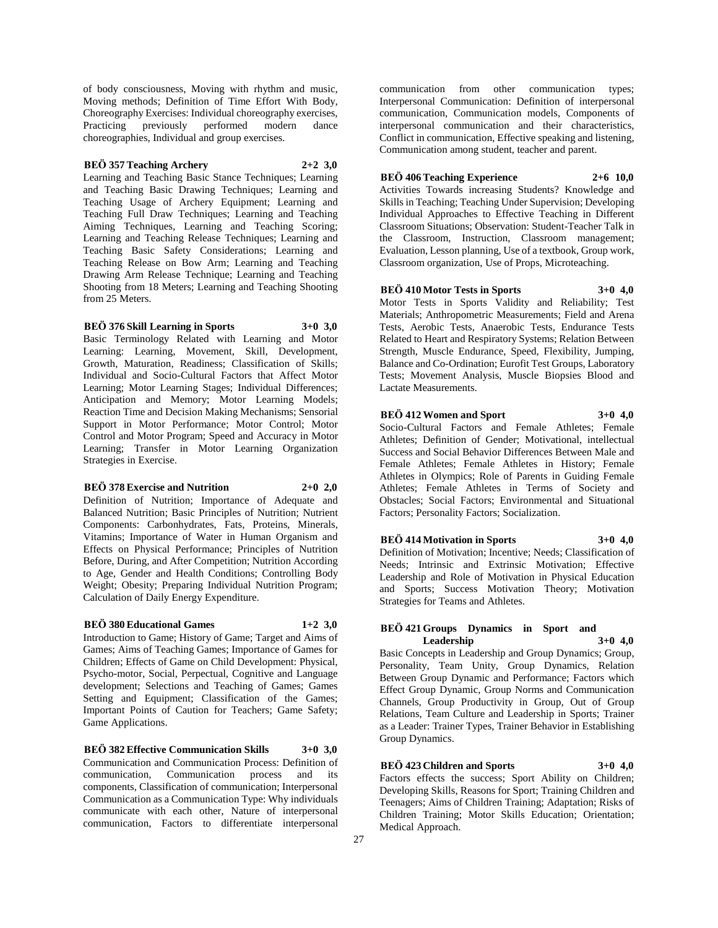of body consciousness, Moving with rhythm and music, Moving methods; Definition of Time Effort With Body, Choreography Exercises: Individual choreography exercises, Practicing previously performed modern dance choreographies, Individual and group exercises.

## **BEÖ 357 Teaching Archery 2+2 3,0**

Learning and Teaching Basic Stance Techniques; Learning and Teaching Basic Drawing Techniques; Learning and Teaching Usage of Archery Equipment; Learning and Teaching Full Draw Techniques; Learning and Teaching Aiming Techniques, Learning and Teaching Scoring; Learning and Teaching Release Techniques; Learning and Teaching Basic Safety Considerations; Learning and Teaching Release on Bow Arm; Learning and Teaching Drawing Arm Release Technique; Learning and Teaching Shooting from 18 Meters; Learning and Teaching Shooting from 25 Meters.

**BEÖ 376 Skill Learning in Sports 3+0 3,0**

Basic Terminology Related with Learning and Motor Learning: Learning, Movement, Skill, Development, Growth, Maturation, Readiness; Classification of Skills; Individual and Socio-Cultural Factors that Affect Motor Learning; Motor Learning Stages; Individual Differences; Anticipation and Memory; Motor Learning Models; Reaction Time and Decision Making Mechanisms; Sensorial Support in Motor Performance; Motor Control; Motor Control and Motor Program; Speed and Accuracy in Motor Learning; Transfer in Motor Learning Organization Strategies in Exercise.

### **BEÖ 378 Exercise and Nutrition 2+0 2,0**

Definition of Nutrition; Importance of Adequate and Balanced Nutrition; Basic Principles of Nutrition; Nutrient Components: Carbonhydrates, Fats, Proteins, Minerals, Vitamins; Importance of Water in Human Organism and Effects on Physical Performance; Principles of Nutrition Before, During, and After Competition; Nutrition According to Age, Gender and Health Conditions; Controlling Body Weight; Obesity; Preparing Individual Nutrition Program; Calculation of Daily Energy Expenditure.

## **BEÖ 380 Educational Games 1+2 3,0**

Introduction to Game; History of Game; Target and Aims of Games; Aims of Teaching Games; Importance of Games for Children; Effects of Game on Child Development: Physical, Psycho-motor, Social, Perpectual, Cognitive and Language development; Selections and Teaching of Games; Games Setting and Equipment; Classification of the Games; Important Points of Caution for Teachers; Game Safety; Game Applications.

**BEÖ 382 Effective Communication Skills 3+0 3,0** Communication and Communication Process: Definition of communication, Communication process and its components, Classification of communication; Interpersonal Communication as a Communication Type: Why individuals communicate with each other, Nature of interpersonal communication, Factors to differentiate interpersonal

communication from other communication types; Interpersonal Communication: Definition of interpersonal communication, Communication models, Components of interpersonal communication and their characteristics, Conflict in communication, Effective speaking and listening, Communication among student, teacher and parent.

## **BEÖ 406 Teaching Experience 2+6 10,0**

Activities Towards increasing Students? Knowledge and Skills in Teaching; Teaching Under Supervision; Developing Individual Approaches to Effective Teaching in Different Classroom Situations; Observation: Student-Teacher Talk in the Classroom, Instruction, Classroom management; Evaluation, Lesson planning, Use of a textbook, Group work, Classroom organization, Use of Props, Microteaching.

**BEÖ 410 Motor Tests in Sports 3+0 4,0** Motor Tests in Sports Validity and Reliability; Test Materials; Anthropometric Measurements; Field and Arena Tests, Aerobic Tests, Anaerobic Tests, Endurance Tests Related to Heart and Respiratory Systems; Relation Between Strength, Muscle Endurance, Speed, Flexibility, Jumping, Balance and Co-Ordination; Eurofit Test Groups, Laboratory Tests; Movement Analysis, Muscle Biopsies Blood and Lactate Measurements.

## **BEÖ 412 Women and Sport 3+0 4,0**

Socio-Cultural Factors and Female Athletes; Female Athletes; Definition of Gender; Motivational, intellectual Success and Social Behavior Differences Between Male and Female Athletes; Female Athletes in History; Female Athletes in Olympics; Role of Parents in Guiding Female Athletes; Female Athletes in Terms of Society and Obstacles; Social Factors; Environmental and Situational Factors; Personality Factors; Socialization.

## **BEÖ 414 Motivation in Sports 3+0 4,0**

Definition of Motivation; Incentive; Needs; Classification of Needs; Intrinsic and Extrinsic Motivation; Effective Leadership and Role of Motivation in Physical Education and Sports; Success Motivation Theory; Motivation Strategies for Teams and Athletes.

## **BEÖ 421 Groups Dynamics in Sport and Leadership 3+0 4,0**

Basic Concepts in Leadership and Group Dynamics; Group, Personality, Team Unity, Group Dynamics, Relation Between Group Dynamic and Performance; Factors which Effect Group Dynamic, Group Norms and Communication Channels, Group Productivity in Group, Out of Group Relations, Team Culture and Leadership in Sports; Trainer as a Leader: Trainer Types, Trainer Behavior in Establishing Group Dynamics.

## **BEÖ 423 Children and Sports 3+0 4,0**

Factors effects the success; Sport Ability on Children; Developing Skills, Reasons for Sport; Training Children and Teenagers; Aims of Children Training; Adaptation; Risks of Children Training; Motor Skills Education; Orientation; Medical Approach.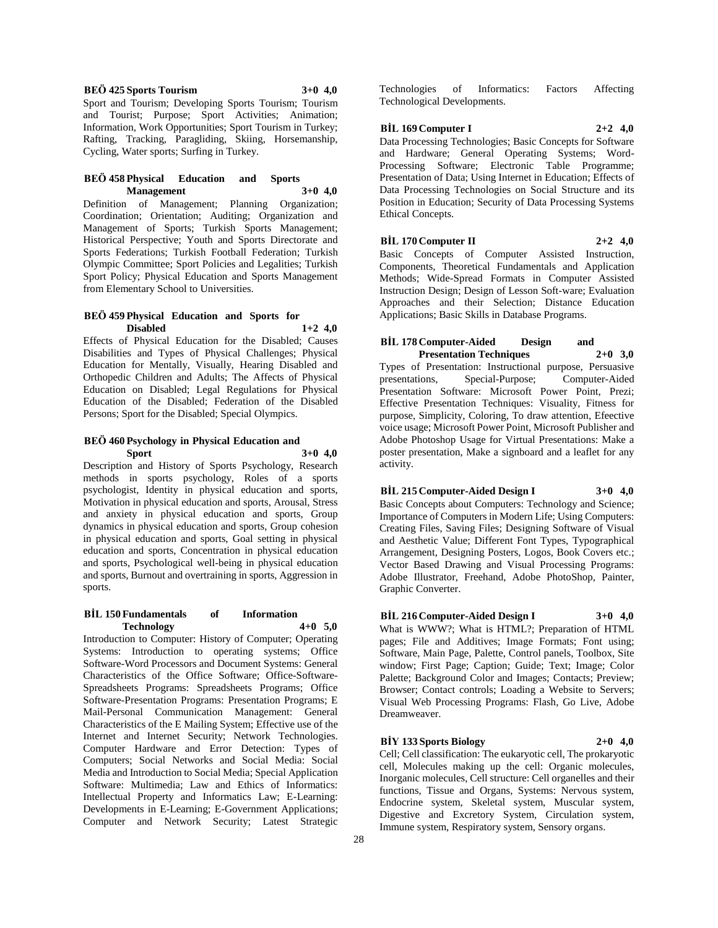**BEÖ 425 Sports Tourism 3+0 4,0** Sport and Tourism; Developing Sports Tourism; Tourism and Tourist; Purpose; Sport Activities; Animation; Information, Work Opportunities; Sport Tourism in Turkey; Rafting, Tracking, Paragliding, Skiing, Horsemanship, Cycling, Water sports; Surfing in Turkey.

#### **BEÖ 458 Physical Education and Sports Management 3+0 4,0**

Definition of Management; Planning Organization; Coordination; Orientation; Auditing; Organization and Management of Sports; Turkish Sports Management; Historical Perspective; Youth and Sports Directorate and Sports Federations; Turkish Football Federation; Turkish Olympic Committee; Sport Policies and Legalities; Turkish Sport Policy; Physical Education and Sports Management from Elementary School to Universities.

# **BEÖ 459 Physical Education and Sports for Disabled 1+2 4,0**

Effects of Physical Education for the Disabled; Causes Disabilities and Types of Physical Challenges; Physical Education for Mentally, Visually, Hearing Disabled and Orthopedic Children and Adults; The Affects of Physical Education on Disabled; Legal Regulations for Physical Education of the Disabled; Federation of the Disabled Persons; Sport for the Disabled; Special Olympics.

## **BEÖ 460 Psychology in Physical Education and Sport 3+0 4,0**

Description and History of Sports Psychology, Research methods in sports psychology, Roles of a sports psychologist, Identity in physical education and sports, Motivation in physical education and sports, Arousal, Stress and anxiety in physical education and sports, Group dynamics in physical education and sports, Group cohesion in physical education and sports, Goal setting in physical education and sports, Concentration in physical education and sports, Psychological well-being in physical education and sports, Burnout and overtraining in sports, Aggression in sports.

## **BİL 150 Fundamentals of Information Technology 4+0 5,0**

Introduction to Computer: History of Computer; Operating Systems: Introduction to operating systems; Office Software-Word Processors and Document Systems: General Characteristics of the Office Software; Office-Software-Spreadsheets Programs: Spreadsheets Programs; Office Software-Presentation Programs: Presentation Programs; E Mail-Personal Communication Management: General Characteristics of the E Mailing System; Effective use of the Internet and Internet Security; Network Technologies. Computer Hardware and Error Detection: Types of Computers; Social Networks and Social Media: Social Media and Introduction to Social Media; Special Application Software: Multimedia; Law and Ethics of Informatics: Intellectual Property and Informatics Law; E-Learning: Developments in E-Learning; E-Government Applications; Computer and Network Security; Latest Strategic

Technologies of Informatics: Factors Affecting Technological Developments.

## **BİL 169 Computer I 2+2 4,0**

Data Processing Technologies; Basic Concepts for Software and Hardware; General Operating Systems; Word-Processing Software; Electronic Table Programme; Presentation of Data; Using Internet in Education; Effects of Data Processing Technologies on Social Structure and its Position in Education; Security of Data Processing Systems Ethical Concepts.

**BİL 170 Computer II 2+2 4,0** Basic Concepts of Computer Assisted Instruction,

Components, Theoretical Fundamentals and Application Methods; Wide-Spread Formats in Computer Assisted Instruction Design; Design of Lesson Soft-ware; Evaluation Approaches and their Selection; Distance Education Applications; Basic Skills in Database Programs.

## **BİL 178 Computer-Aided Design and Presentation Techniques**

Types of Presentation: Instructional purpose, Persuasive Special-Purpose; Presentation Software: Microsoft Power Point, Prezi; Effective Presentation Techniques: Visuality, Fitness for purpose, Simplicity, Coloring, To draw attention, Efeective voice usage; Microsoft Power Point, Microsoft Publisher and Adobe Photoshop Usage for Virtual Presentations: Make a poster presentation, Make a signboard and a leaflet for any activity.

# **BİL 215 Computer-Aided Design I 3+0 4,0**

Basic Concepts about Computers: Technology and Science; Importance of Computers in Modern Life; Using Computers: Creating Files, Saving Files; Designing Software of Visual and Aesthetic Value; Different Font Types, Typographical Arrangement, Designing Posters, Logos, Book Covers etc.; Vector Based Drawing and Visual Processing Programs: Adobe Illustrator, Freehand, Adobe PhotoShop, Painter, Graphic Converter.

## **BİL 216 Computer-Aided Design I 3+0 4,0**

What is WWW?; What is HTML?; Preparation of HTML pages; File and Additives; Image Formats; Font using; Software, Main Page, Palette, Control panels, Toolbox, Site window; First Page; Caption; Guide; Text; Image; Color Palette; Background Color and Images; Contacts; Preview; Browser; Contact controls; Loading a Website to Servers; Visual Web Processing Programs: Flash, Go Live, Adobe Dreamweaver.

## **BİY 133 Sports Biology 2+0 4,0**

Cell; Cell classification: The eukaryotic cell, The prokaryotic cell, Molecules making up the cell: Organic molecules, Inorganic molecules, Cell structure: Cell organelles and their functions, Tissue and Organs, Systems: Nervous system, Endocrine system, Skeletal system, Muscular system, Digestive and Excretory System, Circulation system, Immune system, Respiratory system, Sensory organs.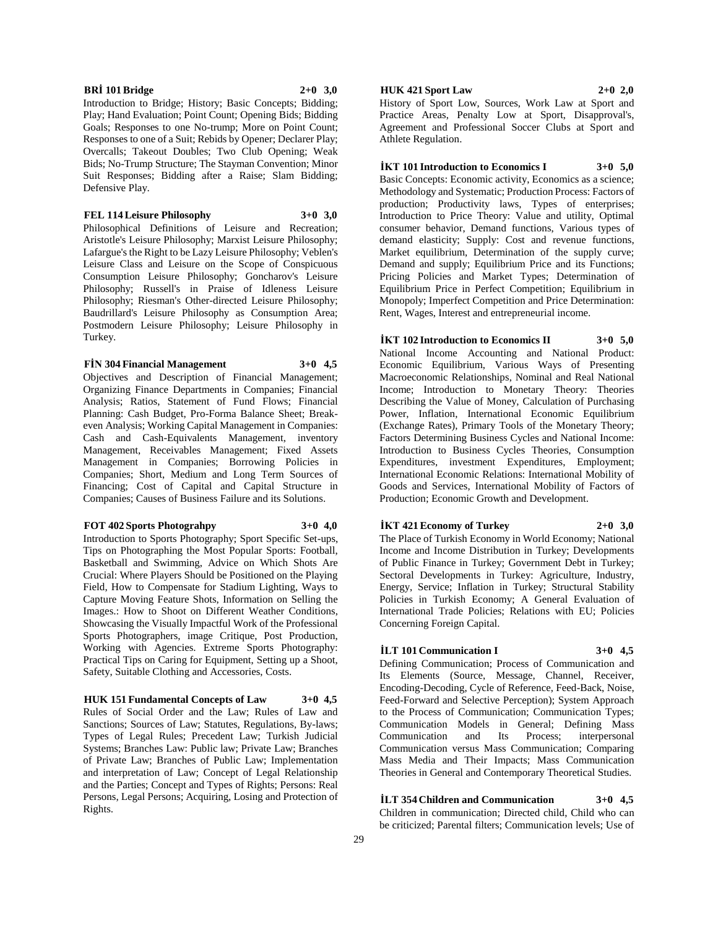## **BRİ 101 Bridge 2+0 3,0**

Introduction to Bridge; History; Basic Concepts; Bidding; Play; Hand Evaluation; Point Count; Opening Bids; Bidding Goals; Responses to one No-trump; More on Point Count; Responses to one of a Suit; Rebids by Opener; Declarer Play; Overcalls; Takeout Doubles; Two Club Opening; Weak Bids; No-Trump Structure; The Stayman Convention; Minor Suit Responses; Bidding after a Raise; Slam Bidding; Defensive Play.

#### **FEL 114 Leisure Philosophy 3+0 3,0**

Philosophical Definitions of Leisure and Recreation; Aristotle's Leisure Philosophy; Marxist Leisure Philosophy; Lafargue's the Right to be Lazy Leisure Philosophy; Veblen's Leisure Class and Leisure on the Scope of Conspicuous Consumption Leisure Philosophy; Goncharov's Leisure Philosophy; Russell's in Praise of Idleness Leisure Philosophy; Riesman's Other-directed Leisure Philosophy; Baudrillard's Leisure Philosophy as Consumption Area; Postmodern Leisure Philosophy; Leisure Philosophy in Turkey.

#### **FİN 304 Financial Management 3+0 4,5**

Objectives and Description of Financial Management; Organizing Finance Departments in Companies; Financial Analysis; Ratios, Statement of Fund Flows; Financial Planning: Cash Budget, Pro-Forma Balance Sheet; Breakeven Analysis; Working Capital Management in Companies: Cash and Cash-Equivalents Management, inventory Management, Receivables Management; Fixed Assets Management in Companies; Borrowing Policies in Companies; Short, Medium and Long Term Sources of Financing; Cost of Capital and Capital Structure in Companies; Causes of Business Failure and its Solutions.

#### **FOT 402 Sports Photograhpy 3+0 4,0**

Introduction to Sports Photography; Sport Specific Set-ups, Tips on Photographing the Most Popular Sports: Football, Basketball and Swimming, Advice on Which Shots Are Crucial: Where Players Should be Positioned on the Playing Field, How to Compensate for Stadium Lighting, Ways to Capture Moving Feature Shots, Information on Selling the Images.: How to Shoot on Different Weather Conditions, Showcasing the Visually Impactful Work of the Professional Sports Photographers, image Critique, Post Production, Working with Agencies. Extreme Sports Photography: Practical Tips on Caring for Equipment, Setting up a Shoot, Safety, Suitable Clothing and Accessories, Costs.

**HUK 151 Fundamental Concepts of Law 3+0 4,5** Rules of Social Order and the Law; Rules of Law and Sanctions; Sources of Law; Statutes, Regulations, By-laws; Types of Legal Rules; Precedent Law; Turkish Judicial Systems; Branches Law: Public law; Private Law; Branches of Private Law; Branches of Public Law; Implementation and interpretation of Law; Concept of Legal Relationship and the Parties; Concept and Types of Rights; Persons: Real Persons, Legal Persons; Acquiring, Losing and Protection of Rights.

## **HUK 421 Sport Law 2+0 2,0**

History of Sport Low, Sources, Work Law at Sport and Practice Areas, Penalty Low at Sport, Disapproval's, Agreement and Professional Soccer Clubs at Sport and Athlete Regulation.

# **İKT 101 Introduction to Economics I 3+0 5,0**

Basic Concepts: Economic activity, Economics as a science; Methodology and Systematic; Production Process: Factors of production; Productivity laws, Types of enterprises; Introduction to Price Theory: Value and utility, Optimal consumer behavior, Demand functions, Various types of demand elasticity; Supply: Cost and revenue functions, Market equilibrium, Determination of the supply curve; Demand and supply; Equilibrium Price and its Functions; Pricing Policies and Market Types; Determination of Equilibrium Price in Perfect Competition; Equilibrium in Monopoly; Imperfect Competition and Price Determination: Rent, Wages, Interest and entrepreneurial income.

# **İKT 102 Introduction to Economics II 3+0 5,0**

National Income Accounting and National Product: Economic Equilibrium, Various Ways of Presenting Macroeconomic Relationships, Nominal and Real National Income; Introduction to Monetary Theory: Theories Describing the Value of Money, Calculation of Purchasing Power, Inflation, International Economic Equilibrium (Exchange Rates), Primary Tools of the Monetary Theory; Factors Determining Business Cycles and National Income: Introduction to Business Cycles Theories, Consumption Expenditures, investment Expenditures, Employment; International Economic Relations: International Mobility of Goods and Services, International Mobility of Factors of Production; Economic Growth and Development.

## **İKT 421 Economy of Turkey 2+0 3,0**

The Place of Turkish Economy in World Economy; National Income and Income Distribution in Turkey; Developments of Public Finance in Turkey; Government Debt in Turkey; Sectoral Developments in Turkey: Agriculture, Industry, Energy, Service; Inflation in Turkey; Structural Stability Policies in Turkish Economy; A General Evaluation of International Trade Policies; Relations with EU; Policies Concerning Foreign Capital.

## **İLT 101 Communication I 3+0 4,5**

Defining Communication; Process of Communication and Its Elements (Source, Message, Channel, Receiver, Encoding-Decoding, Cycle of Reference, Feed-Back, Noise, Feed-Forward and Selective Perception); System Approach to the Process of Communication; Communication Types; Communication Models in General; Defining Mass Communication and Its Process; interpersonal Communication versus Mass Communication; Comparing Mass Media and Their Impacts; Mass Communication Theories in General and Contemporary Theoretical Studies.

# **İLT 354 Children and Communication 3+0 4,5**

Children in communication; Directed child, Child who can be criticized; Parental filters; Communication levels; Use of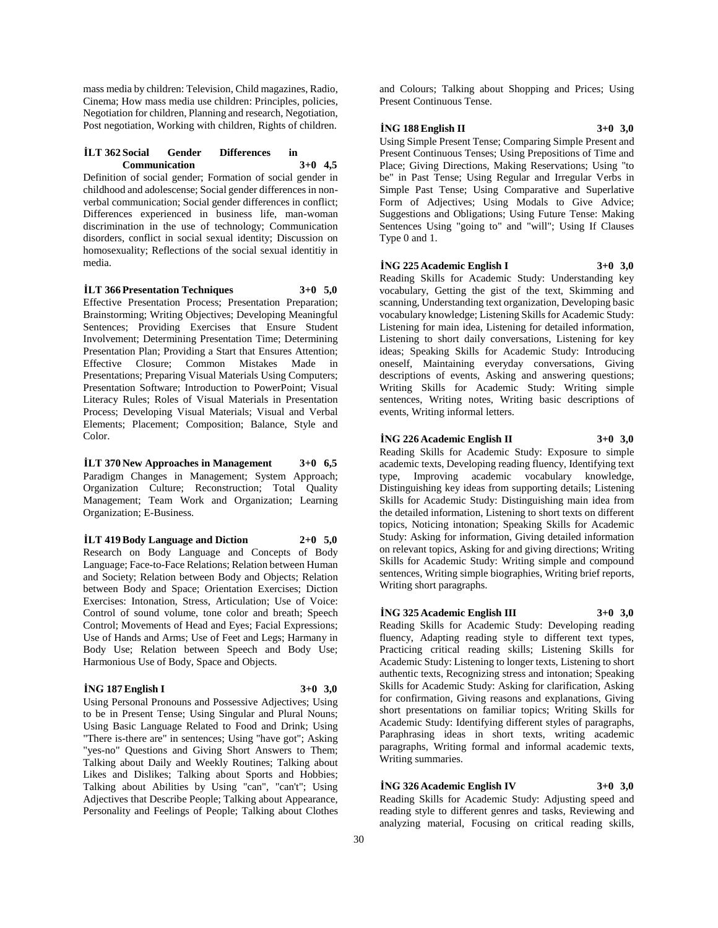mass media by children: Television, Child magazines, Radio, Cinema; How mass media use children: Principles, policies, Negotiation for children, Planning and research, Negotiation, Post negotiation, Working with children, Rights of children.

## **İLT 362 Social Gender Differences in Communication 3+0 4,5**

Definition of social gender; Formation of social gender in childhood and adolescense; Social gender differences in nonverbal communication; Social gender differences in conflict; Differences experienced in business life, man-woman discrimination in the use of technology; Communication disorders, conflict in social sexual identity; Discussion on homosexuality; Reflections of the social sexual identitiy in media.

**İLT 366 Presentation Techniques 3+0 5,0** Effective Presentation Process; Presentation Preparation; Brainstorming; Writing Objectives; Developing Meaningful Sentences; Providing Exercises that Ensure Student Involvement; Determining Presentation Time; Determining Presentation Plan; Providing a Start that Ensures Attention; Effective Closure; Common Mistakes Made in Presentations; Preparing Visual Materials Using Computers; Presentation Software; Introduction to PowerPoint; Visual Literacy Rules; Roles of Visual Materials in Presentation Process; Developing Visual Materials; Visual and Verbal Elements; Placement; Composition; Balance, Style and Color.

**İLT 370 New Approaches in Management 3+0 6,5** Paradigm Changes in Management; System Approach; Organization Culture; Reconstruction; Total Quality Management; Team Work and Organization; Learning Organization; E-Business.

**İLT 419 Body Language and Diction 2+0 5,0**

Research on Body Language and Concepts of Body Language; Face-to-Face Relations; Relation between Human and Society; Relation between Body and Objects; Relation between Body and Space; Orientation Exercises; Diction Exercises: Intonation, Stress, Articulation; Use of Voice: Control of sound volume, tone color and breath; Speech Control; Movements of Head and Eyes; Facial Expressions; Use of Hands and Arms; Use of Feet and Legs; Harmany in Body Use; Relation between Speech and Body Use; Harmonious Use of Body, Space and Objects.

## **İNG 187 English I 3+0 3,0**

Using Personal Pronouns and Possessive Adjectives; Using to be in Present Tense; Using Singular and Plural Nouns; Using Basic Language Related to Food and Drink; Using "There is-there are" in sentences; Using "have got"; Asking "yes-no" Questions and Giving Short Answers to Them; Talking about Daily and Weekly Routines; Talking about Likes and Dislikes; Talking about Sports and Hobbies; Talking about Abilities by Using "can", "can't"; Using Adjectives that Describe People; Talking about Appearance, Personality and Feelings of People; Talking about Clothes

and Colours; Talking about Shopping and Prices; Using Present Continuous Tense.

#### **İNG 188 English II 3+0 3,0**

Using Simple Present Tense; Comparing Simple Present and Present Continuous Tenses; Using Prepositions of Time and Place; Giving Directions, Making Reservations; Using "to be" in Past Tense; Using Regular and Irregular Verbs in Simple Past Tense; Using Comparative and Superlative Form of Adjectives; Using Modals to Give Advice; Suggestions and Obligations; Using Future Tense: Making Sentences Using "going to" and "will"; Using If Clauses Type 0 and 1.

## **İNG 225 Academic English I 3+0 3,0**

Reading Skills for Academic Study: Understanding key vocabulary, Getting the gist of the text, Skimming and scanning, Understanding text organization, Developing basic vocabulary knowledge; Listening Skills for Academic Study: Listening for main idea, Listening for detailed information, Listening to short daily conversations, Listening for key ideas; Speaking Skills for Academic Study: Introducing oneself, Maintaining everyday conversations, Giving descriptions of events, Asking and answering questions; Writing Skills for Academic Study: Writing simple sentences, Writing notes, Writing basic descriptions of events, Writing informal letters.

## **İNG 226 Academic English II 3+0 3,0**

Reading Skills for Academic Study: Exposure to simple academic texts, Developing reading fluency, Identifying text type, Improving academic vocabulary knowledge, Distinguishing key ideas from supporting details; Listening Skills for Academic Study: Distinguishing main idea from the detailed information, Listening to short texts on different topics, Noticing intonation; Speaking Skills for Academic Study: Asking for information, Giving detailed information on relevant topics, Asking for and giving directions; Writing Skills for Academic Study: Writing simple and compound sentences, Writing simple biographies, Writing brief reports, Writing short paragraphs.

## **İNG 325 Academic English III 3+0 3,0**

Reading Skills for Academic Study: Developing reading fluency, Adapting reading style to different text types, Practicing critical reading skills; Listening Skills for Academic Study: Listening to longer texts, Listening to short authentic texts, Recognizing stress and intonation; Speaking Skills for Academic Study: Asking for clarification, Asking for confirmation, Giving reasons and explanations, Giving short presentations on familiar topics; Writing Skills for Academic Study: Identifying different styles of paragraphs, Paraphrasing ideas in short texts, writing academic paragraphs, Writing formal and informal academic texts, Writing summaries.

## **İNG 326 Academic English IV 3+0 3,0**

Reading Skills for Academic Study: Adjusting speed and reading style to different genres and tasks, Reviewing and analyzing material, Focusing on critical reading skills,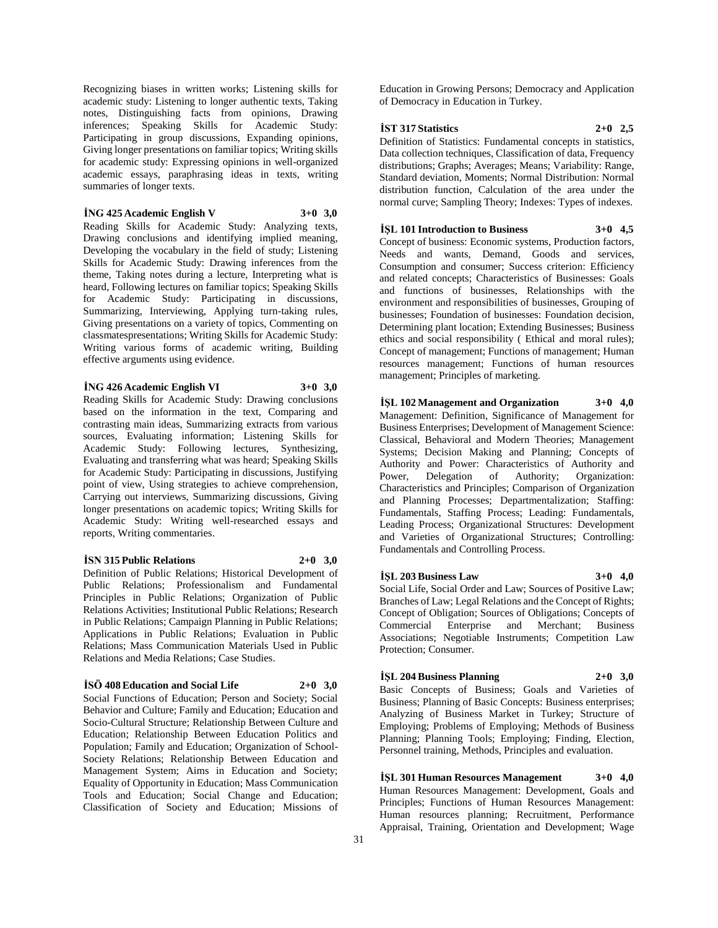Recognizing biases in written works; Listening skills for academic study: Listening to longer authentic texts, Taking notes, Distinguishing facts from opinions, Drawing inferences; Speaking Skills for Academic Study: Participating in group discussions, Expanding opinions, Giving longer presentations on familiar topics; Writing skills for academic study: Expressing opinions in well-organized academic essays, paraphrasing ideas in texts, writing summaries of longer texts.

**İNG 425 Academic English V 3+0 3,0** Reading Skills for Academic Study: Analyzing texts, Drawing conclusions and identifying implied meaning, Developing the vocabulary in the field of study; Listening Skills for Academic Study: Drawing inferences from the theme, Taking notes during a lecture, Interpreting what is heard, Following lectures on familiar topics; Speaking Skills for Academic Study: Participating in discussions, Summarizing, Interviewing, Applying turn-taking rules, Giving presentations on a variety of topics, Commenting on classmatespresentations; Writing Skills for Academic Study: Writing various forms of academic writing, Building effective arguments using evidence.

#### **İNG 426 Academic English VI 3+0 3,0**

Reading Skills for Academic Study: Drawing conclusions based on the information in the text, Comparing and contrasting main ideas, Summarizing extracts from various sources, Evaluating information; Listening Skills for Academic Study: Following lectures, Synthesizing, Evaluating and transferring what was heard; Speaking Skills for Academic Study: Participating in discussions, Justifying point of view, Using strategies to achieve comprehension, Carrying out interviews, Summarizing discussions, Giving longer presentations on academic topics; Writing Skills for Academic Study: Writing well-researched essays and reports, Writing commentaries.

#### **İSN 315 Public Relations 2+0 3,0**

Definition of Public Relations; Historical Development of Public Relations; Professionalism and Fundamental Principles in Public Relations; Organization of Public Relations Activities; Institutional Public Relations; Research in Public Relations; Campaign Planning in Public Relations; Applications in Public Relations; Evaluation in Public Relations; Mass Communication Materials Used in Public Relations and Media Relations; Case Studies.

#### **İSÖ 408 Education and Social Life 2+0 3,0**

Social Functions of Education; Person and Society; Social Behavior and Culture; Family and Education; Education and Socio-Cultural Structure; Relationship Between Culture and Education; Relationship Between Education Politics and Population; Family and Education; Organization of School-Society Relations; Relationship Between Education and Management System; Aims in Education and Society; Equality of Opportunity in Education; Mass Communication Tools and Education; Social Change and Education; Classification of Society and Education; Missions of

Education in Growing Persons; Democracy and Application of Democracy in Education in Turkey.

## **İST 317 Statistics 2+0 2,5**

Definition of Statistics: Fundamental concepts in statistics, Data collection techniques, Classification of data, Frequency distributions; Graphs; Averages; Means; Variability: Range, Standard deviation, Moments; Normal Distribution: Normal distribution function, Calculation of the area under the normal curve; Sampling Theory; Indexes: Types of indexes.

## **İŞL 101 Introduction to Business 3+0 4,5**

Concept of business: Economic systems, Production factors, Needs and wants, Demand, Goods and services, Consumption and consumer; Success criterion: Efficiency and related concepts; Characteristics of Businesses: Goals and functions of businesses, Relationships with the environment and responsibilities of businesses, Grouping of businesses; Foundation of businesses: Foundation decision, Determining plant location; Extending Businesses; Business ethics and social responsibility ( Ethical and moral rules); Concept of management; Functions of management; Human resources management; Functions of human resources management; Principles of marketing.

**İŞL 102 Management and Organization 3+0 4,0** Management: Definition, Significance of Management for Business Enterprises; Development of Management Science: Classical, Behavioral and Modern Theories; Management Systems; Decision Making and Planning; Concepts of Authority and Power: Characteristics of Authority and Power, Delegation of Authority; Organization: Characteristics and Principles; Comparison of Organization and Planning Processes; Departmentalization; Staffing: Fundamentals, Staffing Process; Leading: Fundamentals, Leading Process; Organizational Structures: Development and Varieties of Organizational Structures; Controlling: Fundamentals and Controlling Process.

### **İŞL 203 Business Law 3+0 4,0**

Social Life, Social Order and Law; Sources of Positive Law; Branches of Law; Legal Relations and the Concept of Rights; Concept of Obligation; Sources of Obligations; Concepts of Commercial Enterprise and Merchant; Business Associations; Negotiable Instruments; Competition Law Protection; Consumer.

## **İŞL 204 Business Planning 2+0 3,0**

Basic Concepts of Business; Goals and Varieties of Business; Planning of Basic Concepts: Business enterprises; Analyzing of Business Market in Turkey; Structure of Employing; Problems of Employing; Methods of Business Planning; Planning Tools; Employing; Finding, Election, Personnel training, Methods, Principles and evaluation.

**İŞL 301 Human Resources Management 3+0 4,0** Human Resources Management: Development, Goals and Principles; Functions of Human Resources Management: Human resources planning; Recruitment, Performance Appraisal, Training, Orientation and Development; Wage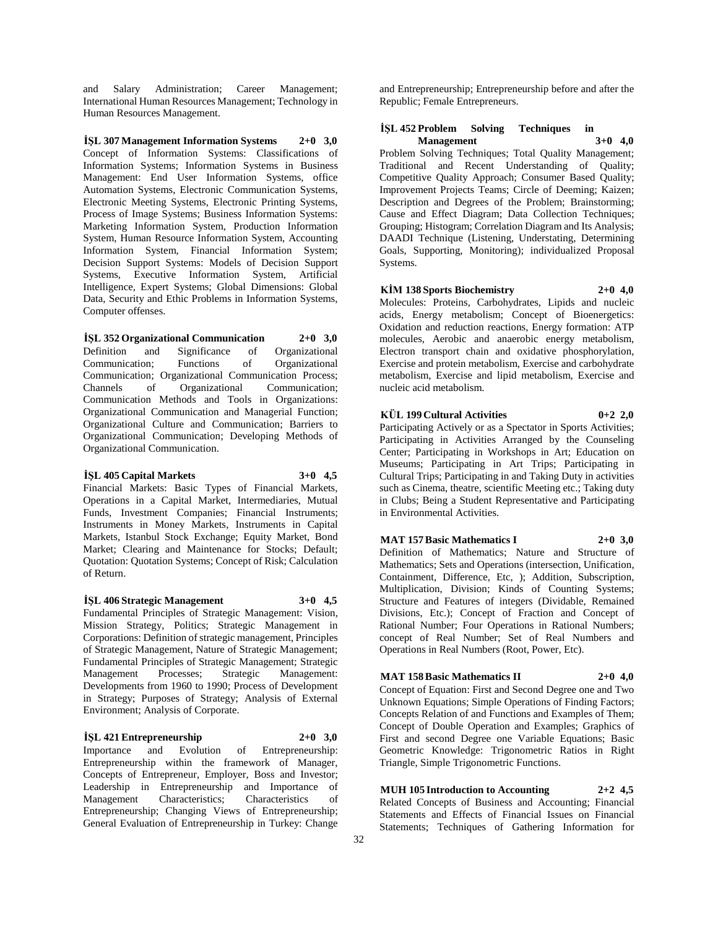and Salary Administration; Career Management; International Human Resources Management; Technology in Human Resources Management.

**İŞL 307 Management Information Systems 2+0 3,0** Concept of Information Systems: Classifications of Information Systems; Information Systems in Business Management: End User Information Systems, office Automation Systems, Electronic Communication Systems, Electronic Meeting Systems, Electronic Printing Systems, Process of Image Systems; Business Information Systems: Marketing Information System, Production Information System, Human Resource Information System, Accounting Information System, Financial Information System; Decision Support Systems: Models of Decision Support Systems, Executive Information System, Artificial Intelligence, Expert Systems; Global Dimensions: Global Data, Security and Ethic Problems in Information Systems, Computer offenses.

**İŞL 352 Organizational Communication 2+0 3,0** Definition and Significance of Organizational Communication; Functions of Organizational Communication; Organizational Communication Process; Channels of Organizational Communication; Communication Methods and Tools in Organizations: Organizational Communication and Managerial Function; Organizational Culture and Communication; Barriers to Organizational Communication; Developing Methods of Organizational Communication.

#### **İŞL 405 Capital Markets 3+0 4,5**

Financial Markets: Basic Types of Financial Markets, Operations in a Capital Market, Intermediaries, Mutual Funds, Investment Companies; Financial Instruments; Instruments in Money Markets, Instruments in Capital Markets, Istanbul Stock Exchange; Equity Market, Bond Market; Clearing and Maintenance for Stocks; Default; Quotation: Quotation Systems; Concept of Risk; Calculation of Return.

## **İŞL 406 Strategic Management 3+0 4,5**

Fundamental Principles of Strategic Management: Vision, Mission Strategy, Politics; Strategic Management in Corporations: Definition of strategic management, Principles of Strategic Management, Nature of Strategic Management; Fundamental Principles of Strategic Management; Strategic Management Processes; Strategic Management: Developments from 1960 to 1990; Process of Development in Strategy; Purposes of Strategy; Analysis of External Environment; Analysis of Corporate.

#### **İŞL 421 Entrepreneurship 2+0 3,0**

Importance and Evolution of Entrepreneurship: Entrepreneurship within the framework of Manager, Concepts of Entrepreneur, Employer, Boss and Investor; Leadership in Entrepreneurship and Importance of Management Characteristics; Characteristics of Entrepreneurship; Changing Views of Entrepreneurship; General Evaluation of Entrepreneurship in Turkey: Change

and Entrepreneurship; Entrepreneurship before and after the Republic; Female Entrepreneurs.

## **İŞL 452 Problem Solving Techniques in Management 3+0 4,0**

Problem Solving Techniques; Total Quality Management; Traditional and Recent Understanding of Quality; Competitive Quality Approach; Consumer Based Quality; Improvement Projects Teams; Circle of Deeming; Kaizen; Description and Degrees of the Problem; Brainstorming; Cause and Effect Diagram; Data Collection Techniques; Grouping; Histogram; Correlation Diagram and Its Analysis; DAADI Technique (Listening, Understating, Determining Goals, Supporting, Monitoring); individualized Proposal Systems.

#### **KİM 138 Sports Biochemistry 2+0 4,0**

Molecules: Proteins, Carbohydrates, Lipids and nucleic acids, Energy metabolism; Concept of Bioenergetics: Oxidation and reduction reactions, Energy formation: ATP molecules, Aerobic and anaerobic energy metabolism, Electron transport chain and oxidative phosphorylation, Exercise and protein metabolism, Exercise and carbohydrate metabolism, Exercise and lipid metabolism, Exercise and nucleic acid metabolism.

## **KÜL 199 Cultural Activities 0+2 2,0**

Participating Actively or as a Spectator in Sports Activities; Participating in Activities Arranged by the Counseling Center; Participating in Workshops in Art; Education on Museums; Participating in Art Trips; Participating in Cultural Trips; Participating in and Taking Duty in activities such as Cinema, theatre, scientific Meeting etc.; Taking duty in Clubs; Being a Student Representative and Participating in Environmental Activities.

## **MAT 157 Basic Mathematics I 2+0 3,0**

Definition of Mathematics; Nature and Structure of Mathematics; Sets and Operations (intersection, Unification, Containment, Difference, Etc, ); Addition, Subscription, Multiplication, Division; Kinds of Counting Systems; Structure and Features of integers (Dividable, Remained Divisions, Etc.); Concept of Fraction and Concept of Rational Number; Four Operations in Rational Numbers; concept of Real Number; Set of Real Numbers and Operations in Real Numbers (Root, Power, Etc).

## **MAT 158 Basic Mathematics II 2+0 4,0**

Concept of Equation: First and Second Degree one and Two Unknown Equations; Simple Operations of Finding Factors; Concepts Relation of and Functions and Examples of Them; Concept of Double Operation and Examples; Graphics of First and second Degree one Variable Equations; Basic Geometric Knowledge: Trigonometric Ratios in Right Triangle, Simple Trigonometric Functions.

**MUH 105 Introduction to Accounting 2+2 4,5** Related Concepts of Business and Accounting; Financial Statements and Effects of Financial Issues on Financial Statements; Techniques of Gathering Information for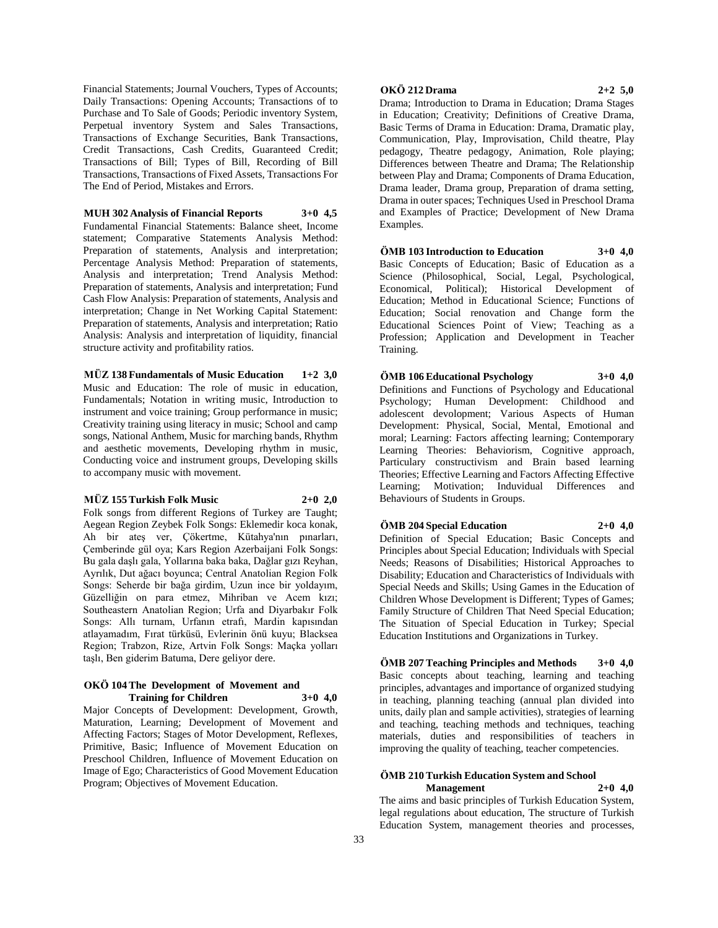Financial Statements; Journal Vouchers, Types of Accounts; Daily Transactions: Opening Accounts; Transactions of to Purchase and To Sale of Goods; Periodic inventory System, Perpetual inventory System and Sales Transactions, Transactions of Exchange Securities, Bank Transactions, Credit Transactions, Cash Credits, Guaranteed Credit; Transactions of Bill; Types of Bill, Recording of Bill Transactions, Transactions of Fixed Assets, Transactions For The End of Period, Mistakes and Errors.

**MUH 302 Analysis of Financial Reports 3+0 4,5** Fundamental Financial Statements: Balance sheet, Income statement; Comparative Statements Analysis Method: Preparation of statements, Analysis and interpretation; Percentage Analysis Method: Preparation of statements, Analysis and interpretation; Trend Analysis Method: Preparation of statements, Analysis and interpretation; Fund Cash Flow Analysis: Preparation of statements, Analysis and interpretation; Change in Net Working Capital Statement: Preparation of statements, Analysis and interpretation; Ratio Analysis: Analysis and interpretation of liquidity, financial structure activity and profitability ratios.

**MÜZ 138 Fundamentals of Music Education 1+2 3,0** Music and Education: The role of music in education, Fundamentals; Notation in writing music, Introduction to instrument and voice training; Group performance in music; Creativity training using literacy in music; School and camp songs, National Anthem, Music for marching bands, Rhythm and aesthetic movements, Developing rhythm in music, Conducting voice and instrument groups, Developing skills to accompany music with movement.

#### **MÜZ 155 Turkish Folk Music 2+0 2,0**

Folk songs from different Regions of Turkey are Taught; Aegean Region Zeybek Folk Songs: Eklemedir koca konak, Ah bir ateş ver, Çökertme, Kütahya'nın pınarları, Çemberinde gül oya; Kars Region Azerbaijani Folk Songs: Bu gala daşlı gala, Yollarına baka baka, Dağlar gızı Reyhan, Ayrılık, Dut ağacı boyunca; Central Anatolian Region Folk Songs: Seherde bir bağa girdim, Uzun ince bir yoldayım, Güzelliğin on para etmez, Mihriban ve Acem kızı; Southeastern Anatolian Region; Urfa and Diyarbakır Folk Songs: Allı turnam, Urfanın etrafı, Mardin kapısından atlayamadım, Fırat türküsü, Evlerinin önü kuyu; Blacksea Region; Trabzon, Rize, Artvin Folk Songs: Maçka yolları taşlı, Ben giderim Batuma, Dere geliyor dere.

#### **OKÖ 104 The Development of Movement and Training for Children 3+0 4,0**

Major Concepts of Development: Development, Growth, Maturation, Learning; Development of Movement and Affecting Factors; Stages of Motor Development, Reflexes, Primitive, Basic; Influence of Movement Education on Preschool Children, Influence of Movement Education on Image of Ego; Characteristics of Good Movement Education Program; Objectives of Movement Education.

## **OKÖ 212 Drama 2+2 5,0**

Drama; Introduction to Drama in Education; Drama Stages in Education; Creativity; Definitions of Creative Drama, Basic Terms of Drama in Education: Drama, Dramatic play, Communication, Play, Improvisation, Child theatre, Play pedagogy, Theatre pedagogy, Animation, Role playing; Differences between Theatre and Drama; The Relationship between Play and Drama; Components of Drama Education, Drama leader, Drama group, Preparation of drama setting, Drama in outer spaces; Techniques Used in Preschool Drama and Examples of Practice; Development of New Drama Examples.

#### **ÖMB 103 Introduction to Education 3+0 4,0**

Basic Concepts of Education; Basic of Education as a Science (Philosophical, Social, Legal, Psychological, Economical, Political); Historical Development of Education; Method in Educational Science; Functions of Education; Social renovation and Change form the Educational Sciences Point of View; Teaching as a Profession; Application and Development in Teacher Training.

# **ÖMB 106 Educational Psychology 3+0 4,0** Definitions and Functions of Psychology and Educational

Psychology; Human Development: Childhood and adolescent devolopment; Various Aspects of Human Development: Physical, Social, Mental, Emotional and moral; Learning: Factors affecting learning; Contemporary Learning Theories: Behaviorism, Cognitive approach, Particulary constructivism and Brain based learning Theories; Effective Learning and Factors Affecting Effective Learning; Motivation; Induvidual Differences and Behaviours of Students in Groups.

#### **ÖMB 204 Special Education 2+0 4,0**

Definition of Special Education; Basic Concepts and Principles about Special Education; Individuals with Special Needs; Reasons of Disabilities; Historical Approaches to Disability; Education and Characteristics of Individuals with Special Needs and Skills; Using Games in the Education of Children Whose Development is Different; Types of Games; Family Structure of Children That Need Special Education; The Situation of Special Education in Turkey; Special Education Institutions and Organizations in Turkey.

**ÖMB 207 Teaching Principles and Methods 3+0 4,0** Basic concepts about teaching, learning and teaching principles, advantages and importance of organized studying in teaching, planning teaching (annual plan divided into units, daily plan and sample activities), strategies of learning and teaching, teaching methods and techniques, teaching materials, duties and responsibilities of teachers in improving the quality of teaching, teacher competencies.

#### **ÖMB 210 Turkish Education System and School Management 2+0 4,0**

The aims and basic principles of Turkish Education System, legal regulations about education, The structure of Turkish Education System, management theories and processes,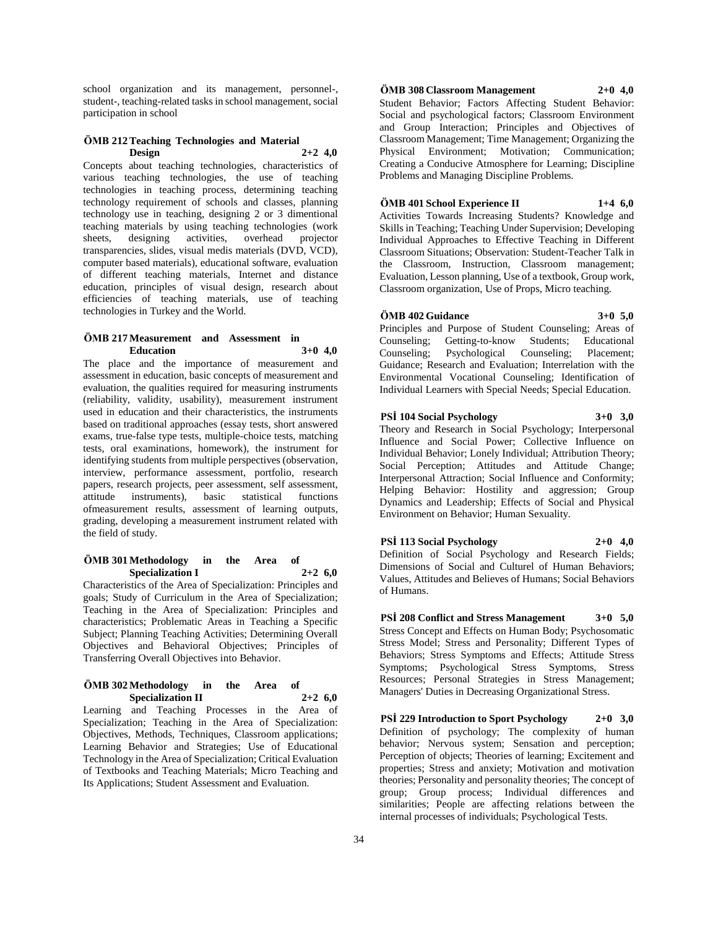school organization and its management, personnel-, student-, teaching-related tasks in school management, social participation in school

## **ÖMB 212 Teaching Technologies and Material Design 2+2 4,0**

Concepts about teaching technologies, characteristics of various teaching technologies, the use of teaching technologies in teaching process, determining teaching technology requirement of schools and classes, planning technology use in teaching, designing 2 or 3 dimentional teaching materials by using teaching technologies (work sheets, designing activities, overhead projector transparencies, slides, visual medis materials (DVD, VCD), computer based materials), educational software, evaluation of different teaching materials, Internet and distance education, principles of visual design, research about efficiencies of teaching materials, use of teaching technologies in Turkey and the World.

## **ÖMB 217 Measurement and Assessment in Education 3+0 4,0**

The place and the importance of measurement and assessment in education, basic concepts of measurement and evaluation, the qualities required for measuring instruments (reliability, validity, usability), measurement instrument used in education and their characteristics, the instruments based on traditional approaches (essay tests, short answered exams, true-false type tests, multiple-choice tests, matching tests, oral examinations, homework), the instrument for identifying students from multiple perspectives (observation, interview, performance assessment, portfolio, research papers, research projects, peer assessment, self assessment, attitude instruments), basic statistical functions ofmeasurement results, assessment of learning outputs, grading, developing a measurement instrument related with the field of study.

## **ÖMB 301 Methodology in the Area of Specialization I 2+2 6,0**

Characteristics of the Area of Specialization: Principles and goals; Study of Curriculum in the Area of Specialization; Teaching in the Area of Specialization: Principles and characteristics; Problematic Areas in Teaching a Specific Subject; Planning Teaching Activities; Determining Overall Objectives and Behavioral Objectives; Principles of Transferring Overall Objectives into Behavior.

### **ÖMB 302 Methodology in the Area of Specialization II 2+2 6,0**

Learning and Teaching Processes in the Area of Specialization; Teaching in the Area of Specialization: Objectives, Methods, Techniques, Classroom applications; Learning Behavior and Strategies; Use of Educational Technology in the Area of Specialization; Critical Evaluation of Textbooks and Teaching Materials; Micro Teaching and Its Applications; Student Assessment and Evaluation.

## **ÖMB 308 Classroom Management 2+0 4,0**

Student Behavior; Factors Affecting Student Behavior: Social and psychological factors; Classroom Environment and Group Interaction; Principles and Objectives of Classroom Management; Time Management; Organizing the Physical Environment; Motivation; Communication; Creating a Conducive Atmosphere for Learning; Discipline Problems and Managing Discipline Problems.

## **ÖMB 401 School Experience II 1+4 6,0**

Activities Towards Increasing Students? Knowledge and Skills in Teaching; Teaching Under Supervision; Developing Individual Approaches to Effective Teaching in Different Classroom Situations; Observation: Student-Teacher Talk in the Classroom, Instruction, Classroom management; Evaluation, Lesson planning, Use of a textbook, Group work, Classroom organization, Use of Props, Micro teaching.

# **ÖMB 402 Guidance 3+0 5,0**

Principles and Purpose of Student Counseling; Areas of Counseling; Getting-to-know Students; Educational Counseling; Psychological Counseling; Placement; Guidance; Research and Evaluation; Interrelation with the Environmental Vocational Counseling; Identification of Individual Learners with Special Needs; Special Education.

## **PSİ 104 Social Psychology 3+0 3,0**

Theory and Research in Social Psychology; Interpersonal Influence and Social Power; Collective Influence on Individual Behavior; Lonely Individual; Attribution Theory; Social Perception; Attitudes and Attitude Change; Interpersonal Attraction; Social Influence and Conformity; Helping Behavior: Hostility and aggression; Group Dynamics and Leadership; Effects of Social and Physical Environment on Behavior; Human Sexuality.

## **PSİ 113 Social Psychology 2+0 4,0**

Definition of Social Psychology and Research Fields; Dimensions of Social and Culturel of Human Behaviors; Values, Attitudes and Believes of Humans; Social Behaviors of Humans.

**PSİ 208 Conflict and Stress Management 3+0 5,0** Stress Concept and Effects on Human Body; Psychosomatic Stress Model; Stress and Personality; Different Types of Behaviors; Stress Symptoms and Effects; Attitude Stress Symptoms; Psychological Stress Symptoms, Stress Resources; Personal Strategies in Stress Management; Managers' Duties in Decreasing Organizational Stress.

**PSİ 229 Introduction to Sport Psychology 2+0 3,0** Definition of psychology; The complexity of human behavior; Nervous system; Sensation and perception; Perception of objects; Theories of learning; Excitement and properties; Stress and anxiety; Motivation and motivation theories; Personality and personality theories; The concept of group; Group process; Individual differences and similarities; People are affecting relations between the internal processes of individuals; Psychological Tests.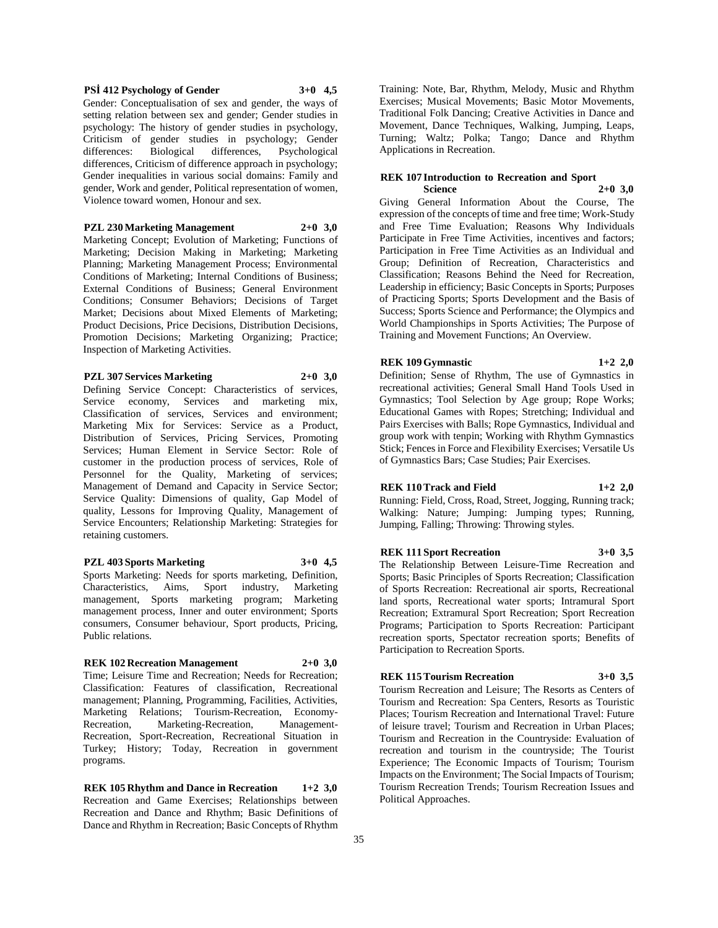## **PSİ 412 Psychology of Gender 3+0 4,5**

Gender: Conceptualisation of sex and gender, the ways of setting relation between sex and gender; Gender studies in psychology: The history of gender studies in psychology, Criticism of gender studies in psychology; Gender differences: Biological differences, Psychological differences, Criticism of difference approach in psychology; Gender inequalities in various social domains: Family and gender, Work and gender, Political representation of women, Violence toward women, Honour and sex.

**PZL 230 Marketing Management 2+0 3,0**

Marketing Concept; Evolution of Marketing; Functions of Marketing; Decision Making in Marketing; Marketing Planning; Marketing Management Process; Environmental Conditions of Marketing; Internal Conditions of Business; External Conditions of Business; General Environment Conditions; Consumer Behaviors; Decisions of Target Market; Decisions about Mixed Elements of Marketing; Product Decisions, Price Decisions, Distribution Decisions, Promotion Decisions; Marketing Organizing; Practice; Inspection of Marketing Activities.

#### **PZL 307 Services Marketing 2+0 3,0**

Defining Service Concept: Characteristics of services, Service economy, Services and marketing mix, Classification of services, Services and environment; Marketing Mix for Services: Service as a Product, Distribution of Services, Pricing Services, Promoting Services; Human Element in Service Sector: Role of customer in the production process of services, Role of Personnel for the Quality, Marketing of services; Management of Demand and Capacity in Service Sector; Service Quality: Dimensions of quality, Gap Model of quality, Lessons for Improving Quality, Management of Service Encounters; Relationship Marketing: Strategies for retaining customers.

## **PZL 403 Sports Marketing 3+0 4,5**

Sports Marketing: Needs for sports marketing, Definition, Characteristics, Aims, Sport industry, Marketing management, Sports marketing program; Marketing management process, Inner and outer environment; Sports consumers, Consumer behaviour, Sport products, Pricing, Public relations.

## **REK 102 Recreation Management 2+0 3,0**

Time; Leisure Time and Recreation; Needs for Recreation; Classification: Features of classification, Recreational management; Planning, Programming, Facilities, Activities, Marketing Relations; Tourism-Recreation, Economy-Recreation, Marketing-Recreation, Management-Recreation, Sport-Recreation, Recreational Situation in Turkey; History; Today, Recreation in government programs.

**REK 105 Rhythm and Dance in Recreation 1+2 3,0** Recreation and Game Exercises; Relationships between Recreation and Dance and Rhythm; Basic Definitions of Dance and Rhythm in Recreation; Basic Concepts of Rhythm

Training: Note, Bar, Rhythm, Melody, Music and Rhythm Exercises; Musical Movements; Basic Motor Movements, Traditional Folk Dancing; Creative Activities in Dance and Movement, Dance Techniques, Walking, Jumping, Leaps, Turning; Waltz; Polka; Tango; Dance and Rhythm Applications in Recreation.

#### **REK 107 Introduction to Recreation and Sport Science 2+0 3,0**

Giving General Information About the Course, The expression of the concepts of time and free time; Work-Study and Free Time Evaluation; Reasons Why Individuals Participate in Free Time Activities, incentives and factors; Participation in Free Time Activities as an Individual and Group; Definition of Recreation, Characteristics and Classification; Reasons Behind the Need for Recreation, Leadership in efficiency; Basic Concepts in Sports; Purposes of Practicing Sports; Sports Development and the Basis of Success; Sports Science and Performance; the Olympics and World Championships in Sports Activities; The Purpose of Training and Movement Functions; An Overview.

## **REK 109 Gymnastic 1+2 2,0**

Definition; Sense of Rhythm, The use of Gymnastics in recreational activities; General Small Hand Tools Used in Gymnastics; Tool Selection by Age group; Rope Works; Educational Games with Ropes; Stretching; Individual and Pairs Exercises with Balls; Rope Gymnastics, Individual and group work with tenpin; Working with Rhythm Gymnastics Stick; Fences in Force and Flexibility Exercises; Versatile Us of Gymnastics Bars; Case Studies; Pair Exercises.

#### **REK 110 Track and Field 1+2 2,0**

Running: Field, Cross, Road, Street, Jogging, Running track; Walking: Nature; Jumping: Jumping types; Running, Jumping, Falling; Throwing: Throwing styles.

#### **REK 111 Sport Recreation 3+0 3,5**

The Relationship Between Leisure-Time Recreation and Sports; Basic Principles of Sports Recreation; Classification of Sports Recreation: Recreational air sports, Recreational land sports, Recreational water sports; Intramural Sport Recreation; Extramural Sport Recreation; Sport Recreation Programs; Participation to Sports Recreation: Participant recreation sports, Spectator recreation sports; Benefits of Participation to Recreation Sports.

## **REK 115 Tourism Recreation 3+0 3,5**

Tourism Recreation and Leisure; The Resorts as Centers of Tourism and Recreation: Spa Centers, Resorts as Touristic Places; Tourism Recreation and International Travel: Future of leisure travel; Tourism and Recreation in Urban Places; Tourism and Recreation in the Countryside: Evaluation of recreation and tourism in the countryside; The Tourist Experience; The Economic Impacts of Tourism; Tourism Impacts on the Environment; The Social Impacts of Tourism; Tourism Recreation Trends; Tourism Recreation Issues and Political Approaches.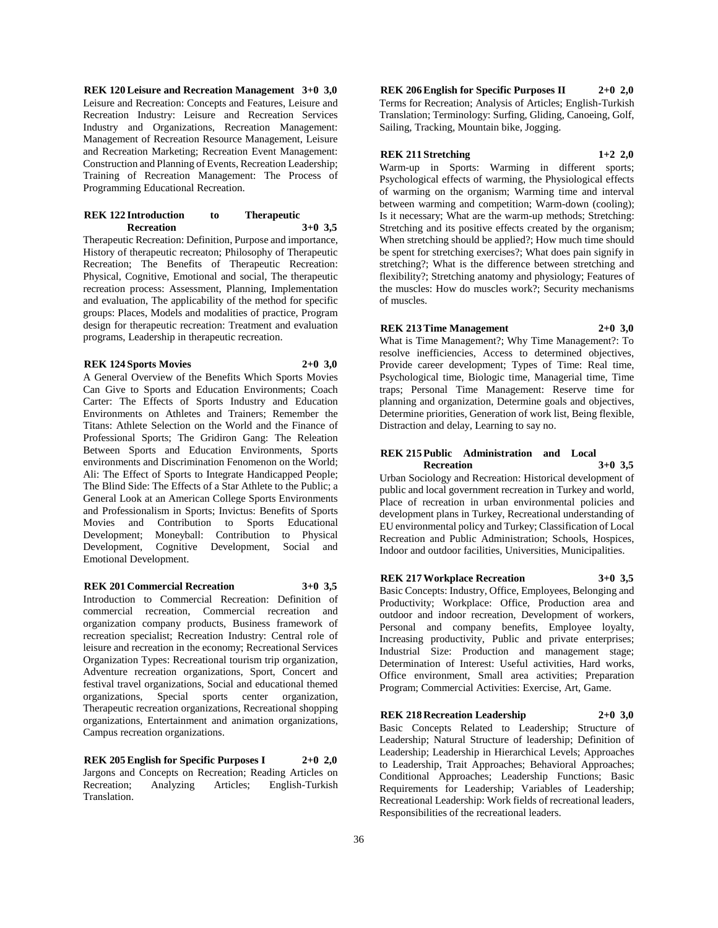**REK 120 Leisure and Recreation Management 3+0 3,0** Leisure and Recreation: Concepts and Features, Leisure and Recreation Industry: Leisure and Recreation Services Industry and Organizations, Recreation Management: Management of Recreation Resource Management, Leisure and Recreation Marketing; Recreation Event Management: Construction and Planning of Events, Recreation Leadership; Training of Recreation Management: The Process of Programming Educational Recreation.

### **REK 122 Introduction to Therapeutic Recreation 3+0 3,5**

Therapeutic Recreation: Definition, Purpose and importance, History of therapeutic recreaton; Philosophy of Therapeutic Recreation; The Benefits of Therapeutic Recreation: Physical, Cognitive, Emotional and social, The therapeutic recreation process: Assessment, Planning, Implementation and evaluation, The applicability of the method for specific groups: Places, Models and modalities of practice, Program design for therapeutic recreation: Treatment and evaluation programs, Leadership in therapeutic recreation.

#### **REK 124 Sports Movies 2+0 3,0**

A General Overview of the Benefits Which Sports Movies Can Give to Sports and Education Environments; Coach Carter: The Effects of Sports Industry and Education Environments on Athletes and Trainers; Remember the Titans: Athlete Selection on the World and the Finance of Professional Sports; The Gridiron Gang: The Releation Between Sports and Education Environments, Sports environments and Discrimination Fenomenon on the World; Ali: The Effect of Sports to Integrate Handicapped People; The Blind Side: The Effects of a Star Athlete to the Public; a General Look at an American College Sports Environments and Professionalism in Sports; Invictus: Benefits of Sports Movies and Contribution to Sports Educational Development; Moneyball: Contribution to Physical Development, Cognitive Development, Social and Emotional Development.

## **REK 201 Commercial Recreation 3+0 3,5**

Introduction to Commercial Recreation: Definition of commercial recreation, Commercial recreation and organization company products, Business framework of recreation specialist; Recreation Industry: Central role of leisure and recreation in the economy; Recreational Services Organization Types: Recreational tourism trip organization, Adventure recreation organizations, Sport, Concert and festival travel organizations, Social and educational themed organizations, Special sports center organization, Therapeutic recreation organizations, Recreational shopping organizations, Entertainment and animation organizations, Campus recreation organizations.

**REK 205 English for Specific Purposes I 2+0 2,0** Jargons and Concepts on Recreation; Reading Articles on Recreation; Analyzing Articles; English-Turkish Translation.

**REK 206 English for Specific Purposes II 2+0 2,0** Terms for Recreation; Analysis of Articles; English-Turkish Translation; Terminology: Surfing, Gliding, Canoeing, Golf, Sailing, Tracking, Mountain bike, Jogging.

## **REK 211 Stretching 1+2 2,0**

Warm-up in Sports: Warming in different sports; Psychological effects of warming, the Physiological effects of warming on the organism; Warming time and interval between warming and competition; Warm-down (cooling); Is it necessary; What are the warm-up methods; Stretching: Stretching and its positive effects created by the organism; When stretching should be applied?; How much time should be spent for stretching exercises?; What does pain signify in stretching?; What is the difference between stretching and flexibility?; Stretching anatomy and physiology; Features of the muscles: How do muscles work?; Security mechanisms of muscles.

**REK 213 Time Management 2+0 3,0**

What is Time Management?; Why Time Management?: To resolve inefficiencies, Access to determined objectives, Provide career development; Types of Time: Real time, Psychological time, Biologic time, Managerial time, Time traps; Personal Time Management: Reserve time for planning and organization, Determine goals and objectives, Determine priorities, Generation of work list, Being flexible, Distraction and delay, Learning to say no.

#### **REK 215 Public Administration and Local Recreation 3+0 3,5**

Urban Sociology and Recreation: Historical development of public and local government recreation in Turkey and world, Place of recreation in urban environmental policies and development plans in Turkey, Recreational understanding of EU environmental policy and Turkey; Classification of Local Recreation and Public Administration; Schools, Hospices, Indoor and outdoor facilities, Universities, Municipalities.

**REK 217 Workplace Recreation 3+0 3,5**

Basic Concepts: Industry, Office, Employees, Belonging and Productivity; Workplace: Office, Production area and outdoor and indoor recreation, Development of workers, Personal and company benefits, Employee loyalty, Increasing productivity, Public and private enterprises; Industrial Size: Production and management stage; Determination of Interest: Useful activities, Hard works, Office environment, Small area activities; Preparation Program; Commercial Activities: Exercise, Art, Game.

**REK 218 Recreation Leadership 2+0 3,0** Basic Concepts Related to Leadership; Structure of Leadership; Natural Structure of leadership; Definition of Leadership; Leadership in Hierarchical Levels; Approaches to Leadership, Trait Approaches; Behavioral Approaches; Conditional Approaches; Leadership Functions; Basic Requirements for Leadership; Variables of Leadership; Recreational Leadership: Work fields of recreational leaders, Responsibilities of the recreational leaders.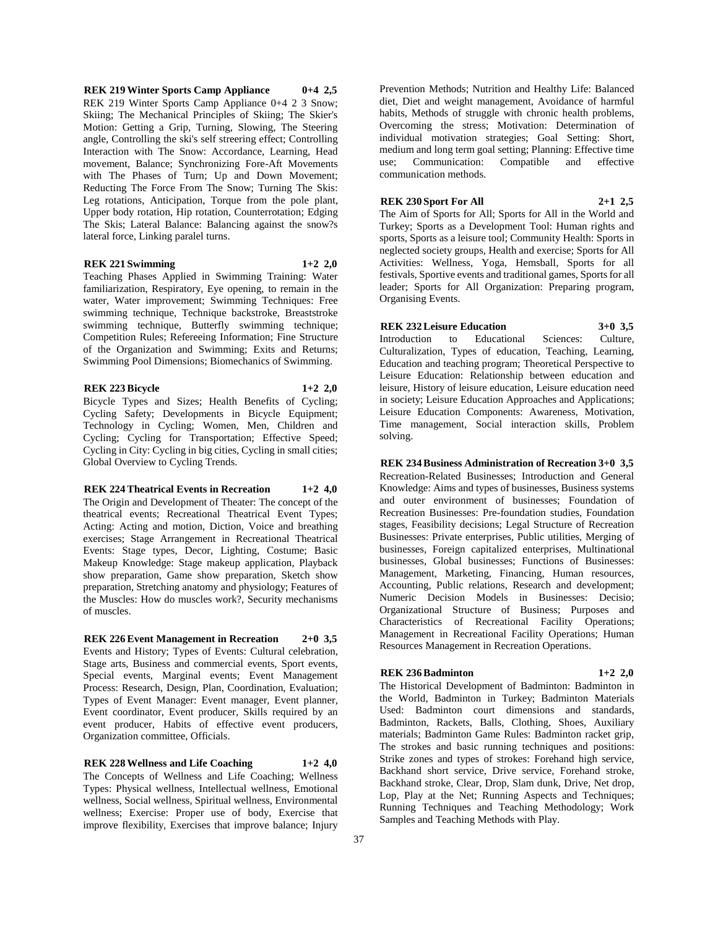**REK 219 Winter Sports Camp Appliance 0+4 2,5** REK 219 Winter Sports Camp Appliance 0+4 2 3 Snow; Skiing; The Mechanical Principles of Skiing; The Skier's Motion: Getting a Grip, Turning, Slowing, The Steering angle, Controlling the ski's self streering effect; Controlling Interaction with The Snow: Accordance, Learning, Head movement, Balance; Synchronizing Fore-Aft Movements with The Phases of Turn; Up and Down Movement; Reducting The Force From The Snow; Turning The Skis: Leg rotations, Anticipation, Torque from the pole plant, Upper body rotation, Hip rotation, Counterrotation; Edging The Skis; Lateral Balance: Balancing against the snow?s lateral force, Linking paralel turns.

## **REK 221 Swimming 1+2 2,0**

Teaching Phases Applied in Swimming Training: Water familiarization, Respiratory, Eye opening, to remain in the water, Water improvement; Swimming Techniques: Free swimming technique, Technique backstroke, Breaststroke swimming technique, Butterfly swimming technique; Competition Rules; Refereeing Information; Fine Structure of the Organization and Swimming; Exits and Returns; Swimming Pool Dimensions; Biomechanics of Swimming.

### **REK 223 Bicycle 1+2 2,0**

Bicycle Types and Sizes; Health Benefits of Cycling; Cycling Safety; Developments in Bicycle Equipment; Technology in Cycling; Women, Men, Children and Cycling; Cycling for Transportation; Effective Speed; Cycling in City: Cycling in big cities, Cycling in small cities; Global Overview to Cycling Trends.

# **REK 224 Theatrical Events in Recreation 1+2 4,0**

The Origin and Development of Theater: The concept of the theatrical events; Recreational Theatrical Event Types; Acting: Acting and motion, Diction, Voice and breathing exercises; Stage Arrangement in Recreational Theatrical Events: Stage types, Decor, Lighting, Costume; Basic Makeup Knowledge: Stage makeup application, Playback show preparation, Game show preparation, Sketch show preparation, Stretching anatomy and physiology; Features of the Muscles: How do muscles work?, Security mechanisms of muscles.

**REK 226 Event Management in Recreation 2+0 3,5** Events and History; Types of Events: Cultural celebration, Stage arts, Business and commercial events, Sport events, Special events, Marginal events; Event Management Process: Research, Design, Plan, Coordination, Evaluation; Types of Event Manager: Event manager, Event planner, Event coordinator, Event producer, Skills required by an event producer, Habits of effective event producers, Organization committee, Officials.

**REK 228 Wellness and Life Coaching 1+2 4,0** The Concepts of Wellness and Life Coaching; Wellness Types: Physical wellness, Intellectual wellness, Emotional wellness, Social wellness, Spiritual wellness, Environmental wellness; Exercise: Proper use of body, Exercise that improve flexibility, Exercises that improve balance; Injury

Prevention Methods; Nutrition and Healthy Life: Balanced diet, Diet and weight management, Avoidance of harmful habits, Methods of struggle with chronic health problems, Overcoming the stress; Motivation: Determination of individual motivation strategies; Goal Setting: Short, medium and long term goal setting; Planning: Effective time use; Communication: Compatible and effective communication methods.

## **REK 230 Sport For All 2+1 2,5**

The Aim of Sports for All; Sports for All in the World and Turkey; Sports as a Development Tool: Human rights and sports, Sports as a leisure tool; Community Health: Sports in neglected society groups, Health and exercise; Sports for All Activities: Wellness, Yoga, Hemsball, Sports for all festivals, Sportive events and traditional games, Sports for all leader; Sports for All Organization: Preparing program, Organising Events.

**REK 232 Leisure Education 3+0 3,5**

Introduction to Educational Sciences: Culture, Culturalization, Types of education, Teaching, Learning, Education and teaching program; Theoretical Perspective to Leisure Education: Relationship between education and leisure, History of leisure education, Leisure education need in society; Leisure Education Approaches and Applications; Leisure Education Components: Awareness, Motivation, Time management, Social interaction skills, Problem solving.

**REK 234 Business Administration of Recreation 3+0 3,5**

Recreation-Related Businesses; Introduction and General Knowledge: Aims and types of businesses, Business systems and outer environment of businesses; Foundation of Recreation Businesses: Pre-foundation studies, Foundation stages, Feasibility decisions; Legal Structure of Recreation Businesses: Private enterprises, Public utilities, Merging of businesses, Foreign capitalized enterprises, Multinational businesses, Global businesses; Functions of Businesses: Management, Marketing, Financing, Human resources, Accounting, Public relations, Research and development; Numeric Decision Models in Businesses: Decisio; Organizational Structure of Business; Purposes and Characteristics of Recreational Facility Operations; Management in Recreational Facility Operations; Human Resources Management in Recreation Operations.

## **REK 236 Badminton 1+2 2,0**

The Historical Development of Badminton: Badminton in the World, Badminton in Turkey; Badminton Materials Used: Badminton court dimensions and standards, Badminton, Rackets, Balls, Clothing, Shoes, Auxiliary materials; Badminton Game Rules: Badminton racket grip, The strokes and basic running techniques and positions: Strike zones and types of strokes: Forehand high service, Backhand short service, Drive service, Forehand stroke, Backhand stroke, Clear, Drop, Slam dunk, Drive, Net drop, Lop, Play at the Net; Running Aspects and Techniques; Running Techniques and Teaching Methodology; Work Samples and Teaching Methods with Play.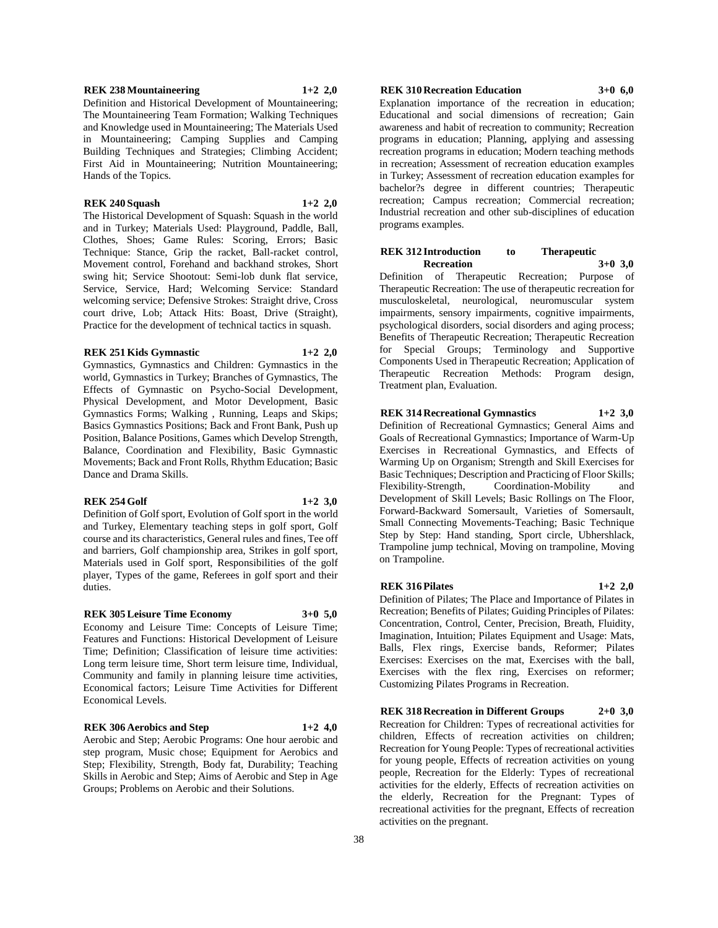**REK 238 Mountaineering 1+2 2,0**

Definition and Historical Development of Mountaineering; The Mountaineering Team Formation; Walking Techniques and Knowledge used in Mountaineering; The Materials Used in Mountaineering; Camping Supplies and Camping Building Techniques and Strategies; Climbing Accident; First Aid in Mountaineering; Nutrition Mountaineering; Hands of the Topics.

### **REK 240 Squash 1+2 2,0**

The Historical Development of Squash: Squash in the world and in Turkey; Materials Used: Playground, Paddle, Ball, Clothes, Shoes; Game Rules: Scoring, Errors; Basic Technique: Stance, Grip the racket, Ball-racket control, Movement control, Forehand and backhand strokes, Short swing hit; Service Shootout: Semi-lob dunk flat service, Service, Service, Hard; Welcoming Service: Standard welcoming service; Defensive Strokes: Straight drive, Cross court drive, Lob; Attack Hits: Boast, Drive (Straight), Practice for the development of technical tactics in squash.

#### **REK 251 Kids Gymnastic 1+2 2,0**

Gymnastics, Gymnastics and Children: Gymnastics in the world, Gymnastics in Turkey; Branches of Gymnastics, The Effects of Gymnastic on Psycho-Social Development, Physical Development, and Motor Development, Basic Gymnastics Forms; Walking , Running, Leaps and Skips; Basics Gymnastics Positions; Back and Front Bank, Push up Position, Balance Positions, Games which Develop Strength, Balance, Coordination and Flexibility, Basic Gymnastic Movements; Back and Front Rolls, Rhythm Education; Basic Dance and Drama Skills.

## **REK 254 Golf 1+2 3,0**

Definition of Golf sport, Evolution of Golf sport in the world and Turkey, Elementary teaching steps in golf sport, Golf course and its characteristics, General rules and fines, Tee off and barriers, Golf championship area, Strikes in golf sport, Materials used in Golf sport, Responsibilities of the golf player, Types of the game, Referees in golf sport and their duties.

## **REK 305 Leisure Time Economy 3+0 5,0**

Economy and Leisure Time: Concepts of Leisure Time; Features and Functions: Historical Development of Leisure Time; Definition; Classification of leisure time activities: Long term leisure time, Short term leisure time, Individual, Community and family in planning leisure time activities, Economical factors; Leisure Time Activities for Different Economical Levels.

## **REK 306 Aerobics and Step 1+2 4,0**

Aerobic and Step; Aerobic Programs: One hour aerobic and step program, Music chose; Equipment for Aerobics and Step; Flexibility, Strength, Body fat, Durability; Teaching Skills in Aerobic and Step; Aims of Aerobic and Step in Age Groups; Problems on Aerobic and their Solutions.

## **REK 310 Recreation Education 3+0 6,0**

Explanation importance of the recreation in education; Educational and social dimensions of recreation; Gain awareness and habit of recreation to community; Recreation programs in education; Planning, applying and assessing recreation programs in education; Modern teaching methods in recreation; Assessment of recreation education examples in Turkey; Assessment of recreation education examples for bachelor?s degree in different countries; Therapeutic recreation; Campus recreation; Commercial recreation; Industrial recreation and other sub-disciplines of education programs examples.

#### **REK 312 Introduction to Therapeutic Recreation 3+0 3,0**

Definition of Therapeutic Recreation; Purpose of Therapeutic Recreation: The use of therapeutic recreation for musculoskeletal, neurological, neuromuscular system impairments, sensory impairments, cognitive impairments, psychological disorders, social disorders and aging process; Benefits of Therapeutic Recreation; Therapeutic Recreation for Special Groups; Terminology and Supportive Components Used in Therapeutic Recreation; Application of Therapeutic Recreation Methods: Program design, Treatment plan, Evaluation.

**REK 314 Recreational Gymnastics 1+2 3,0** Definition of Recreational Gymnastics; General Aims and Goals of Recreational Gymnastics; Importance of Warm-Up Exercises in Recreational Gymnastics, and Effects of Warming Up on Organism; Strength and Skill Exercises for Basic Techniques; Description and Practicing of Floor Skills; Flexibility-Strength, Coordination-Mobility and Development of Skill Levels; Basic Rollings on The Floor, Forward-Backward Somersault, Varieties of Somersault, Small Connecting Movements-Teaching; Basic Technique Step by Step: Hand standing, Sport circle, Ubhershlack, Trampoline jump technical, Moving on trampoline, Moving on Trampoline.

#### **REK 316 Pilates 1+2 2,0**

Definition of Pilates; The Place and Importance of Pilates in Recreation; Benefits of Pilates; Guiding Principles of Pilates: Concentration, Control, Center, Precision, Breath, Fluidity, Imagination, Intuition; Pilates Equipment and Usage: Mats, Balls, Flex rings, Exercise bands, Reformer; Pilates Exercises: Exercises on the mat, Exercises with the ball, Exercises with the flex ring, Exercises on reformer; Customizing Pilates Programs in Recreation.

**REK 318 Recreation in Different Groups 2+0 3,0** Recreation for Children: Types of recreational activities for children, Effects of recreation activities on children; Recreation for Young People: Types of recreational activities for young people, Effects of recreation activities on young people, Recreation for the Elderly: Types of recreational activities for the elderly, Effects of recreation activities on the elderly, Recreation for the Pregnant: Types of recreational activities for the pregnant, Effects of recreation activities on the pregnant.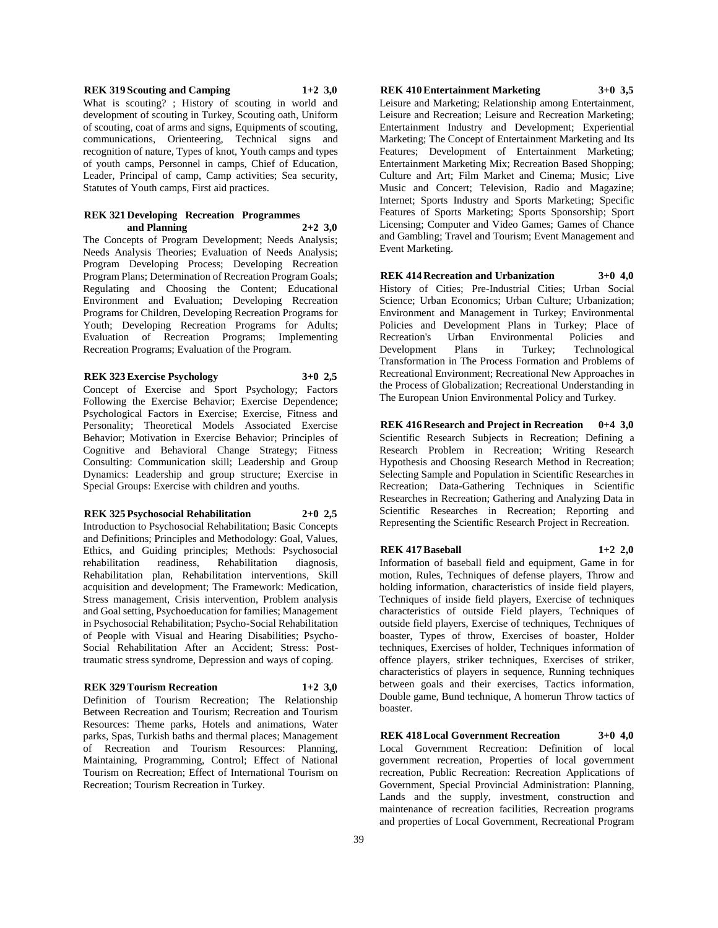## **REK 319 Scouting and Camping 1+2 3,0**

What is scouting? ; History of scouting in world and development of scouting in Turkey, Scouting oath, Uniform of scouting, coat of arms and signs, Equipments of scouting, communications, Orienteering, Technical signs and recognition of nature, Types of knot, Youth camps and types of youth camps, Personnel in camps, Chief of Education, Leader, Principal of camp, Camp activities; Sea security, Statutes of Youth camps, First aid practices.

#### **REK 321 Developing Recreation Programmes and Planning 2+2 3,0**

The Concepts of Program Development; Needs Analysis; Needs Analysis Theories; Evaluation of Needs Analysis; Program Developing Process; Developing Recreation Program Plans; Determination of Recreation Program Goals; Regulating and Choosing the Content; Educational Environment and Evaluation; Developing Recreation Programs for Children, Developing Recreation Programs for Youth; Developing Recreation Programs for Adults; Evaluation of Recreation Programs; Implementing Recreation Programs; Evaluation of the Program.

#### **REK 323 Exercise Psychology 3+0 2,5**

Concept of Exercise and Sport Psychology; Factors Following the Exercise Behavior; Exercise Dependence; Psychological Factors in Exercise; Exercise, Fitness and Personality; Theoretical Models Associated Exercise Behavior; Motivation in Exercise Behavior; Principles of Cognitive and Behavioral Change Strategy; Fitness Consulting: Communication skill; Leadership and Group Dynamics: Leadership and group structure; Exercise in Special Groups: Exercise with children and youths.

## **REK 325 Psychosocial Rehabilitation 2+0 2,5**

Introduction to Psychosocial Rehabilitation; Basic Concepts and Definitions; Principles and Methodology: Goal, Values, Ethics, and Guiding principles; Methods: Psychosocial rehabilitation readiness, Rehabilitation diagnosis, Rehabilitation plan, Rehabilitation interventions, Skill acquisition and development; The Framework: Medication, Stress management, Crisis intervention, Problem analysis and Goal setting, Psychoeducation for families; Management in Psychosocial Rehabilitation; Psycho-Social Rehabilitation of People with Visual and Hearing Disabilities; Psycho-Social Rehabilitation After an Accident; Stress: Posttraumatic stress syndrome, Depression and ways of coping.

## **REK 329 Tourism Recreation 1+2 3,0**

Definition of Tourism Recreation; The Relationship Between Recreation and Tourism; Recreation and Tourism Resources: Theme parks, Hotels and animations, Water parks, Spas, Turkish baths and thermal places; Management of Recreation and Tourism Resources: Planning, Maintaining, Programming, Control; Effect of National Tourism on Recreation; Effect of International Tourism on Recreation; Tourism Recreation in Turkey.

## **REK 410 Entertainment Marketing 3+0 3,5**

Leisure and Marketing; Relationship among Entertainment, Leisure and Recreation; Leisure and Recreation Marketing; Entertainment Industry and Development; Experiential Marketing; The Concept of Entertainment Marketing and Its Features; Development of Entertainment Marketing; Entertainment Marketing Mix; Recreation Based Shopping; Culture and Art; Film Market and Cinema; Music; Live Music and Concert; Television, Radio and Magazine; Internet; Sports Industry and Sports Marketing; Specific Features of Sports Marketing; Sports Sponsorship; Sport Licensing; Computer and Video Games; Games of Chance and Gambling; Travel and Tourism; Event Management and Event Marketing.

**REK 414 Recreation and Urbanization 3+0 4,0** History of Cities; Pre-Industrial Cities; Urban Social Science; Urban Economics; Urban Culture; Urbanization; Environment and Management in Turkey; Environmental Policies and Development Plans in Turkey; Place of Recreation's Urban Environmental Policies and Development Plans in Turkey; Technological Transformation in The Process Formation and Problems of Recreational Environment; Recreational New Approaches in the Process of Globalization; Recreational Understanding in The European Union Environmental Policy and Turkey.

**REK 416 Research and Project in Recreation 0+4 3,0** Scientific Research Subjects in Recreation; Defining a Research Problem in Recreation; Writing Research Hypothesis and Choosing Research Method in Recreation; Selecting Sample and Population in Scientific Researches in Recreation; Data-Gathering Techniques in Scientific Researches in Recreation; Gathering and Analyzing Data in Scientific Researches in Recreation; Reporting and Representing the Scientific Research Project in Recreation.

#### **REK 417 Baseball 1+2 2,0**

Information of baseball field and equipment, Game in for motion, Rules, Techniques of defense players, Throw and holding information, characteristics of inside field players, Techniques of inside field players, Exercise of techniques characteristics of outside Field players, Techniques of outside field players, Exercise of techniques, Techniques of boaster, Types of throw, Exercises of boaster, Holder techniques, Exercises of holder, Techniques information of offence players, striker techniques, Exercises of striker, characteristics of players in sequence, Running techniques between goals and their exercises, Tactics information, Double game, Bund technique, A homerun Throw tactics of boaster.

**REK 418 Local Government Recreation 3+0 4,0** Local Government Recreation: Definition of local government recreation, Properties of local government recreation, Public Recreation: Recreation Applications of Government, Special Provincial Administration: Planning, Lands and the supply, investment, construction and maintenance of recreation facilities, Recreation programs and properties of Local Government, Recreational Program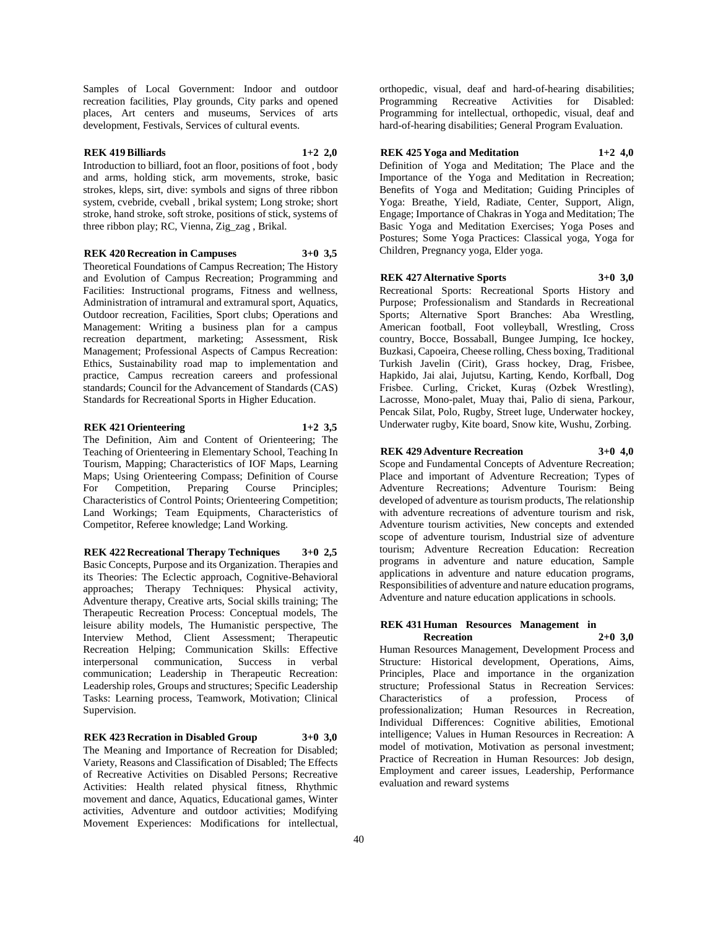Samples of Local Government: Indoor and outdoor recreation facilities, Play grounds, City parks and opened places, Art centers and museums, Services of arts development, Festivals, Services of cultural events.

## **REK 419 Billiards 1+2 2,0**

Introduction to billiard, foot an floor, positions of foot , body and arms, holding stick, arm movements, stroke, basic strokes, kleps, sirt, dive: symbols and signs of three ribbon system, cvebride, cveball , brikal system; Long stroke; short stroke, hand stroke, soft stroke, positions of stick, systems of three ribbon play; RC, Vienna, Zig\_zag , Brikal.

## **REK 420 Recreation in Campuses 3+0 3,5**

Theoretical Foundations of Campus Recreation; The History and Evolution of Campus Recreation; Programming and Facilities: Instructional programs, Fitness and wellness, Administration of intramural and extramural sport, Aquatics, Outdoor recreation, Facilities, Sport clubs; Operations and Management: Writing a business plan for a campus recreation department, marketing; Assessment, Risk Management; Professional Aspects of Campus Recreation: Ethics, Sustainability road map to implementation and practice, Campus recreation careers and professional standards; Council for the Advancement of Standards (CAS) Standards for Recreational Sports in Higher Education.

#### **REK 421 Orienteering 1+2 3,5**

The Definition, Aim and Content of Orienteering; The Teaching of Orienteering in Elementary School, Teaching In Tourism, Mapping; Characteristics of IOF Maps, Learning Maps; Using Orienteering Compass; Definition of Course For Competition, Preparing Course Principles; Characteristics of Control Points; Orienteering Competition; Land Workings; Team Equipments, Characteristics of Competitor, Referee knowledge; Land Working.

**REK 422 Recreational Therapy Techniques 3+0 2,5** Basic Concepts, Purpose and its Organization. Therapies and its Theories: The Eclectic approach, Cognitive-Behavioral approaches; Therapy Techniques: Physical activity, Adventure therapy, Creative arts, Social skills training; The Therapeutic Recreation Process: Conceptual models, The leisure ability models, The Humanistic perspective, The Interview Method, Client Assessment; Therapeutic Recreation Helping; Communication Skills: Effective interpersonal communication, Success in verbal communication; Leadership in Therapeutic Recreation: Leadership roles, Groups and structures; Specific Leadership Tasks: Learning process, Teamwork, Motivation; Clinical Supervision.

**REK 423 Recration in Disabled Group 3+0 3,0** The Meaning and Importance of Recreation for Disabled; Variety, Reasons and Classification of Disabled; The Effects of Recreative Activities on Disabled Persons; Recreative Activities: Health related physical fitness, Rhythmic movement and dance, Aquatics, Educational games, Winter activities, Adventure and outdoor activities; Modifying Movement Experiences: Modifications for intellectual, orthopedic, visual, deaf and hard-of-hearing disabilities; Programming Recreative Activities for Disabled: Programming for intellectual, orthopedic, visual, deaf and hard-of-hearing disabilities; General Program Evaluation.

### **REK 425 Yoga and Meditation 1+2 4,0**

Definition of Yoga and Meditation; The Place and the Importance of the Yoga and Meditation in Recreation; Benefits of Yoga and Meditation; Guiding Principles of Yoga: Breathe, Yield, Radiate, Center, Support, Align, Engage; Importance of Chakras in Yoga and Meditation; The Basic Yoga and Meditation Exercises; Yoga Poses and Postures; Some Yoga Practices: Classical yoga, Yoga for Children, Pregnancy yoga, Elder yoga.

## **REK 427 Alternative Sports 3+0 3,0**

Recreational Sports: Recreational Sports History and Purpose; Professionalism and Standards in Recreational Sports; Alternative Sport Branches: Aba Wrestling, American football, Foot volleyball, Wrestling, Cross country, Bocce, Bossaball, Bungee Jumping, Ice hockey, Buzkasi, Capoeira, Cheese rolling, Chess boxing, Traditional Turkish Javelin (Cirit), Grass hockey, Drag, Frisbee, Hapkido, Jai alai, Jujutsu, Karting, Kendo, Korfball, Dog Frisbee. Curling, Cricket, Kuraş (Ozbek Wrestling), Lacrosse, Mono-palet, Muay thai, Palio di siena, Parkour, Pencak Silat, Polo, Rugby, Street luge, Underwater hockey, Underwater rugby, Kite board, Snow kite, Wushu, Zorbing.

## **REK 429 Adventure Recreation 3+0 4,0**

Scope and Fundamental Concepts of Adventure Recreation; Place and important of Adventure Recreation; Types of Adventure Recreations; Adventure Tourism: Being developed of adventure as tourism products, The relationship with adventure recreations of adventure tourism and risk, Adventure tourism activities, New concepts and extended scope of adventure tourism, Industrial size of adventure tourism; Adventure Recreation Education: Recreation programs in adventure and nature education, Sample applications in adventure and nature education programs, Responsibilities of adventure and nature education programs, Adventure and nature education applications in schools.

### **REK 431 Human Resources Management in Recreation 2+0 3,0**

Human Resources Management, Development Process and Structure: Historical development, Operations, Aims, Principles, Place and importance in the organization structure; Professional Status in Recreation Services: Characteristics of a profession, Process of professionalization; Human Resources in Recreation, Individual Differences: Cognitive abilities, Emotional intelligence; Values in Human Resources in Recreation: A model of motivation, Motivation as personal investment; Practice of Recreation in Human Resources: Job design, Employment and career issues, Leadership, Performance evaluation and reward systems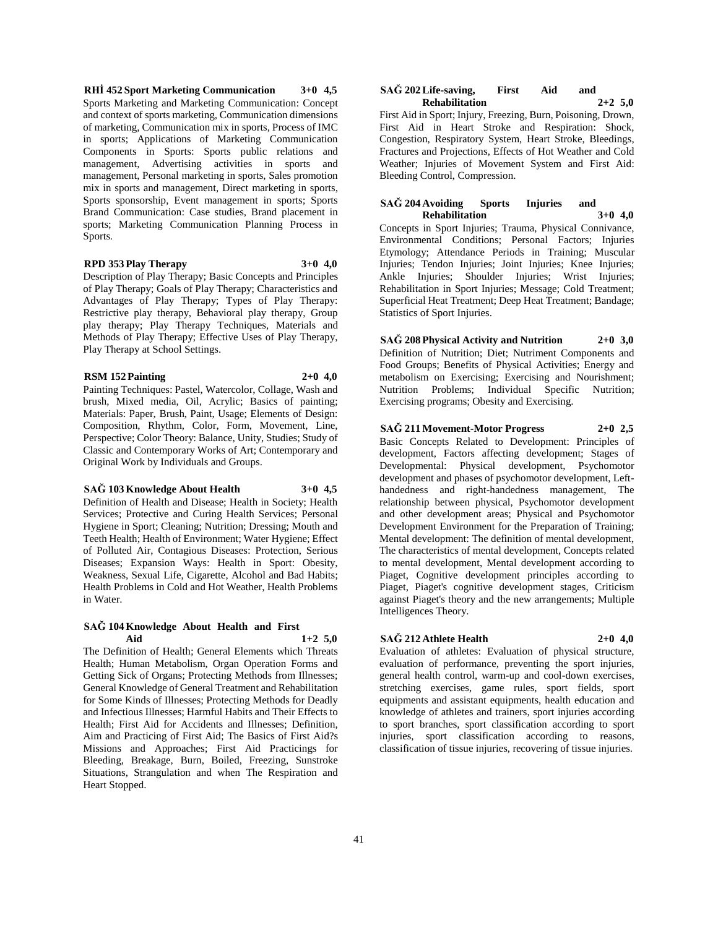**RHİ 452 Sport Marketing Communication 3+0 4,5** Sports Marketing and Marketing Communication: Concept and context of sports marketing, Communication dimensions of marketing, Communication mix in sports, Process of IMC in sports; Applications of Marketing Communication Components in Sports: Sports public relations and management, Advertising activities in sports and management, Personal marketing in sports, Sales promotion mix in sports and management, Direct marketing in sports, Sports sponsorship, Event management in sports; Sports Brand Communication: Case studies, Brand placement in sports; Marketing Communication Planning Process in Sports.

## **RPD 353 Play Therapy 3+0 4,0**

Description of Play Therapy; Basic Concepts and Principles of Play Therapy; Goals of Play Therapy; Characteristics and Advantages of Play Therapy; Types of Play Therapy: Restrictive play therapy, Behavioral play therapy, Group play therapy; Play Therapy Techniques, Materials and Methods of Play Therapy; Effective Uses of Play Therapy, Play Therapy at School Settings.

## **RSM 152 Painting 2+0 4,0**

Painting Techniques: Pastel, Watercolor, Collage, Wash and brush, Mixed media, Oil, Acrylic; Basics of painting; Materials: Paper, Brush, Paint, Usage; Elements of Design: Composition, Rhythm, Color, Form, Movement, Line, Perspective; Color Theory: Balance, Unity, Studies; Study of Classic and Contemporary Works of Art; Contemporary and Original Work by Individuals and Groups.

## **SAĞ 103 Knowledge About Health 3+0 4,5**

Definition of Health and Disease; Health in Society; Health Services; Protective and Curing Health Services; Personal Hygiene in Sport; Cleaning; Nutrition; Dressing; Mouth and Teeth Health; Health of Environment; Water Hygiene; Effect of Polluted Air, Contagious Diseases: Protection, Serious Diseases; Expansion Ways: Health in Sport: Obesity, Weakness, Sexual Life, Cigarette, Alcohol and Bad Habits; Health Problems in Cold and Hot Weather, Health Problems in Water.

## **SAĞ 104 Knowledge About Health and First Aid 1+2 5,0**

The Definition of Health; General Elements which Threats Health; Human Metabolism, Organ Operation Forms and Getting Sick of Organs; Protecting Methods from Illnesses; General Knowledge of General Treatment and Rehabilitation for Some Kinds of Illnesses; Protecting Methods for Deadly and Infectious Illnesses; Harmful Habits and Their Effects to Health; First Aid for Accidents and Illnesses; Definition, Aim and Practicing of First Aid; The Basics of First Aid?s Missions and Approaches; First Aid Practicings for Bleeding, Breakage, Burn, Boiled, Freezing, Sunstroke Situations, Strangulation and when The Respiration and Heart Stopped.

#### **SAĞ 202 Life-saving, First Aid and Rehabilitation 2+2 5,0**

First Aid in Sport; Injury, Freezing, Burn, Poisoning, Drown, First Aid in Heart Stroke and Respiration: Shock, Congestion, Respiratory System, Heart Stroke, Bleedings, Fractures and Projections, Effects of Hot Weather and Cold Weather; Injuries of Movement System and First Aid: Bleeding Control, Compression.

#### **SAĞ 204 Avoiding Sports Injuries and Rehabilitation 3+0 4,0**

Concepts in Sport Injuries; Trauma, Physical Connivance, Environmental Conditions; Personal Factors; Injuries Etymology; Attendance Periods in Training; Muscular Injuries; Tendon Injuries; Joint Injuries; Knee Injuries; Ankle Injuries; Shoulder Injuries; Wrist Injuries; Rehabilitation in Sport Injuries; Message; Cold Treatment; Superficial Heat Treatment; Deep Heat Treatment; Bandage; Statistics of Sport Injuries.

**SAĞ 208 Physical Activity and Nutrition 2+0 3,0** Definition of Nutrition; Diet; Nutriment Components and Food Groups; Benefits of Physical Activities; Energy and metabolism on Exercising; Exercising and Nourishment; Nutrition Problems; Individual Specific Nutrition; Exercising programs; Obesity and Exercising.

**SAĞ 211 Movement-Motor Progress 2+0 2,5** Basic Concepts Related to Development: Principles of development, Factors affecting development; Stages of Developmental: Physical development, Psychomotor development and phases of psychomotor development, Lefthandedness and right-handedness management, The relationship between physical, Psychomotor development and other development areas; Physical and Psychomotor Development Environment for the Preparation of Training; Mental development: The definition of mental development, The characteristics of mental development, Concepts related to mental development, Mental development according to Piaget, Cognitive development principles according to Piaget, Piaget's cognitive development stages, Criticism against Piaget's theory and the new arrangements; Multiple Intelligences Theory.

# **SAĞ 212 Athlete Health 2+0 4,0**

Evaluation of athletes: Evaluation of physical structure, evaluation of performance, preventing the sport injuries, general health control, warm-up and cool-down exercises, stretching exercises, game rules, sport fields, sport equipments and assistant equipments, health education and knowledge of athletes and trainers, sport injuries according to sport branches, sport classification according to sport injuries, sport classification according to reasons, classification of tissue injuries, recovering of tissue injuries.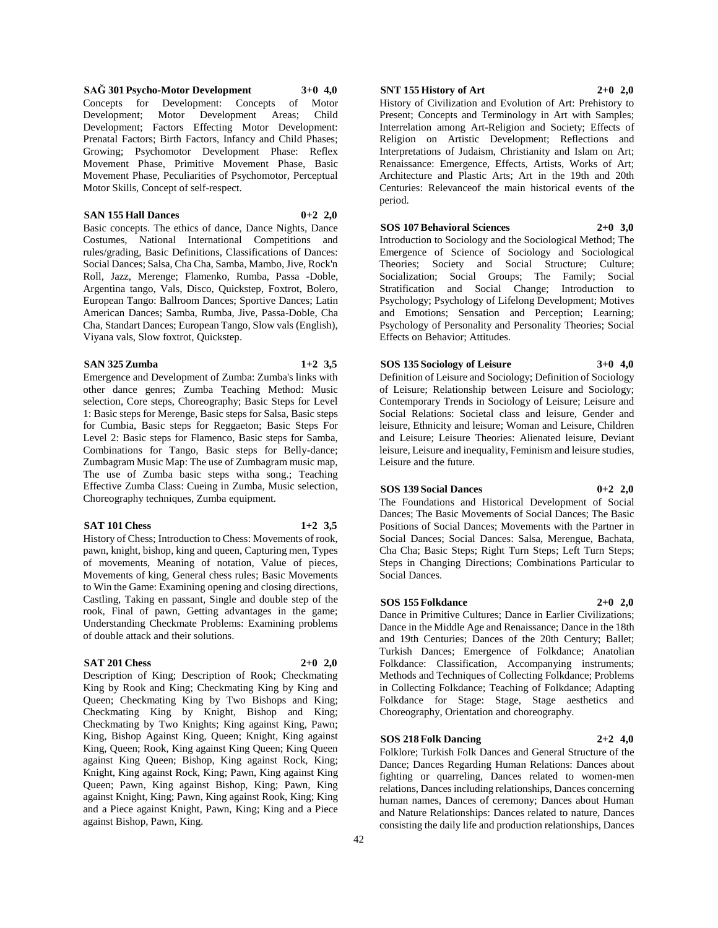**SAĞ 301 Psycho-Motor Development 3+0 4,0** Concepts for Development: Concepts of Motor Development; Motor Development Areas; Child Development; Factors Effecting Motor Development: Prenatal Factors; Birth Factors, Infancy and Child Phases; Growing; Psychomotor Development Phase: Reflex Movement Phase, Primitive Movement Phase, Basic Movement Phase, Peculiarities of Psychomotor, Perceptual Motor Skills, Concept of self-respect.

## **SAN 155 Hall Dances 0+2 2,0**

Basic concepts. The ethics of dance, Dance Nights, Dance Costumes, National International Competitions and rules/grading, Basic Definitions, Classifications of Dances: Social Dances; Salsa, Cha Cha, Samba, Mambo, Jive, Rock'n Roll, Jazz, Merenge; Flamenko, Rumba, Passa -Doble, Argentina tango, Vals, Disco, Quickstep, Foxtrot, Bolero, European Tango: Ballroom Dances; Sportive Dances; Latin American Dances; Samba, Rumba, Jive, Passa-Doble, Cha Cha, Standart Dances; European Tango, Slow vals (English), Viyana vals, Slow foxtrot, Quickstep.

#### **SAN 325 Zumba 1+2 3,5**

Emergence and Development of Zumba: Zumba's links with other dance genres; Zumba Teaching Method: Music selection, Core steps, Choreography; Basic Steps for Level 1: Basic steps for Merenge, Basic steps for Salsa, Basic steps for Cumbia, Basic steps for Reggaeton; Basic Steps For Level 2: Basic steps for Flamenco, Basic steps for Samba, Combinations for Tango, Basic steps for Belly-dance; Zumbagram Music Map: The use of Zumbagram music map, The use of Zumba basic steps witha song.; Teaching Effective Zumba Class: Cueing in Zumba, Music selection, Choreography techniques, Zumba equipment.

## **SAT 101 Chess 1+2 3,5**

History of Chess; Introduction to Chess: Movements of rook, pawn, knight, bishop, king and queen, Capturing men, Types of movements, Meaning of notation, Value of pieces, Movements of king, General chess rules; Basic Movements to Win the Game: Examining opening and closing directions, Castling, Taking en passant, Single and double step of the rook, Final of pawn, Getting advantages in the game; Understanding Checkmate Problems: Examining problems of double attack and their solutions.

## **SAT 201 Chess 2+0 2,0**

Description of King; Description of Rook; Checkmating King by Rook and King; Checkmating King by King and Queen; Checkmating King by Two Bishops and King; Checkmating King by Knight, Bishop and King; Checkmating by Two Knights; King against King, Pawn; King, Bishop Against King, Queen; Knight, King against King, Queen; Rook, King against King Queen; King Queen against King Queen; Bishop, King against Rock, King; Knight, King against Rock, King; Pawn, King against King Queen; Pawn, King against Bishop, King; Pawn, King against Knight, King; Pawn, King against Rook, King; King and a Piece against Knight, Pawn, King; King and a Piece against Bishop, Pawn, King.

## **SNT 155 History of Art 2+0 2,0**

History of Civilization and Evolution of Art: Prehistory to Present; Concepts and Terminology in Art with Samples; Interrelation among Art-Religion and Society; Effects of Religion on Artistic Development; Reflections and Interpretations of Judaism, Christianity and Islam on Art; Renaissance: Emergence, Effects, Artists, Works of Art; Architecture and Plastic Arts; Art in the 19th and 20th Centuries: Relevanceof the main historical events of the period.

**SOS 107 Behavioral Sciences 2+0 3,0**

Introduction to Sociology and the Sociological Method; The Emergence of Science of Sociology and Sociological Theories; Society and Social Structure; Culture; Socialization; Social Groups; The Family; Social Stratification and Social Change; Introduction to Psychology; Psychology of Lifelong Development; Motives and Emotions; Sensation and Perception; Learning; Psychology of Personality and Personality Theories; Social Effects on Behavior; Attitudes.

#### **SOS 135 Sociology of Leisure 3+0 4,0**

Definition of Leisure and Sociology; Definition of Sociology of Leisure; Relationship between Leisure and Sociology; Contemporary Trends in Sociology of Leisure; Leisure and Social Relations: Societal class and leisure, Gender and leisure, Ethnicity and leisure; Woman and Leisure, Children and Leisure; Leisure Theories: Alienated leisure, Deviant leisure, Leisure and inequality, Feminism and leisure studies, Leisure and the future.

### **SOS 139 Social Dances 0+2 2,0**

The Foundations and Historical Development of Social Dances; The Basic Movements of Social Dances; The Basic Positions of Social Dances; Movements with the Partner in Social Dances; Social Dances: Salsa, Merengue, Bachata, Cha Cha; Basic Steps; Right Turn Steps; Left Turn Steps; Steps in Changing Directions; Combinations Particular to Social Dances.

## **SOS 155 Folkdance 2+0 2,0**

Dance in Primitive Cultures; Dance in Earlier Civilizations; Dance in the Middle Age and Renaissance; Dance in the 18th and 19th Centuries; Dances of the 20th Century; Ballet; Turkish Dances; Emergence of Folkdance; Anatolian Folkdance: Classification, Accompanying instruments; Methods and Techniques of Collecting Folkdance; Problems in Collecting Folkdance; Teaching of Folkdance; Adapting Folkdance for Stage: Stage, Stage aesthetics and Choreography, Orientation and choreography.

#### **SOS 218 Folk Dancing 2+2 4,0**

Folklore; Turkish Folk Dances and General Structure of the Dance; Dances Regarding Human Relations: Dances about fighting or quarreling, Dances related to women-men relations, Dances including relationships, Dances concerning human names, Dances of ceremony; Dances about Human and Nature Relationships: Dances related to nature, Dances consisting the daily life and production relationships, Dances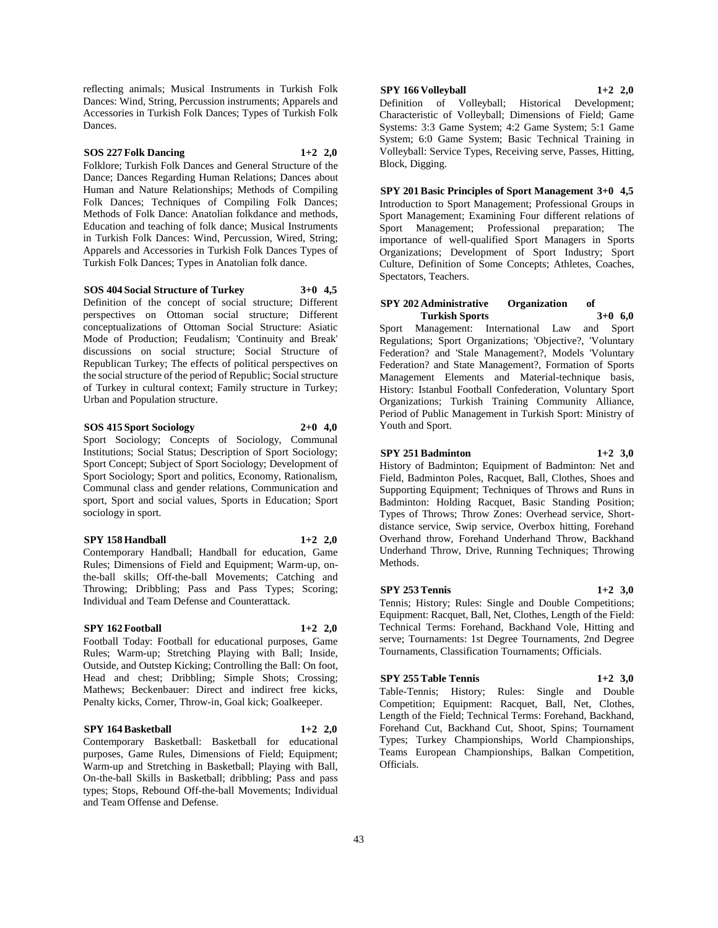reflecting animals; Musical Instruments in Turkish Folk Dances: Wind, String, Percussion instruments; Apparels and Accessories in Turkish Folk Dances; Types of Turkish Folk Dances.

## **SOS 227 Folk Dancing 1+2 2,0**

Folklore; Turkish Folk Dances and General Structure of the Dance; Dances Regarding Human Relations; Dances about Human and Nature Relationships; Methods of Compiling Folk Dances; Techniques of Compiling Folk Dances; Methods of Folk Dance: Anatolian folkdance and methods, Education and teaching of folk dance; Musical Instruments in Turkish Folk Dances: Wind, Percussion, Wired, String; Apparels and Accessories in Turkish Folk Dances Types of Turkish Folk Dances; Types in Anatolian folk dance.

**SOS 404 Social Structure of Turkey 3+0 4,5** Definition of the concept of social structure; Different perspectives on Ottoman social structure; Different conceptualizations of Ottoman Social Structure: Asiatic Mode of Production; Feudalism; 'Continuity and Break' discussions on social structure; Social Structure of Republican Turkey; The effects of political perspectives on the social structure of the period of Republic; Social structure of Turkey in cultural context; Family structure in Turkey; Urban and Population structure.

#### **SOS 415 Sport Sociology 2+0 4,0**

Sport Sociology; Concepts of Sociology, Communal Institutions; Social Status; Description of Sport Sociology; Sport Concept; Subject of Sport Sociology; Development of Sport Sociology; Sport and politics, Economy, Rationalism, Communal class and gender relations, Communication and sport, Sport and social values, Sports in Education; Sport sociology in sport.

## **SPY 158 Handball 1+2 2,0**

Contemporary Handball; Handball for education, Game Rules; Dimensions of Field and Equipment; Warm-up, onthe-ball skills; Off-the-ball Movements; Catching and Throwing; Dribbling; Pass and Pass Types; Scoring; Individual and Team Defense and Counterattack.

## **SPY 162 Football 1+2 2,0**

Football Today: Football for educational purposes, Game Rules; Warm-up; Stretching Playing with Ball; Inside, Outside, and Outstep Kicking; Controlling the Ball: On foot, Head and chest; Dribbling; Simple Shots; Crossing; Mathews; Beckenbauer: Direct and indirect free kicks, Penalty kicks, Corner, Throw-in, Goal kick; Goalkeeper.

#### **SPY 164 Basketball 1+2 2,0**

Contemporary Basketball: Basketball for educational purposes, Game Rules, Dimensions of Field; Equipment; Warm-up and Stretching in Basketball; Playing with Ball, On-the-ball Skills in Basketball; dribbling; Pass and pass types; Stops, Rebound Off-the-ball Movements; Individual and Team Offense and Defense.

## **SPY 166 Volleyball 1+2 2,0**

Definition of Volleyball; Historical Development; Characteristic of Volleyball; Dimensions of Field; Game Systems: 3:3 Game System; 4:2 Game System; 5:1 Game System; 6:0 Game System; Basic Technical Training in Volleyball: Service Types, Receiving serve, Passes, Hitting, Block, Digging.

**SPY 201 Basic Principles of Sport Management 3+0 4,5** Introduction to Sport Management; Professional Groups in Sport Management; Examining Four different relations of Sport Management; Professional preparation; The importance of well-qualified Sport Managers in Sports Organizations; Development of Sport Industry; Sport Culture, Definition of Some Concepts; Athletes, Coaches, Spectators, Teachers.

#### **SPY 202 Administrative Organization of Turkish Sports 3+0 6,0**

Sport Management: International Law and Sport Regulations; Sport Organizations; 'Objective?, 'Voluntary Federation? and 'Stale Management?, Models 'Voluntary Federation? and State Management?, Formation of Sports Management Elements and Material-technique basis, History: Istanbul Football Confederation, Voluntary Sport Organizations; Turkish Training Community Alliance, Period of Public Management in Turkish Sport: Ministry of Youth and Sport.

## **SPY 251 Badminton 1+2 3,0**

History of Badminton; Equipment of Badminton: Net and Field, Badminton Poles, Racquet, Ball, Clothes, Shoes and Supporting Equipment; Techniques of Throws and Runs in Badminton: Holding Racquet, Basic Standing Position; Types of Throws; Throw Zones: Overhead service, Shortdistance service, Swip service, Overbox hitting, Forehand Overhand throw, Forehand Underhand Throw, Backhand Underhand Throw, Drive, Running Techniques; Throwing Methods.

#### **SPY 253 Tennis 1+2 3,0**

Tennis; History; Rules: Single and Double Competitions; Equipment: Racquet, Ball, Net, Clothes, Length of the Field: Technical Terms: Forehand, Backhand Vole, Hitting and serve; Tournaments: 1st Degree Tournaments, 2nd Degree Tournaments, Classification Tournaments; Officials.

## **SPY 255 Table Tennis 1+2 3,0**

Table-Tennis; History; Rules: Single and Double Competition; Equipment: Racquet, Ball, Net, Clothes, Length of the Field; Technical Terms: Forehand, Backhand, Forehand Cut, Backhand Cut, Shoot, Spins; Tournament Types; Turkey Championships, World Championships, Teams European Championships, Balkan Competition, Officials.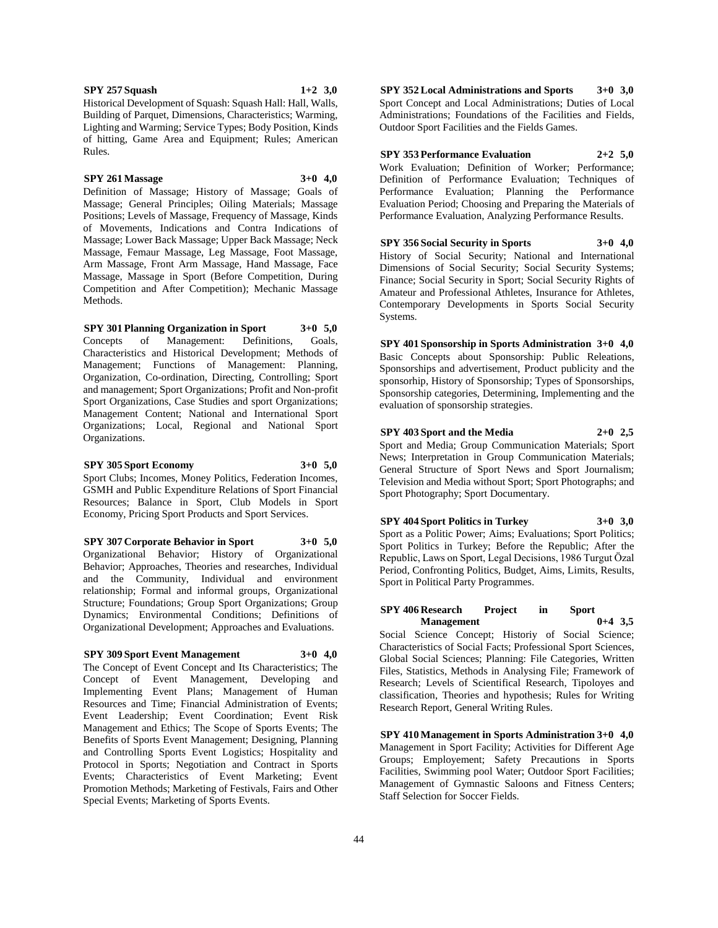**SPY 257 Squash 1+2 3,0**

Historical Development of Squash: Squash Hall: Hall, Walls, Building of Parquet, Dimensions, Characteristics; Warming, Lighting and Warming; Service Types; Body Position, Kinds of hitting, Game Area and Equipment; Rules; American Rules.

## **SPY 261 Massage 3+0 4,0**

Definition of Massage; History of Massage; Goals of Massage; General Principles; Oiling Materials; Massage Positions; Levels of Massage, Frequency of Massage, Kinds of Movements, Indications and Contra Indications of Massage; Lower Back Massage; Upper Back Massage; Neck Massage, Femaur Massage, Leg Massage, Foot Massage, Arm Massage, Front Arm Massage, Hand Massage, Face Massage, Massage in Sport (Before Competition, During Competition and After Competition); Mechanic Massage Methods.

**SPY 301 Planning Organization in Sport 3+0 5,0** Concepts of Management: Definitions, Goals, Characteristics and Historical Development; Methods of Management; Functions of Management: Planning, Organization, Co-ordination, Directing, Controlling; Sport and management; Sport Organizations; Profit and Non-profit Sport Organizations, Case Studies and sport Organizations; Management Content; National and International Sport Organizations; Local, Regional and National Sport Organizations.

#### **SPY 305 Sport Economy 3+0 5,0**

Sport Clubs; Incomes, Money Politics, Federation Incomes, GSMH and Public Expenditure Relations of Sport Financial Resources; Balance in Sport, Club Models in Sport Economy, Pricing Sport Products and Sport Services.

**SPY 307 Corporate Behavior in Sport 3+0 5,0** Organizational Behavior; History of Organizational Behavior; Approaches, Theories and researches, Individual and the Community, Individual and environment relationship; Formal and informal groups, Organizational Structure; Foundations; Group Sport Organizations; Group Dynamics; Environmental Conditions; Definitions of Organizational Development; Approaches and Evaluations.

**SPY 309 Sport Event Management 3+0 4,0**

The Concept of Event Concept and Its Characteristics; The Concept of Event Management, Developing and Implementing Event Plans; Management of Human Resources and Time; Financial Administration of Events; Event Leadership; Event Coordination; Event Risk Management and Ethics; The Scope of Sports Events; The Benefits of Sports Event Management; Designing, Planning and Controlling Sports Event Logistics; Hospitality and Protocol in Sports; Negotiation and Contract in Sports Events; Characteristics of Event Marketing; Event Promotion Methods; Marketing of Festivals, Fairs and Other Special Events; Marketing of Sports Events.

**SPY 352 Local Administrations and Sports 3+0 3,0** Sport Concept and Local Administrations; Duties of Local Administrations; Foundations of the Facilities and Fields, Outdoor Sport Facilities and the Fields Games.

**SPY 353 Performance Evaluation 2+2 5,0** Work Evaluation; Definition of Worker; Performance; Definition of Performance Evaluation; Techniques of Performance Evaluation; Planning the Performance Evaluation Period; Choosing and Preparing the Materials of Performance Evaluation, Analyzing Performance Results.

**SPY 356 Social Security in Sports 3+0 4,0** History of Social Security; National and International Dimensions of Social Security; Social Security Systems; Finance; Social Security in Sport; Social Security Rights of Amateur and Professional Athletes, Insurance for Athletes, Contemporary Developments in Sports Social Security Systems.

**SPY 401 Sponsorship in Sports Administration 3+0 4,0** Basic Concepts about Sponsorship: Public Releations, Sponsorships and advertisement, Product publicity and the sponsorhip, History of Sponsorship; Types of Sponsorships, Sponsorship categories, Determining, Implementing and the evaluation of sponsorship strategies.

**SPY 403 Sport and the Media 2+0 2,5** Sport and Media; Group Communication Materials; Sport News; Interpretation in Group Communication Materials; General Structure of Sport News and Sport Journalism; Television and Media without Sport; Sport Photographs; and Sport Photography; Sport Documentary.

**SPY 404 Sport Politics in Turkey 3+0 3,0** Sport as a Politic Power; Aims; Evaluations; Sport Politics; Sport Politics in Turkey; Before the Republic; After the Republic, Laws on Sport, Legal Decisions, 1986 Turgut Özal Period, Confronting Politics, Budget, Aims, Limits, Results, Sport in Political Party Programmes.

#### **SPY 406 Research Project in Sport Management 0+4 3,5**

Social Science Concept; Historiy of Social Science; Characteristics of Social Facts; Professional Sport Sciences, Global Social Sciences; Planning: File Categories, Written Files, Statistics, Methods in Analysing File; Framework of Research; Levels of Scientifical Research, Tipoloyes and classification, Theories and hypothesis; Rules for Writing Research Report, General Writing Rules.

**SPY 410 Management in Sports Administration 3+0 4,0** Management in Sport Facility; Activities for Different Age Groups; Employement; Safety Precautions in Sports Facilities, Swimming pool Water; Outdoor Sport Facilities; Management of Gymnastic Saloons and Fitness Centers; Staff Selection for Soccer Fields.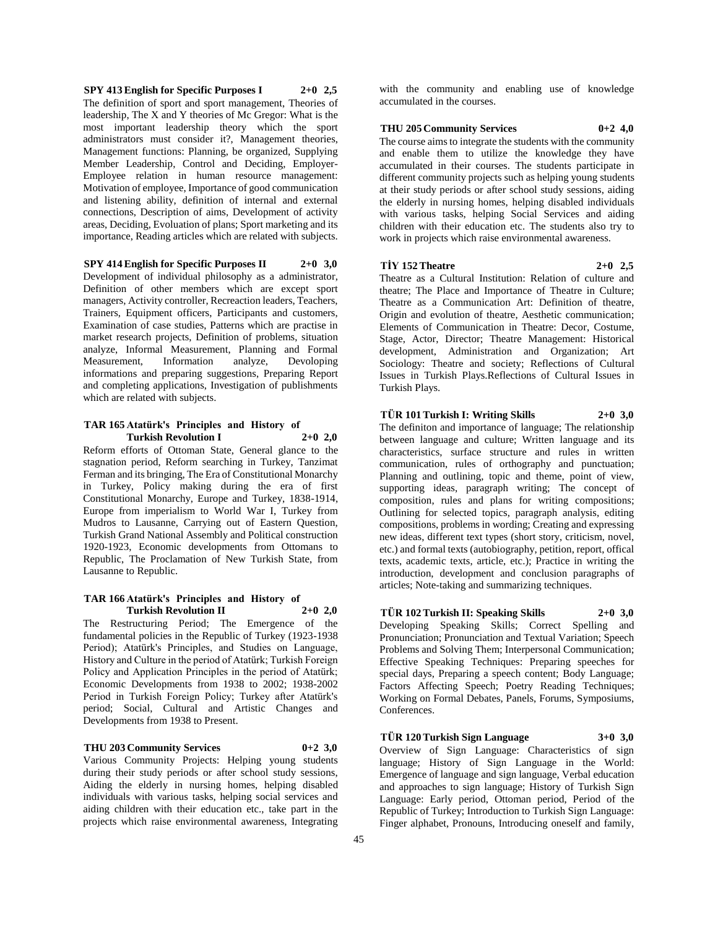**SPY 413 English for Specific Purposes I 2+0 2,5** The definition of sport and sport management, Theories of leadership, The X and Y theories of Mc Gregor: What is the most important leadership theory which the sport administrators must consider it?, Management theories, Management functions: Planning, be organized, Supplying Member Leadership, Control and Deciding, Employer-Employee relation in human resource management: Motivation of employee, Importance of good communication and listening ability, definition of internal and external connections, Description of aims, Development of activity areas, Deciding, Evoluation of plans; Sport marketing and its importance, Reading articles which are related with subjects.

## **SPY 414 English for Specific Purposes II 2+0 3,0**

Development of individual philosophy as a administrator, Definition of other members which are except sport managers, Activity controller, Recreaction leaders, Teachers, Trainers, Equipment officers, Participants and customers, Examination of case studies, Patterns which are practise in market research projects, Definition of problems, situation analyze, Informal Measurement, Planning and Formal Measurement, Information analyze, Devoloping informations and preparing suggestions, Preparing Report and completing applications, Investigation of publishments which are related with subjects.

### **TAR 165 Atatürk's Principles and History of Turkish Revolution I 2+0 2,0**

Reform efforts of Ottoman State, General glance to the stagnation period, Reform searching in Turkey, Tanzimat Ferman and its bringing, The Era of Constitutional Monarchy in Turkey, Policy making during the era of first Constitutional Monarchy, Europe and Turkey, 1838-1914, Europe from imperialism to World War I, Turkey from Mudros to Lausanne, Carrying out of Eastern Question, Turkish Grand National Assembly and Political construction 1920-1923, Economic developments from Ottomans to Republic, The Proclamation of New Turkish State, from Lausanne to Republic.

#### **TAR 166 Atatürk's Principles and History of Turkish Revolution II 2+0 2,0**

The Restructuring Period; The Emergence of the fundamental policies in the Republic of Turkey (1923-1938 Period); Atatürk's Principles, and Studies on Language, History and Culture in the period of Atatürk; Turkish Foreign Policy and Application Principles in the period of Atatürk; Economic Developments from 1938 to 2002; 1938-2002 Period in Turkish Foreign Policy; Turkey after Atatürk's period; Social, Cultural and Artistic Changes and Developments from 1938 to Present.

## **THU 203 Community Services 0+2 3,0**

Various Community Projects: Helping young students during their study periods or after school study sessions, Aiding the elderly in nursing homes, helping disabled individuals with various tasks, helping social services and aiding children with their education etc., take part in the projects which raise environmental awareness, Integrating

with the community and enabling use of knowledge accumulated in the courses.

#### **THU 205 Community Services 0+2 4,0**

The course aims to integrate the students with the community and enable them to utilize the knowledge they have accumulated in their courses. The students participate in different community projects such as helping young students at their study periods or after school study sessions, aiding the elderly in nursing homes, helping disabled individuals with various tasks, helping Social Services and aiding children with their education etc. The students also try to work in projects which raise environmental awareness.

#### **TİY 152 Theatre 2+0 2,5**

Theatre as a Cultural Institution: Relation of culture and theatre; The Place and Importance of Theatre in Culture; Theatre as a Communication Art: Definition of theatre, Origin and evolution of theatre, Aesthetic communication; Elements of Communication in Theatre: Decor, Costume, Stage, Actor, Director; Theatre Management: Historical development, Administration and Organization; Art Sociology: Theatre and society; Reflections of Cultural Issues in Turkish Plays.Reflections of Cultural Issues in Turkish Plays.

## **TÜR 101 Turkish I: Writing Skills 2+0 3,0**

The definiton and importance of language; The relationship between language and culture; Written language and its characteristics, surface structure and rules in written communication, rules of orthography and punctuation; Planning and outlining, topic and theme, point of view, supporting ideas, paragraph writing; The concept of composition, rules and plans for writing compositions; Outlining for selected topics, paragraph analysis, editing compositions, problems in wording; Creating and expressing new ideas, different text types (short story, criticism, novel, etc.) and formal texts (autobiography, petition, report, offical texts, academic texts, article, etc.); Practice in writing the introduction, development and conclusion paragraphs of articles; Note-taking and summarizing techniques.

## **TÜR 102 Turkish II: Speaking Skills 2+0 3,0**

Developing Speaking Skills; Correct Spelling and Pronunciation; Pronunciation and Textual Variation; Speech Problems and Solving Them; Interpersonal Communication; Effective Speaking Techniques: Preparing speeches for special days, Preparing a speech content; Body Language; Factors Affecting Speech; Poetry Reading Techniques; Working on Formal Debates, Panels, Forums, Symposiums, Conferences.

#### **TÜR 120 Turkish Sign Language 3+0 3,0**

Overview of Sign Language: Characteristics of sign language; History of Sign Language in the World: Emergence of language and sign language, Verbal education and approaches to sign language; History of Turkish Sign Language: Early period, Ottoman period, Period of the Republic of Turkey; Introduction to Turkish Sign Language: Finger alphabet, Pronouns, Introducing oneself and family,